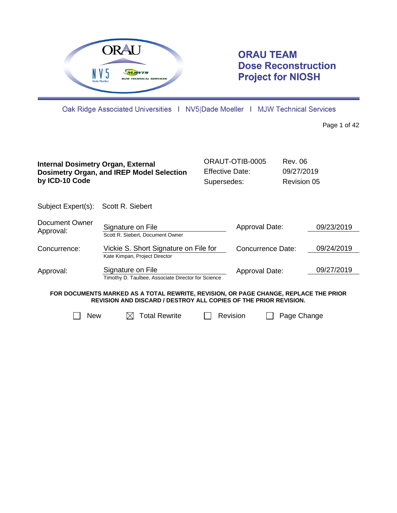

# **ORAU TEAM Dose Reconstruction Project for NIOSH**

Oak Ridge Associated Universities | NV5|Dade Moeller | MJW Technical Services

Page 1 of 42

| <b>Internal Dosimetry Organ, External</b><br>by ICD-10 Code | <b>Dosimetry Organ, and IREP Model Selection</b>                                                                                                                | <b>Effective Date:</b><br>Supersedes: | ORAUT-OTIB-0005   | Rev. 06<br>09/27/2019<br>Revision 05 |            |
|-------------------------------------------------------------|-----------------------------------------------------------------------------------------------------------------------------------------------------------------|---------------------------------------|-------------------|--------------------------------------|------------|
| Subject Expert(s):                                          | Scott R. Siebert                                                                                                                                                |                                       |                   |                                      |            |
| Document Owner<br>Approval:                                 | Signature on File<br>Scott R. Siebert, Document Owner                                                                                                           |                                       | Approval Date:    |                                      | 09/23/2019 |
| Concurrence:                                                | Vickie S. Short Signature on File for<br>Kate Kimpan, Project Director                                                                                          |                                       | Concurrence Date: |                                      | 09/24/2019 |
| Approval:                                                   | Signature on File<br>Timothy D. Taulbee, Associate Director for Science                                                                                         |                                       | Approval Date:    |                                      | 09/27/2019 |
|                                                             | FOR DOCUMENTS MARKED AS A TOTAL REWRITE, REVISION, OR PAGE CHANGE, REPLACE THE PRIOR<br><b>REVISION AND DISCARD / DESTROY ALL COPIES OF THE PRIOR REVISION.</b> |                                       |                   |                                      |            |
| <b>New</b>                                                  | <b>Total Rewrite</b>                                                                                                                                            | Revision                              |                   | Page Change                          |            |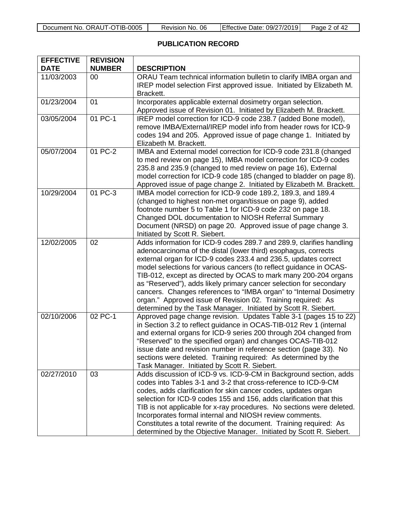| Document No. ORAUT-OTIB-0005 | Revision No. 06 | Effective Date: 09/27/2019 | Page 2 of 42 |
|------------------------------|-----------------|----------------------------|--------------|
|------------------------------|-----------------|----------------------------|--------------|

# **PUBLICATION RECORD**

| <b>EFFECTIVE</b><br><b>DATE</b> | <b>REVISION</b><br><b>NUMBER</b> | <b>DESCRIPTION</b>                                                                                                                                                                                                                                                                                                                                                                                                                                                                                                                                                                                                               |
|---------------------------------|----------------------------------|----------------------------------------------------------------------------------------------------------------------------------------------------------------------------------------------------------------------------------------------------------------------------------------------------------------------------------------------------------------------------------------------------------------------------------------------------------------------------------------------------------------------------------------------------------------------------------------------------------------------------------|
| 11/03/2003                      | 00                               | ORAU Team technical information bulletin to clarify IMBA organ and<br>IREP model selection First approved issue. Initiated by Elizabeth M.<br>Brackett.                                                                                                                                                                                                                                                                                                                                                                                                                                                                          |
| 01/23/2004                      | 01                               | Incorporates applicable external dosimetry organ selection.<br>Approved issue of Revision 01. Initiated by Elizabeth M. Brackett.                                                                                                                                                                                                                                                                                                                                                                                                                                                                                                |
| 03/05/2004                      | 01 PC-1                          | IREP model correction for ICD-9 code 238.7 (added Bone model),<br>remove IMBA/External/IREP model info from header rows for ICD-9<br>codes 194 and 205. Approved issue of page change 1. Initiated by<br>Elizabeth M. Brackett.                                                                                                                                                                                                                                                                                                                                                                                                  |
| 05/07/2004                      | 01 PC-2                          | IMBA and External model correction for ICD-9 code 231.8 (changed<br>to med review on page 15), IMBA model correction for ICD-9 codes<br>235.8 and 235.9 (changed to med review on page 16), External<br>model correction for ICD-9 code 185 (changed to bladder on page 8).<br>Approved issue of page change 2. Initiated by Elizabeth M. Brackett.                                                                                                                                                                                                                                                                              |
| 10/29/2004                      | 01 PC-3                          | IMBA model correction for ICD-9 code 189.2, 189.3, and 189.4<br>(changed to highest non-met organ/tissue on page 9), added<br>footnote number 5 to Table 1 for ICD-9 code 232 on page 18.<br>Changed DOL documentation to NIOSH Referral Summary<br>Document (NRSD) on page 20. Approved issue of page change 3.<br>Initiated by Scott R. Siebert.                                                                                                                                                                                                                                                                               |
| 12/02/2005                      | 02                               | Adds information for ICD-9 codes 289.7 and 289.9, clarifies handling<br>adenocarcinoma of the distal (lower third) esophagus, corrects<br>external organ for ICD-9 codes 233.4 and 236.5, updates correct<br>model selections for various cancers (to reflect guidance in OCAS-<br>TIB-012, except as directed by OCAS to mark many 200-204 organs<br>as "Reserved"), adds likely primary cancer selection for secondary<br>cancers. Changes references to "IMBA organ" to "Internal Dosimetry<br>organ." Approved issue of Revision 02. Training required: As<br>determined by the Task Manager. Initiated by Scott R. Siebert. |
| 02/10/2006                      | 02 PC-1                          | Approved page change revision. Updates Table 3-1 (pages 15 to 22)<br>in Section 3.2 to reflect guidance in OCAS-TIB-012 Rev 1 (internal<br>and external organs for ICD-9 series 200 through 204 changed from<br>"Reserved" to the specified organ) and changes OCAS-TIB-012<br>issue date and revision number in reference section (page 33). No<br>sections were deleted. Training required: As determined by the<br>Task Manager. Initiated by Scott R. Siebert.                                                                                                                                                               |
| 02/27/2010                      | 03                               | Adds discussion of ICD-9 vs. ICD-9-CM in Background section, adds<br>codes into Tables 3-1 and 3-2 that cross-reference to ICD-9-CM<br>codes, adds clarification for skin cancer codes, updates organ<br>selection for ICD-9 codes 155 and 156, adds clarification that this<br>TIB is not applicable for x-ray procedures. No sections were deleted.<br>Incorporates formal internal and NIOSH review comments.<br>Constitutes a total rewrite of the document. Training required: As<br>determined by the Objective Manager. Initiated by Scott R. Siebert.                                                                    |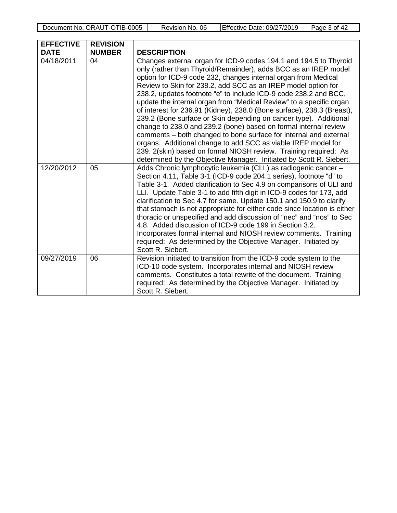Document No. ORAUT-OTIB-0005 Revision No. 06 Effective Date: 09/27/2019 Page 3 of 42

| <b>EFFECTIVE</b><br><b>DATE</b> | <b>REVISION</b><br><b>NUMBER</b> | <b>DESCRIPTION</b>                                                                                                                                                                                                                                                                                                                                                                                                                                                                                                                                                                                                                                                                                                                                                                                                                                                                                                     |
|---------------------------------|----------------------------------|------------------------------------------------------------------------------------------------------------------------------------------------------------------------------------------------------------------------------------------------------------------------------------------------------------------------------------------------------------------------------------------------------------------------------------------------------------------------------------------------------------------------------------------------------------------------------------------------------------------------------------------------------------------------------------------------------------------------------------------------------------------------------------------------------------------------------------------------------------------------------------------------------------------------|
| 04/18/2011                      | 04                               | Changes external organ for ICD-9 codes 194.1 and 194.5 to Thyroid<br>only (rather than Thyroid/Remainder), adds BCC as an IREP model<br>option for ICD-9 code 232, changes internal organ from Medical<br>Review to Skin for 238.2, add SCC as an IREP model option for<br>238.2, updates footnote "e" to include ICD-9 code 238.2 and BCC,<br>update the internal organ from "Medical Review" to a specific organ<br>of interest for 236.91 (Kidney), 238.0 (Bone surface), 238.3 (Breast),<br>239.2 (Bone surface or Skin depending on cancer type). Additional<br>change to 238.0 and 239.2 (bone) based on formal internal review<br>comments - both changed to bone surface for internal and external<br>organs. Additional change to add SCC as viable IREP model for<br>239. 2(skin) based on formal NIOSH review. Training required: As<br>determined by the Objective Manager. Initiated by Scott R. Siebert. |
| 12/20/2012                      | 05                               | Adds Chronic lymphocytic leukemia (CLL) as radiogenic cancer -<br>Section 4.11, Table 3-1 (ICD-9 code 204.1 series), footnote "d" to<br>Table 3-1. Added clarification to Sec 4.9 on comparisons of ULI and<br>LLI. Update Table 3-1 to add fifth digit in ICD-9 codes for 173, add<br>clarification to Sec 4.7 for same. Update 150.1 and 150.9 to clarify<br>that stomach is not appropriate for either code since location is either<br>thoracic or unspecified and add discussion of "nec" and "nos" to Sec<br>4.8. Added discussion of ICD-9 code 199 in Section 3.2.<br>Incorporates formal internal and NIOSH review comments. Training<br>required: As determined by the Objective Manager. Initiated by<br>Scott R. Siebert.                                                                                                                                                                                  |
| 09/27/2019                      | 06                               | Revision initiated to transition from the ICD-9 code system to the<br>ICD-10 code system. Incorporates internal and NIOSH review<br>comments. Constitutes a total rewrite of the document. Training<br>required: As determined by the Objective Manager. Initiated by<br>Scott R. Siebert.                                                                                                                                                                                                                                                                                                                                                                                                                                                                                                                                                                                                                             |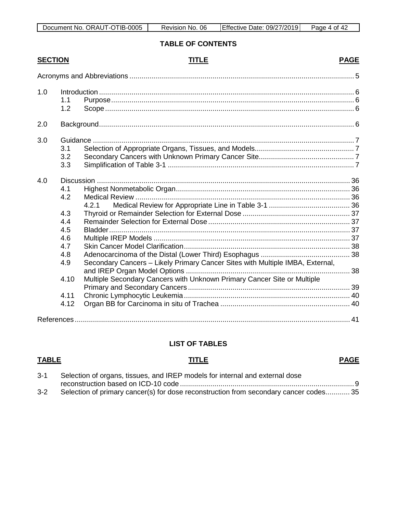# **TABLE OF CONTENTS**

# **SECTION TITLE PAGE**

| 1.0 | 1.1<br>1.2        |                                                                               |  |
|-----|-------------------|-------------------------------------------------------------------------------|--|
| 2.0 |                   |                                                                               |  |
| 3.0 | 3.1<br>3.2<br>3.3 |                                                                               |  |
| 4.0 | 4.1<br>4.2        |                                                                               |  |
|     |                   | 4.2.1                                                                         |  |
|     | 4.3<br>4.4        |                                                                               |  |
|     | 4.5               |                                                                               |  |
|     | 4.6               |                                                                               |  |
|     | 4.7               |                                                                               |  |
|     | 4.8               |                                                                               |  |
|     | 4.9               | Secondary Cancers - Likely Primary Cancer Sites with Multiple IMBA, External, |  |
|     | 4.10              | Multiple Secondary Cancers with Unknown Primary Cancer Site or Multiple       |  |
|     | 4.11              |                                                                               |  |
|     | 4.12              |                                                                               |  |
|     |                   |                                                                               |  |
|     |                   |                                                                               |  |

# **LIST OF TABLES**

### **TABLE TITLE PAGE**

| $3 - 1$ | Selection of organs, tissues, and IREP models for internal and external dose         |  |
|---------|--------------------------------------------------------------------------------------|--|
|         |                                                                                      |  |
| $3-2$   | Selection of primary cancer(s) for dose reconstruction from secondary cancer codes35 |  |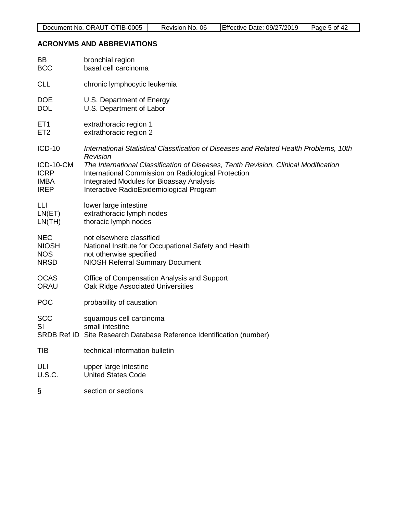#### <span id="page-4-0"></span>**ACRONYMS AND ABBREVIATIONS**

| BB                                                                      | bronchial region                                                                                                                                                                                                                                                                                                                                |
|-------------------------------------------------------------------------|-------------------------------------------------------------------------------------------------------------------------------------------------------------------------------------------------------------------------------------------------------------------------------------------------------------------------------------------------|
| <b>BCC</b>                                                              | basal cell carcinoma                                                                                                                                                                                                                                                                                                                            |
| <b>CLL</b>                                                              | chronic lymphocytic leukemia                                                                                                                                                                                                                                                                                                                    |
| <b>DOE</b>                                                              | U.S. Department of Energy                                                                                                                                                                                                                                                                                                                       |
| <b>DOL</b>                                                              | U.S. Department of Labor                                                                                                                                                                                                                                                                                                                        |
| ET <sub>1</sub>                                                         | extrathoracic region 1                                                                                                                                                                                                                                                                                                                          |
| ET <sub>2</sub>                                                         | extrathoracic region 2                                                                                                                                                                                                                                                                                                                          |
| <b>ICD-10</b><br>ICD-10-CM<br><b>ICRP</b><br><b>IMBA</b><br><b>IREP</b> | International Statistical Classification of Diseases and Related Health Problems, 10th<br>Revision<br>The International Classification of Diseases, Tenth Revision, Clinical Modification<br>International Commission on Radiological Protection<br><b>Integrated Modules for Bioassay Analysis</b><br>Interactive RadioEpidemiological Program |
| LLI                                                                     | lower large intestine                                                                                                                                                                                                                                                                                                                           |
| LN(ET)                                                                  | extrathoracic lymph nodes                                                                                                                                                                                                                                                                                                                       |
| LN(TH)                                                                  | thoracic lymph nodes                                                                                                                                                                                                                                                                                                                            |
| <b>NEC</b>                                                              | not elsewhere classified                                                                                                                                                                                                                                                                                                                        |
| <b>NIOSH</b>                                                            | National Institute for Occupational Safety and Health                                                                                                                                                                                                                                                                                           |
| <b>NOS</b>                                                              | not otherwise specified                                                                                                                                                                                                                                                                                                                         |
| <b>NRSD</b>                                                             | <b>NIOSH Referral Summary Document</b>                                                                                                                                                                                                                                                                                                          |
| <b>OCAS</b>                                                             | Office of Compensation Analysis and Support                                                                                                                                                                                                                                                                                                     |
| <b>ORAU</b>                                                             | Oak Ridge Associated Universities                                                                                                                                                                                                                                                                                                               |
| <b>POC</b>                                                              | probability of causation                                                                                                                                                                                                                                                                                                                        |
| <b>SCC</b><br>SI                                                        | squamous cell carcinoma<br>small intestine<br>SRDB Ref ID Site Research Database Reference Identification (number)                                                                                                                                                                                                                              |
| <b>TIB</b>                                                              | technical information bulletin                                                                                                                                                                                                                                                                                                                  |
| ULI                                                                     | upper large intestine                                                                                                                                                                                                                                                                                                                           |
| U.S.C.                                                                  | <b>United States Code</b>                                                                                                                                                                                                                                                                                                                       |
| §                                                                       | section or sections                                                                                                                                                                                                                                                                                                                             |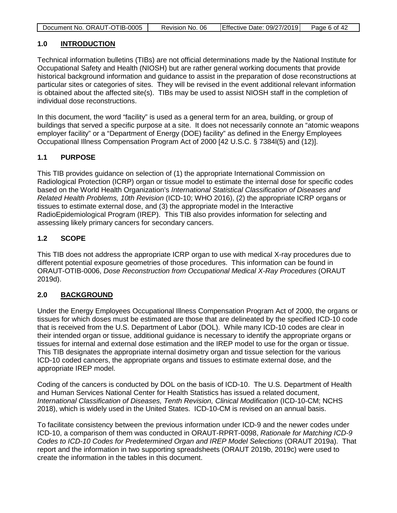| Document No. ORAUT-OTIB-0005 | Revision No. 06 | Effective Date: 09/27/2019 | Page 6 of 42 |
|------------------------------|-----------------|----------------------------|--------------|

### <span id="page-5-0"></span>**1.0 INTRODUCTION**

Technical information bulletins (TIBs) are not official determinations made by the National Institute for Occupational Safety and Health (NIOSH) but are rather general working documents that provide historical background information and guidance to assist in the preparation of dose reconstructions at particular sites or categories of sites. They will be revised in the event additional relevant information is obtained about the affected site(s). TIBs may be used to assist NIOSH staff in the completion of individual dose reconstructions.

In this document, the word "facility" is used as a general term for an area, building, or group of buildings that served a specific purpose at a site. It does not necessarily connote an "atomic weapons employer facility" or a "Department of Energy (DOE) facility" as defined in the Energy Employees Occupational Illness Compensation Program Act of 2000 [42 U.S.C. § 7384l(5) and (12)].

### <span id="page-5-1"></span>**1.1 PURPOSE**

This TIB provides guidance on selection of (1) the appropriate International Commission on Radiological Protection (ICRP) organ or tissue model to estimate the internal dose for specific codes based on the World Health Organization's *International Statistical Classification of Diseases and Related Health Problems, 10th Revision* (ICD-10; WHO 2016), (2) the appropriate ICRP organs or tissues to estimate external dose, and (3) the appropriate model in the Interactive RadioEpidemiological Program (IREP). This TIB also provides information for selecting and assessing likely primary cancers for secondary cancers.

# <span id="page-5-2"></span>**1.2 SCOPE**

This TIB does not address the appropriate ICRP organ to use with medical X-ray procedures due to different potential exposure geometries of those procedures. This information can be found in ORAUT-OTIB-0006, *Dose Reconstruction from Occupational Medical X-Ray Procedures* (ORAUT 2019d).

# <span id="page-5-3"></span>**2.0 BACKGROUND**

Under the Energy Employees Occupational Illness Compensation Program Act of 2000, the organs or tissues for which doses must be estimated are those that are delineated by the specified ICD-10 code that is received from the U.S. Department of Labor (DOL). While many ICD-10 codes are clear in their intended organ or tissue, additional guidance is necessary to identify the appropriate organs or tissues for internal and external dose estimation and the IREP model to use for the organ or tissue. This TIB designates the appropriate internal dosimetry organ and tissue selection for the various ICD-10 coded cancers, the appropriate organs and tissues to estimate external dose, and the appropriate IREP model.

Coding of the cancers is conducted by DOL on the basis of ICD-10. The U.S. Department of Health and Human Services National Center for Health Statistics has issued a related document, *International Classification of Diseases, Tenth Revision, Clinical Modification* (ICD-10-CM; NCHS 2018), which is widely used in the United States. ICD-10-CM is revised on an annual basis.

To facilitate consistency between the previous information under ICD-9 and the newer codes under ICD-10, a comparison of them was conducted in ORAUT-RPRT-0098, *Rationale for Matching ICD-9 Codes to ICD-10 Codes for Predetermined Organ and IREP Model Selections* (ORAUT 2019a). That report and the information in two supporting spreadsheets (ORAUT 2019b, 2019c) were used to create the information in the tables in this document.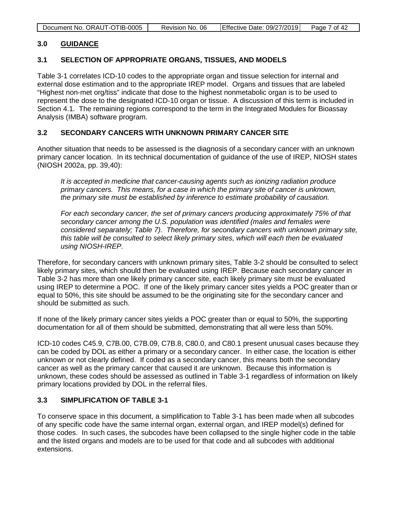<span id="page-6-4"></span>

| Document No. ORAUT-OTIB-0005 | Revision No. 06 | Effective Date: 09/27/2019 | Page 7 of 42 |
|------------------------------|-----------------|----------------------------|--------------|

#### <span id="page-6-0"></span>**3.0 GUIDANCE**

#### <span id="page-6-1"></span>**3.1 SELECTION OF APPROPRIATE ORGANS, TISSUES, AND MODELS**

Table 3-1 correlates ICD-10 codes to the appropriate organ and tissue selection for internal and external dose estimation and to the appropriate IREP model. Organs and tissues that are labeled "Highest non-met org/tiss" indicate that dose to the highest nonmetabolic organ is to be used to represent the dose to the designated ICD-10 organ or tissue. A discussion of this term is included in Section [4.1.](#page-35-1) The remaining regions correspond to the term in the Integrated Modules for Bioassay Analysis (IMBA) software program.

#### <span id="page-6-2"></span>**3.2 SECONDARY CANCERS WITH UNKNOWN PRIMARY CANCER SITE**

Another situation that needs to be assessed is the diagnosis of a secondary cancer with an unknown primary cancer location. In its technical documentation of guidance of the use of IREP, NIOSH states (NIOSH 2002a, pp. 39,40):

*It is accepted in medicine that cancer-causing agents such as ionizing radiation produce primary cancers. This means, for a case in which the primary site of cancer is unknown, the primary site must be established by inference to estimate probability of causation.* 

*For each secondary cancer, the set of primary cancers producing approximately 75% of that secondary cancer among the U.S. population was identified (males and females were considered separately; Table 7). Therefore, for secondary cancers with unknown primary site, this table will be consulted to select likely primary sites, which will each then be evaluated using NIOSH-IREP.*

Therefore, for secondary cancers with unknown primary sites, Table 3-2 should be consulted to select likely primary sites, which should then be evaluated using IREP. Because each secondary cancer in Table 3-2 has more than one likely primary cancer site, each likely primary site must be evaluated using IREP to determine a POC. If one of the likely primary cancer sites yields a POC greater than or equal to 50%, this site should be assumed to be the originating site for the secondary cancer and should be submitted as such.

If none of the likely primary cancer sites yields a POC greater than or equal to 50%, the supporting documentation for all of them should be submitted, demonstrating that all were less than 50%.

ICD-10 codes C45.9, C7B.00, C7B.09, C7B.8, C80.0, and C80.1 present unusual cases because they can be coded by DOL as either a primary or a secondary cancer. In either case, the location is either unknown or not clearly defined. If coded as a secondary cancer, this means both the secondary cancer as well as the primary cancer that caused it are unknown. Because this information is unknown, these codes should be assessed as outlined in Table 3-1 regardless of information on likely primary locations provided by DOL in the referral files.

### <span id="page-6-3"></span>**3.3 SIMPLIFICATION OF TABLE 3-1**

To conserve space in this document, a simplification to Table 3-1 has been made when all subcodes of any specific code have the same internal organ, external organ, and IREP model(s) defined for those codes. In such cases, the subcodes have been collapsed to the single higher code in the table and the listed organs and models are to be used for that code and all subcodes with additional extensions.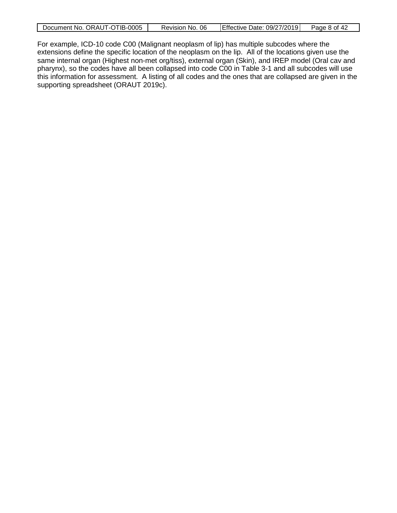|  | Document No. ORAUT-OTIB-0005 | Revision No. 06 | Effective Date: 09/27/2019 | Page 8 of 42 |
|--|------------------------------|-----------------|----------------------------|--------------|
|--|------------------------------|-----------------|----------------------------|--------------|

For example, ICD-10 code C00 (Malignant neoplasm of lip) has multiple subcodes where the extensions define the specific location of the neoplasm on the lip. All of the locations given use the same internal organ (Highest non-met org/tiss), external organ (Skin), and IREP model (Oral cav and pharynx), so the codes have all been collapsed into code C00 in Table 3-1 and all subcodes will use this information for assessment. A listing of all codes and the ones that are collapsed are given in the supporting spreadsheet (ORAUT 2019c).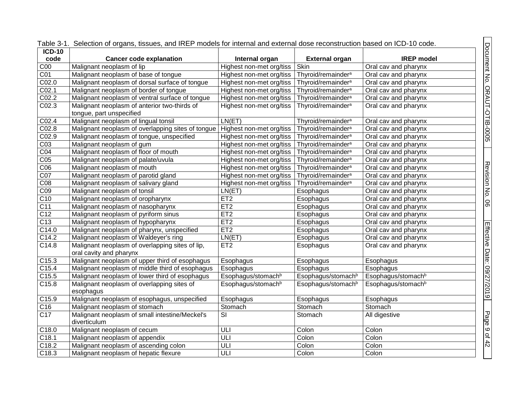<span id="page-8-0"></span>

| Document No. ORAUT-OTIB-0005<br>code<br><b>Cancer code explanation</b><br>Internal organ<br><b>IREP</b> model<br><b>External organ</b><br>C <sub>00</sub><br>Malignant neoplasm of lip<br>Skin<br>Highest non-met org/tiss<br>Oral cav and pharynx<br>Malignant neoplasm of base of tongue<br>C <sub>01</sub><br>Thyroid/remainder <sup>a</sup><br>Highest non-met org/tiss<br>Oral cav and pharynx<br>CO <sub>2.0</sub><br>Malignant neoplasm of dorsal surface of tongue<br>Thyroid/remainder <sup>a</sup><br>Highest non-met org/tiss<br>Oral cav and pharynx<br>CO <sub>2.1</sub><br>Thyroid/remainder <sup>a</sup><br>Malignant neoplasm of border of tongue<br>Highest non-met org/tiss<br>Oral cav and pharynx<br>CO <sub>2.2</sub><br>Malignant neoplasm of ventral surface of tongue<br>Highest non-met org/tiss<br>Thyroid/remainder <sup>a</sup><br>Oral cav and pharynx<br>C02.3<br>Malignant neoplasm of anterior two-thirds of<br>Highest non-met org/tiss<br>Thyroid/remainder <sup>a</sup><br>Oral cav and pharynx<br>tongue, part unspecified<br>C02.4<br>Malignant neoplasm of lingual tonsil<br>LN(ET)<br>Thyroid/remainder <sup>a</sup><br>Oral cav and pharynx<br>CO <sub>2.8</sub><br>Malignant neoplasm of overlapping sites of tongue   Highest non-met org/tiss<br>Thyroid/remainder <sup>a</sup><br>Oral cav and pharynx<br>CO <sub>2.9</sub><br>Thyroid/remainder <sup>a</sup><br>Malignant neoplasm of tongue, unspecified<br>Highest non-met org/tiss<br>Oral cav and pharynx<br>CO <sub>3</sub><br>Malignant neoplasm of gum<br>Thyroid/remainder <sup>a</sup><br>Highest non-met org/tiss<br>Oral cav and pharynx<br>CO4<br>Malignant neoplasm of floor of mouth<br>Thyroid/remainder <sup>a</sup><br>Highest non-met org/tiss<br>Oral cav and pharynx<br>Thyroid/remainder <sup>a</sup><br>Malignant neoplasm of palate/uvula<br>Highest non-met org/tiss<br>Oral cav and pharynx<br>CO6<br>Malignant neoplasm of mouth<br>Thyroid/remainder <sup>a</sup><br>Highest non-met org/tiss<br>Oral cav and pharynx<br>CO7<br>Thyroid/remainder <sup>a</sup><br>Malignant neoplasm of parotid gland<br>Highest non-met org/tiss<br>Oral cav and pharynx<br>Thyroid/remainder <sup>a</sup><br>Malignant neoplasm of salivary gland<br>Highest non-met org/tiss<br>Oral cav and pharynx<br>CO <sub>9</sub><br>Malignant neoplasm of tonsil<br>LN(ET)<br>Esophagus<br>Oral cav and pharynx<br>C10<br>Malignant neoplasm of oropharynx<br>ET <sub>2</sub><br>Esophagus<br>Oral cav and pharynx<br>ET2<br>Malignant neoplasm of nasopharynx<br>Esophagus<br>Oral cav and pharynx<br>C <sub>12</sub><br>ET2<br>Malignant neoplasm of pyriform sinus<br>Esophagus<br>Oral cav and pharynx<br>C13<br>ET2<br>Malignant neoplasm of hypopharynx<br>Esophagus<br>Oral cav and pharynx<br>ET2<br>C14.0<br>Malignant neoplasm of pharynx, unspecified<br>Esophagus<br>Oral cav and pharynx<br>C14.2<br>LN(ET)<br>Malignant neoplasm of Waldeyer's ring<br>Oral cav and pharynx<br>Esophagus<br>Malignant neoplasm of overlapping sites of lip,<br>ET <sub>2</sub><br>Oral cav and pharynx<br>Esophagus<br>oral cavity and pharynx<br>C15.3<br>Malignant neoplasm of upper third of esophagus<br>Esophagus<br>Esophagus<br>Esophagus<br>C15.4<br>Malignant neoplasm of middle third of esophagus<br>Esophagus<br>Esophagus<br>Esophagus<br>C15.5<br>Malignant neoplasm of lower third of esophagus<br>Esophagus/stomach <sup>b</sup><br>Esophagus/stomach <sup>b</sup><br>Esophagus/stomach <sup>b</sup><br>C15.8<br>Esophagus/stomach <sup>b</sup><br>Malignant neoplasm of overlapping sites of<br>Esophagus/stomach <sup>b</sup><br>Esophagus/stomach <sup>b</sup><br>esophagus<br>Malignant neoplasm of esophagus, unspecified<br>Esophagus<br>Esophagus<br>Esophagus<br>Malignant neoplasm of stomach<br>Stomach<br>Stomach<br>Stomach<br>Malignant neoplasm of small intestine/Meckel's<br>$\overline{\mathsf{S}}$<br>All digestive<br>Stomach<br>diverticulum<br>C18.0<br>Malignant neoplasm of cecum<br>ULI<br>Colon<br>Colon<br>ULI<br>Colon<br>Colon<br>C18.1<br>Malignant neoplasm of appendix<br>C18.2<br>ULI<br>Colon<br>Malignant neoplasm of ascending colon<br>Colon |                 | Table 3-1. Selection of organs, tissues, and IREP models for internal and external dose reconstruction based on ICD-10 code. |     |       |       |                            |
|--------------------------------------------------------------------------------------------------------------------------------------------------------------------------------------------------------------------------------------------------------------------------------------------------------------------------------------------------------------------------------------------------------------------------------------------------------------------------------------------------------------------------------------------------------------------------------------------------------------------------------------------------------------------------------------------------------------------------------------------------------------------------------------------------------------------------------------------------------------------------------------------------------------------------------------------------------------------------------------------------------------------------------------------------------------------------------------------------------------------------------------------------------------------------------------------------------------------------------------------------------------------------------------------------------------------------------------------------------------------------------------------------------------------------------------------------------------------------------------------------------------------------------------------------------------------------------------------------------------------------------------------------------------------------------------------------------------------------------------------------------------------------------------------------------------------------------------------------------------------------------------------------------------------------------------------------------------------------------------------------------------------------------------------------------------------------------------------------------------------------------------------------------------------------------------------------------------------------------------------------------------------------------------------------------------------------------------------------------------------------------------------------------------------------------------------------------------------------------------------------------------------------------------------------------------------------------------------------------------------------------------------------------------------------------------------------------------------------------------------------------------------------------------------------------------------------------------------------------------------------------------------------------------------------------------------------------------------------------------------------------------------------------------------------------------------------------------------------------------------------------------------------------------------------------------------------------------------------------------------------------------------------------------------------------------------------------------------------------------------------------------------------------------------------------------------------------------------------------------------------------------------------------------------------------------------------------------------------------------------------------------------------------------------------------------------------------------------------------------------------------------------------------------------------------------------------------------------------------------------------------------------------------------------------------------------------------------------------------------------------------------------------------------------------------------------------------------------------------------------------------------------------------------------------------------------------|-----------------|------------------------------------------------------------------------------------------------------------------------------|-----|-------|-------|----------------------------|
|                                                                                                                                                                                                                                                                                                                                                                                                                                                                                                                                                                                                                                                                                                                                                                                                                                                                                                                                                                                                                                                                                                                                                                                                                                                                                                                                                                                                                                                                                                                                                                                                                                                                                                                                                                                                                                                                                                                                                                                                                                                                                                                                                                                                                                                                                                                                                                                                                                                                                                                                                                                                                                                                                                                                                                                                                                                                                                                                                                                                                                                                                                                                                                                                                                                                                                                                                                                                                                                                                                                                                                                                                                                                                                                                                                                                                                                                                                                                                                                                                                                                                                                                                                                                  | $ICD-10$        |                                                                                                                              |     |       |       |                            |
|                                                                                                                                                                                                                                                                                                                                                                                                                                                                                                                                                                                                                                                                                                                                                                                                                                                                                                                                                                                                                                                                                                                                                                                                                                                                                                                                                                                                                                                                                                                                                                                                                                                                                                                                                                                                                                                                                                                                                                                                                                                                                                                                                                                                                                                                                                                                                                                                                                                                                                                                                                                                                                                                                                                                                                                                                                                                                                                                                                                                                                                                                                                                                                                                                                                                                                                                                                                                                                                                                                                                                                                                                                                                                                                                                                                                                                                                                                                                                                                                                                                                                                                                                                                                  |                 |                                                                                                                              |     |       |       |                            |
|                                                                                                                                                                                                                                                                                                                                                                                                                                                                                                                                                                                                                                                                                                                                                                                                                                                                                                                                                                                                                                                                                                                                                                                                                                                                                                                                                                                                                                                                                                                                                                                                                                                                                                                                                                                                                                                                                                                                                                                                                                                                                                                                                                                                                                                                                                                                                                                                                                                                                                                                                                                                                                                                                                                                                                                                                                                                                                                                                                                                                                                                                                                                                                                                                                                                                                                                                                                                                                                                                                                                                                                                                                                                                                                                                                                                                                                                                                                                                                                                                                                                                                                                                                                                  |                 |                                                                                                                              |     |       |       |                            |
|                                                                                                                                                                                                                                                                                                                                                                                                                                                                                                                                                                                                                                                                                                                                                                                                                                                                                                                                                                                                                                                                                                                                                                                                                                                                                                                                                                                                                                                                                                                                                                                                                                                                                                                                                                                                                                                                                                                                                                                                                                                                                                                                                                                                                                                                                                                                                                                                                                                                                                                                                                                                                                                                                                                                                                                                                                                                                                                                                                                                                                                                                                                                                                                                                                                                                                                                                                                                                                                                                                                                                                                                                                                                                                                                                                                                                                                                                                                                                                                                                                                                                                                                                                                                  |                 |                                                                                                                              |     |       |       |                            |
|                                                                                                                                                                                                                                                                                                                                                                                                                                                                                                                                                                                                                                                                                                                                                                                                                                                                                                                                                                                                                                                                                                                                                                                                                                                                                                                                                                                                                                                                                                                                                                                                                                                                                                                                                                                                                                                                                                                                                                                                                                                                                                                                                                                                                                                                                                                                                                                                                                                                                                                                                                                                                                                                                                                                                                                                                                                                                                                                                                                                                                                                                                                                                                                                                                                                                                                                                                                                                                                                                                                                                                                                                                                                                                                                                                                                                                                                                                                                                                                                                                                                                                                                                                                                  |                 |                                                                                                                              |     |       |       |                            |
|                                                                                                                                                                                                                                                                                                                                                                                                                                                                                                                                                                                                                                                                                                                                                                                                                                                                                                                                                                                                                                                                                                                                                                                                                                                                                                                                                                                                                                                                                                                                                                                                                                                                                                                                                                                                                                                                                                                                                                                                                                                                                                                                                                                                                                                                                                                                                                                                                                                                                                                                                                                                                                                                                                                                                                                                                                                                                                                                                                                                                                                                                                                                                                                                                                                                                                                                                                                                                                                                                                                                                                                                                                                                                                                                                                                                                                                                                                                                                                                                                                                                                                                                                                                                  |                 |                                                                                                                              |     |       |       |                            |
|                                                                                                                                                                                                                                                                                                                                                                                                                                                                                                                                                                                                                                                                                                                                                                                                                                                                                                                                                                                                                                                                                                                                                                                                                                                                                                                                                                                                                                                                                                                                                                                                                                                                                                                                                                                                                                                                                                                                                                                                                                                                                                                                                                                                                                                                                                                                                                                                                                                                                                                                                                                                                                                                                                                                                                                                                                                                                                                                                                                                                                                                                                                                                                                                                                                                                                                                                                                                                                                                                                                                                                                                                                                                                                                                                                                                                                                                                                                                                                                                                                                                                                                                                                                                  |                 |                                                                                                                              |     |       |       |                            |
|                                                                                                                                                                                                                                                                                                                                                                                                                                                                                                                                                                                                                                                                                                                                                                                                                                                                                                                                                                                                                                                                                                                                                                                                                                                                                                                                                                                                                                                                                                                                                                                                                                                                                                                                                                                                                                                                                                                                                                                                                                                                                                                                                                                                                                                                                                                                                                                                                                                                                                                                                                                                                                                                                                                                                                                                                                                                                                                                                                                                                                                                                                                                                                                                                                                                                                                                                                                                                                                                                                                                                                                                                                                                                                                                                                                                                                                                                                                                                                                                                                                                                                                                                                                                  |                 |                                                                                                                              |     |       |       |                            |
|                                                                                                                                                                                                                                                                                                                                                                                                                                                                                                                                                                                                                                                                                                                                                                                                                                                                                                                                                                                                                                                                                                                                                                                                                                                                                                                                                                                                                                                                                                                                                                                                                                                                                                                                                                                                                                                                                                                                                                                                                                                                                                                                                                                                                                                                                                                                                                                                                                                                                                                                                                                                                                                                                                                                                                                                                                                                                                                                                                                                                                                                                                                                                                                                                                                                                                                                                                                                                                                                                                                                                                                                                                                                                                                                                                                                                                                                                                                                                                                                                                                                                                                                                                                                  |                 |                                                                                                                              |     |       |       |                            |
|                                                                                                                                                                                                                                                                                                                                                                                                                                                                                                                                                                                                                                                                                                                                                                                                                                                                                                                                                                                                                                                                                                                                                                                                                                                                                                                                                                                                                                                                                                                                                                                                                                                                                                                                                                                                                                                                                                                                                                                                                                                                                                                                                                                                                                                                                                                                                                                                                                                                                                                                                                                                                                                                                                                                                                                                                                                                                                                                                                                                                                                                                                                                                                                                                                                                                                                                                                                                                                                                                                                                                                                                                                                                                                                                                                                                                                                                                                                                                                                                                                                                                                                                                                                                  |                 |                                                                                                                              |     |       |       |                            |
|                                                                                                                                                                                                                                                                                                                                                                                                                                                                                                                                                                                                                                                                                                                                                                                                                                                                                                                                                                                                                                                                                                                                                                                                                                                                                                                                                                                                                                                                                                                                                                                                                                                                                                                                                                                                                                                                                                                                                                                                                                                                                                                                                                                                                                                                                                                                                                                                                                                                                                                                                                                                                                                                                                                                                                                                                                                                                                                                                                                                                                                                                                                                                                                                                                                                                                                                                                                                                                                                                                                                                                                                                                                                                                                                                                                                                                                                                                                                                                                                                                                                                                                                                                                                  |                 |                                                                                                                              |     |       |       |                            |
|                                                                                                                                                                                                                                                                                                                                                                                                                                                                                                                                                                                                                                                                                                                                                                                                                                                                                                                                                                                                                                                                                                                                                                                                                                                                                                                                                                                                                                                                                                                                                                                                                                                                                                                                                                                                                                                                                                                                                                                                                                                                                                                                                                                                                                                                                                                                                                                                                                                                                                                                                                                                                                                                                                                                                                                                                                                                                                                                                                                                                                                                                                                                                                                                                                                                                                                                                                                                                                                                                                                                                                                                                                                                                                                                                                                                                                                                                                                                                                                                                                                                                                                                                                                                  |                 |                                                                                                                              |     |       |       |                            |
|                                                                                                                                                                                                                                                                                                                                                                                                                                                                                                                                                                                                                                                                                                                                                                                                                                                                                                                                                                                                                                                                                                                                                                                                                                                                                                                                                                                                                                                                                                                                                                                                                                                                                                                                                                                                                                                                                                                                                                                                                                                                                                                                                                                                                                                                                                                                                                                                                                                                                                                                                                                                                                                                                                                                                                                                                                                                                                                                                                                                                                                                                                                                                                                                                                                                                                                                                                                                                                                                                                                                                                                                                                                                                                                                                                                                                                                                                                                                                                                                                                                                                                                                                                                                  |                 |                                                                                                                              |     |       |       |                            |
|                                                                                                                                                                                                                                                                                                                                                                                                                                                                                                                                                                                                                                                                                                                                                                                                                                                                                                                                                                                                                                                                                                                                                                                                                                                                                                                                                                                                                                                                                                                                                                                                                                                                                                                                                                                                                                                                                                                                                                                                                                                                                                                                                                                                                                                                                                                                                                                                                                                                                                                                                                                                                                                                                                                                                                                                                                                                                                                                                                                                                                                                                                                                                                                                                                                                                                                                                                                                                                                                                                                                                                                                                                                                                                                                                                                                                                                                                                                                                                                                                                                                                                                                                                                                  |                 |                                                                                                                              |     |       |       |                            |
|                                                                                                                                                                                                                                                                                                                                                                                                                                                                                                                                                                                                                                                                                                                                                                                                                                                                                                                                                                                                                                                                                                                                                                                                                                                                                                                                                                                                                                                                                                                                                                                                                                                                                                                                                                                                                                                                                                                                                                                                                                                                                                                                                                                                                                                                                                                                                                                                                                                                                                                                                                                                                                                                                                                                                                                                                                                                                                                                                                                                                                                                                                                                                                                                                                                                                                                                                                                                                                                                                                                                                                                                                                                                                                                                                                                                                                                                                                                                                                                                                                                                                                                                                                                                  | CO <sub>5</sub> |                                                                                                                              |     |       |       |                            |
|                                                                                                                                                                                                                                                                                                                                                                                                                                                                                                                                                                                                                                                                                                                                                                                                                                                                                                                                                                                                                                                                                                                                                                                                                                                                                                                                                                                                                                                                                                                                                                                                                                                                                                                                                                                                                                                                                                                                                                                                                                                                                                                                                                                                                                                                                                                                                                                                                                                                                                                                                                                                                                                                                                                                                                                                                                                                                                                                                                                                                                                                                                                                                                                                                                                                                                                                                                                                                                                                                                                                                                                                                                                                                                                                                                                                                                                                                                                                                                                                                                                                                                                                                                                                  |                 |                                                                                                                              |     |       |       |                            |
|                                                                                                                                                                                                                                                                                                                                                                                                                                                                                                                                                                                                                                                                                                                                                                                                                                                                                                                                                                                                                                                                                                                                                                                                                                                                                                                                                                                                                                                                                                                                                                                                                                                                                                                                                                                                                                                                                                                                                                                                                                                                                                                                                                                                                                                                                                                                                                                                                                                                                                                                                                                                                                                                                                                                                                                                                                                                                                                                                                                                                                                                                                                                                                                                                                                                                                                                                                                                                                                                                                                                                                                                                                                                                                                                                                                                                                                                                                                                                                                                                                                                                                                                                                                                  |                 |                                                                                                                              |     |       |       | Revision No. 06            |
|                                                                                                                                                                                                                                                                                                                                                                                                                                                                                                                                                                                                                                                                                                                                                                                                                                                                                                                                                                                                                                                                                                                                                                                                                                                                                                                                                                                                                                                                                                                                                                                                                                                                                                                                                                                                                                                                                                                                                                                                                                                                                                                                                                                                                                                                                                                                                                                                                                                                                                                                                                                                                                                                                                                                                                                                                                                                                                                                                                                                                                                                                                                                                                                                                                                                                                                                                                                                                                                                                                                                                                                                                                                                                                                                                                                                                                                                                                                                                                                                                                                                                                                                                                                                  | CO8             |                                                                                                                              |     |       |       |                            |
|                                                                                                                                                                                                                                                                                                                                                                                                                                                                                                                                                                                                                                                                                                                                                                                                                                                                                                                                                                                                                                                                                                                                                                                                                                                                                                                                                                                                                                                                                                                                                                                                                                                                                                                                                                                                                                                                                                                                                                                                                                                                                                                                                                                                                                                                                                                                                                                                                                                                                                                                                                                                                                                                                                                                                                                                                                                                                                                                                                                                                                                                                                                                                                                                                                                                                                                                                                                                                                                                                                                                                                                                                                                                                                                                                                                                                                                                                                                                                                                                                                                                                                                                                                                                  |                 |                                                                                                                              |     |       |       |                            |
|                                                                                                                                                                                                                                                                                                                                                                                                                                                                                                                                                                                                                                                                                                                                                                                                                                                                                                                                                                                                                                                                                                                                                                                                                                                                                                                                                                                                                                                                                                                                                                                                                                                                                                                                                                                                                                                                                                                                                                                                                                                                                                                                                                                                                                                                                                                                                                                                                                                                                                                                                                                                                                                                                                                                                                                                                                                                                                                                                                                                                                                                                                                                                                                                                                                                                                                                                                                                                                                                                                                                                                                                                                                                                                                                                                                                                                                                                                                                                                                                                                                                                                                                                                                                  |                 |                                                                                                                              |     |       |       |                            |
|                                                                                                                                                                                                                                                                                                                                                                                                                                                                                                                                                                                                                                                                                                                                                                                                                                                                                                                                                                                                                                                                                                                                                                                                                                                                                                                                                                                                                                                                                                                                                                                                                                                                                                                                                                                                                                                                                                                                                                                                                                                                                                                                                                                                                                                                                                                                                                                                                                                                                                                                                                                                                                                                                                                                                                                                                                                                                                                                                                                                                                                                                                                                                                                                                                                                                                                                                                                                                                                                                                                                                                                                                                                                                                                                                                                                                                                                                                                                                                                                                                                                                                                                                                                                  | C <sub>11</sub> |                                                                                                                              |     |       |       |                            |
|                                                                                                                                                                                                                                                                                                                                                                                                                                                                                                                                                                                                                                                                                                                                                                                                                                                                                                                                                                                                                                                                                                                                                                                                                                                                                                                                                                                                                                                                                                                                                                                                                                                                                                                                                                                                                                                                                                                                                                                                                                                                                                                                                                                                                                                                                                                                                                                                                                                                                                                                                                                                                                                                                                                                                                                                                                                                                                                                                                                                                                                                                                                                                                                                                                                                                                                                                                                                                                                                                                                                                                                                                                                                                                                                                                                                                                                                                                                                                                                                                                                                                                                                                                                                  |                 |                                                                                                                              |     |       |       |                            |
|                                                                                                                                                                                                                                                                                                                                                                                                                                                                                                                                                                                                                                                                                                                                                                                                                                                                                                                                                                                                                                                                                                                                                                                                                                                                                                                                                                                                                                                                                                                                                                                                                                                                                                                                                                                                                                                                                                                                                                                                                                                                                                                                                                                                                                                                                                                                                                                                                                                                                                                                                                                                                                                                                                                                                                                                                                                                                                                                                                                                                                                                                                                                                                                                                                                                                                                                                                                                                                                                                                                                                                                                                                                                                                                                                                                                                                                                                                                                                                                                                                                                                                                                                                                                  |                 |                                                                                                                              |     |       |       |                            |
|                                                                                                                                                                                                                                                                                                                                                                                                                                                                                                                                                                                                                                                                                                                                                                                                                                                                                                                                                                                                                                                                                                                                                                                                                                                                                                                                                                                                                                                                                                                                                                                                                                                                                                                                                                                                                                                                                                                                                                                                                                                                                                                                                                                                                                                                                                                                                                                                                                                                                                                                                                                                                                                                                                                                                                                                                                                                                                                                                                                                                                                                                                                                                                                                                                                                                                                                                                                                                                                                                                                                                                                                                                                                                                                                                                                                                                                                                                                                                                                                                                                                                                                                                                                                  |                 |                                                                                                                              |     |       |       |                            |
|                                                                                                                                                                                                                                                                                                                                                                                                                                                                                                                                                                                                                                                                                                                                                                                                                                                                                                                                                                                                                                                                                                                                                                                                                                                                                                                                                                                                                                                                                                                                                                                                                                                                                                                                                                                                                                                                                                                                                                                                                                                                                                                                                                                                                                                                                                                                                                                                                                                                                                                                                                                                                                                                                                                                                                                                                                                                                                                                                                                                                                                                                                                                                                                                                                                                                                                                                                                                                                                                                                                                                                                                                                                                                                                                                                                                                                                                                                                                                                                                                                                                                                                                                                                                  |                 |                                                                                                                              |     |       |       |                            |
|                                                                                                                                                                                                                                                                                                                                                                                                                                                                                                                                                                                                                                                                                                                                                                                                                                                                                                                                                                                                                                                                                                                                                                                                                                                                                                                                                                                                                                                                                                                                                                                                                                                                                                                                                                                                                                                                                                                                                                                                                                                                                                                                                                                                                                                                                                                                                                                                                                                                                                                                                                                                                                                                                                                                                                                                                                                                                                                                                                                                                                                                                                                                                                                                                                                                                                                                                                                                                                                                                                                                                                                                                                                                                                                                                                                                                                                                                                                                                                                                                                                                                                                                                                                                  | C14.8           |                                                                                                                              |     |       |       |                            |
|                                                                                                                                                                                                                                                                                                                                                                                                                                                                                                                                                                                                                                                                                                                                                                                                                                                                                                                                                                                                                                                                                                                                                                                                                                                                                                                                                                                                                                                                                                                                                                                                                                                                                                                                                                                                                                                                                                                                                                                                                                                                                                                                                                                                                                                                                                                                                                                                                                                                                                                                                                                                                                                                                                                                                                                                                                                                                                                                                                                                                                                                                                                                                                                                                                                                                                                                                                                                                                                                                                                                                                                                                                                                                                                                                                                                                                                                                                                                                                                                                                                                                                                                                                                                  |                 |                                                                                                                              |     |       |       |                            |
|                                                                                                                                                                                                                                                                                                                                                                                                                                                                                                                                                                                                                                                                                                                                                                                                                                                                                                                                                                                                                                                                                                                                                                                                                                                                                                                                                                                                                                                                                                                                                                                                                                                                                                                                                                                                                                                                                                                                                                                                                                                                                                                                                                                                                                                                                                                                                                                                                                                                                                                                                                                                                                                                                                                                                                                                                                                                                                                                                                                                                                                                                                                                                                                                                                                                                                                                                                                                                                                                                                                                                                                                                                                                                                                                                                                                                                                                                                                                                                                                                                                                                                                                                                                                  |                 |                                                                                                                              |     |       |       |                            |
|                                                                                                                                                                                                                                                                                                                                                                                                                                                                                                                                                                                                                                                                                                                                                                                                                                                                                                                                                                                                                                                                                                                                                                                                                                                                                                                                                                                                                                                                                                                                                                                                                                                                                                                                                                                                                                                                                                                                                                                                                                                                                                                                                                                                                                                                                                                                                                                                                                                                                                                                                                                                                                                                                                                                                                                                                                                                                                                                                                                                                                                                                                                                                                                                                                                                                                                                                                                                                                                                                                                                                                                                                                                                                                                                                                                                                                                                                                                                                                                                                                                                                                                                                                                                  |                 |                                                                                                                              |     |       |       |                            |
|                                                                                                                                                                                                                                                                                                                                                                                                                                                                                                                                                                                                                                                                                                                                                                                                                                                                                                                                                                                                                                                                                                                                                                                                                                                                                                                                                                                                                                                                                                                                                                                                                                                                                                                                                                                                                                                                                                                                                                                                                                                                                                                                                                                                                                                                                                                                                                                                                                                                                                                                                                                                                                                                                                                                                                                                                                                                                                                                                                                                                                                                                                                                                                                                                                                                                                                                                                                                                                                                                                                                                                                                                                                                                                                                                                                                                                                                                                                                                                                                                                                                                                                                                                                                  |                 |                                                                                                                              |     |       |       |                            |
|                                                                                                                                                                                                                                                                                                                                                                                                                                                                                                                                                                                                                                                                                                                                                                                                                                                                                                                                                                                                                                                                                                                                                                                                                                                                                                                                                                                                                                                                                                                                                                                                                                                                                                                                                                                                                                                                                                                                                                                                                                                                                                                                                                                                                                                                                                                                                                                                                                                                                                                                                                                                                                                                                                                                                                                                                                                                                                                                                                                                                                                                                                                                                                                                                                                                                                                                                                                                                                                                                                                                                                                                                                                                                                                                                                                                                                                                                                                                                                                                                                                                                                                                                                                                  |                 |                                                                                                                              |     |       |       | Effective Date: 09/27/2019 |
|                                                                                                                                                                                                                                                                                                                                                                                                                                                                                                                                                                                                                                                                                                                                                                                                                                                                                                                                                                                                                                                                                                                                                                                                                                                                                                                                                                                                                                                                                                                                                                                                                                                                                                                                                                                                                                                                                                                                                                                                                                                                                                                                                                                                                                                                                                                                                                                                                                                                                                                                                                                                                                                                                                                                                                                                                                                                                                                                                                                                                                                                                                                                                                                                                                                                                                                                                                                                                                                                                                                                                                                                                                                                                                                                                                                                                                                                                                                                                                                                                                                                                                                                                                                                  | C15.9           |                                                                                                                              |     |       |       |                            |
|                                                                                                                                                                                                                                                                                                                                                                                                                                                                                                                                                                                                                                                                                                                                                                                                                                                                                                                                                                                                                                                                                                                                                                                                                                                                                                                                                                                                                                                                                                                                                                                                                                                                                                                                                                                                                                                                                                                                                                                                                                                                                                                                                                                                                                                                                                                                                                                                                                                                                                                                                                                                                                                                                                                                                                                                                                                                                                                                                                                                                                                                                                                                                                                                                                                                                                                                                                                                                                                                                                                                                                                                                                                                                                                                                                                                                                                                                                                                                                                                                                                                                                                                                                                                  | C16             |                                                                                                                              |     |       |       |                            |
|                                                                                                                                                                                                                                                                                                                                                                                                                                                                                                                                                                                                                                                                                                                                                                                                                                                                                                                                                                                                                                                                                                                                                                                                                                                                                                                                                                                                                                                                                                                                                                                                                                                                                                                                                                                                                                                                                                                                                                                                                                                                                                                                                                                                                                                                                                                                                                                                                                                                                                                                                                                                                                                                                                                                                                                                                                                                                                                                                                                                                                                                                                                                                                                                                                                                                                                                                                                                                                                                                                                                                                                                                                                                                                                                                                                                                                                                                                                                                                                                                                                                                                                                                                                                  | C17             |                                                                                                                              |     |       |       | Page 9 of 42               |
|                                                                                                                                                                                                                                                                                                                                                                                                                                                                                                                                                                                                                                                                                                                                                                                                                                                                                                                                                                                                                                                                                                                                                                                                                                                                                                                                                                                                                                                                                                                                                                                                                                                                                                                                                                                                                                                                                                                                                                                                                                                                                                                                                                                                                                                                                                                                                                                                                                                                                                                                                                                                                                                                                                                                                                                                                                                                                                                                                                                                                                                                                                                                                                                                                                                                                                                                                                                                                                                                                                                                                                                                                                                                                                                                                                                                                                                                                                                                                                                                                                                                                                                                                                                                  |                 |                                                                                                                              |     |       |       |                            |
|                                                                                                                                                                                                                                                                                                                                                                                                                                                                                                                                                                                                                                                                                                                                                                                                                                                                                                                                                                                                                                                                                                                                                                                                                                                                                                                                                                                                                                                                                                                                                                                                                                                                                                                                                                                                                                                                                                                                                                                                                                                                                                                                                                                                                                                                                                                                                                                                                                                                                                                                                                                                                                                                                                                                                                                                                                                                                                                                                                                                                                                                                                                                                                                                                                                                                                                                                                                                                                                                                                                                                                                                                                                                                                                                                                                                                                                                                                                                                                                                                                                                                                                                                                                                  |                 |                                                                                                                              |     |       |       |                            |
|                                                                                                                                                                                                                                                                                                                                                                                                                                                                                                                                                                                                                                                                                                                                                                                                                                                                                                                                                                                                                                                                                                                                                                                                                                                                                                                                                                                                                                                                                                                                                                                                                                                                                                                                                                                                                                                                                                                                                                                                                                                                                                                                                                                                                                                                                                                                                                                                                                                                                                                                                                                                                                                                                                                                                                                                                                                                                                                                                                                                                                                                                                                                                                                                                                                                                                                                                                                                                                                                                                                                                                                                                                                                                                                                                                                                                                                                                                                                                                                                                                                                                                                                                                                                  |                 |                                                                                                                              |     |       |       |                            |
|                                                                                                                                                                                                                                                                                                                                                                                                                                                                                                                                                                                                                                                                                                                                                                                                                                                                                                                                                                                                                                                                                                                                                                                                                                                                                                                                                                                                                                                                                                                                                                                                                                                                                                                                                                                                                                                                                                                                                                                                                                                                                                                                                                                                                                                                                                                                                                                                                                                                                                                                                                                                                                                                                                                                                                                                                                                                                                                                                                                                                                                                                                                                                                                                                                                                                                                                                                                                                                                                                                                                                                                                                                                                                                                                                                                                                                                                                                                                                                                                                                                                                                                                                                                                  | C18.3           | Malignant neoplasm of hepatic flexure                                                                                        | ULI | Colon | Colon |                            |

| Table 3-1. Selection of organs, tissues, and IREP models for internal and external dose reconstruction based on ICD-10 code. |
|------------------------------------------------------------------------------------------------------------------------------|
|------------------------------------------------------------------------------------------------------------------------------|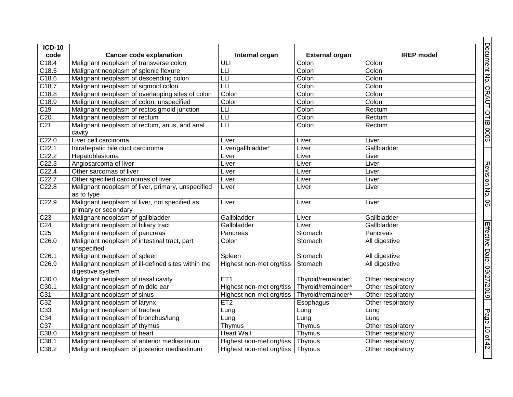| <b>ICD-10</b>     |                                                                        |                                |                                |                   |
|-------------------|------------------------------------------------------------------------|--------------------------------|--------------------------------|-------------------|
| code              | <b>Cancer code explanation</b>                                         | Internal organ                 | <b>External organ</b>          | <b>IREP</b> model |
| C18.4             | Malignant neoplasm of transverse colon                                 | ULI                            | Colon                          | Colon             |
| C18.5             | Malignant neoplasm of splenic flexure                                  | LLI                            | Colon                          | Colon             |
| C18.6             | Malignant neoplasm of descending colon                                 | Ш                              | Colon                          | Colon             |
| C18.7             | Malignant neoplasm of sigmoid colon                                    | L                              | Colon                          | Colon             |
| C18.8             | Malignant neoplasm of overlapping sites of colon                       | Colon                          | Colon                          | Colon             |
| C18.9             | Malignant neoplasm of colon, unspecified                               | Colon                          | Colon                          | Colon             |
| C19               | Malignant neoplasm of rectosigmoid junction                            | LLI                            | Colon                          | Rectum            |
| C <sub>20</sub>   | Malignant neoplasm of rectum                                           | L                              | Colon                          | Rectum            |
| C <sub>21</sub>   | Malignant neoplasm of rectum, anus, and anal<br>cavity                 | $\overline{\mathsf{L}}$        | Colon                          | Rectum            |
| C22.0             | Liver cell carcinoma                                                   | Liver                          | Liver                          | Liver             |
| C <sub>22.1</sub> | Intrahepatic bile duct carcinoma                                       | Liver/gallbladder <sup>c</sup> | Liver                          | Gallbladder       |
| C22.2             | Hepatoblastoma                                                         | Liver                          | Liver                          | Liver             |
| C22.3             | Angiosarcoma of liver                                                  | Liver                          | Liver                          | Liver             |
| C <sub>22.4</sub> | Other sarcomas of liver                                                | Liver                          | Liver                          | Liver             |
| C22.7             | Other specified carcinomas of liver                                    | Liver                          | Liver                          | Liver             |
| C22.8             | Malignant neoplasm of liver, primary, unspecified<br>as to type        | Liver                          | Liver                          | Liver             |
| C <sub>22.9</sub> | Malignant neoplasm of liver, not specified as<br>primary or secondary  | Liver                          | Liver                          | Liver             |
| C <sub>23</sub>   | Malignant neoplasm of gallbladder                                      | Gallbladder                    | Liver                          | Gallbladder       |
| C <sub>24</sub>   | Malignant neoplasm of biliary tract                                    | Gallbladder                    | Liver                          | Gallbladder       |
| C <sub>25</sub>   | Malignant neoplasm of pancreas                                         | Pancreas                       | Stomach                        | Pancreas          |
| C <sub>26.0</sub> | Malignant neoplasm of intestinal tract, part<br>unspecified            | Colon                          | Stomach                        | All digestive     |
| C <sub>26.1</sub> | Malignant neoplasm of spleen                                           | Spleen                         | Stomach                        | All digestive     |
| C <sub>26.9</sub> | Malignant neoplasm of ill-defined sites within the<br>digestive system | Highest non-met org/tiss       | Stomach                        | All digestive     |
| C30.0             | Malignant neoplasm of nasal cavity                                     | ET <sub>1</sub>                | Thyroid/remainder <sup>a</sup> | Other respiratory |
| C30.1             | Malignant neoplasm of middle ear                                       | Highest non-met org/tiss       | Thyroid/remainder <sup>a</sup> | Other respiratory |
| C31               | Malignant neoplasm of sinus                                            | Highest non-met org/tiss       | Thyroid/remainder <sup>a</sup> | Other respiratory |
| C <sub>32</sub>   | Malignant neoplasm of larynx                                           | ET2                            | Esophagus                      | Other respiratory |
| C <sub>33</sub>   | Malignant neoplasm of trachea                                          | Lung                           | Lung                           | Lung              |
| C <sub>34</sub>   | Malignant neoplasm of bronchus/lung                                    | Lung                           | Lung                           | Lung              |
| C37               | Malignant neoplasm of thymus                                           | Thymus                         | Thymus                         | Other respiratory |
| C38.0             | Malignant neoplasm of heart                                            | <b>Heart Wall</b>              | Thymus                         | Other respiratory |
| C38.1             | Malignant neoplasm of anterior mediastinum                             | Highest non-met org/tiss       | Thymus                         | Other respiratory |
| C38.2             | Malignant neoplasm of posterior mediastinum                            | Highest non-met org/tiss       | Thymus                         | Other respiratory |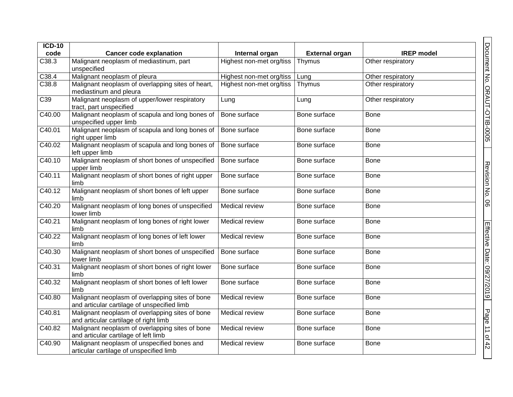| $ICD-10$ |                                                                                                |                          |                       |                   |
|----------|------------------------------------------------------------------------------------------------|--------------------------|-----------------------|-------------------|
| code     | <b>Cancer code explanation</b>                                                                 | Internal organ           | <b>External organ</b> | <b>IREP</b> model |
| C38.3    | Malignant neoplasm of mediastinum, part<br>unspecified                                         | Highest non-met org/tiss | Thymus                | Other respiratory |
| C38.4    | Malignant neoplasm of pleura                                                                   | Highest non-met org/tiss | Lung                  | Other respiratory |
| C38.8    | Malignant neoplasm of overlapping sites of heart,<br>mediastinum and pleura                    | Highest non-met org/tiss | Thymus                | Other respiratory |
| C39      | Malignant neoplasm of upper/lower respiratory<br>tract, part unspecified                       | Lung                     | Lung                  | Other respiratory |
| C40.00   | Malignant neoplasm of scapula and long bones of Bone surface<br>unspecified upper limb         |                          | Bone surface          | <b>Bone</b>       |
| C40.01   | Malignant neoplasm of scapula and long bones of<br>right upper limb                            | Bone surface             | Bone surface          | <b>Bone</b>       |
| C40.02   | Malignant neoplasm of scapula and long bones of<br>left upper limb                             | Bone surface             | Bone surface          | Bone              |
| C40.10   | Malignant neoplasm of short bones of unspecified<br>upper limb                                 | Bone surface             | Bone surface          | <b>Bone</b>       |
| C40.11   | Malignant neoplasm of short bones of right upper<br>limb                                       | Bone surface             | Bone surface          | <b>Bone</b>       |
| C40.12   | Malignant neoplasm of short bones of left upper<br>limb                                        | Bone surface             | Bone surface          | Bone              |
| C40.20   | Malignant neoplasm of long bones of unspecified<br>lower limb                                  | <b>Medical review</b>    | Bone surface          | <b>Bone</b>       |
| C40.21   | Malignant neoplasm of long bones of right lower<br>limb                                        | Medical review           | Bone surface          | <b>Bone</b>       |
| C40.22   | Malignant neoplasm of long bones of left lower<br>limb                                         | Medical review           | Bone surface          | <b>Bone</b>       |
| C40.30   | Malignant neoplasm of short bones of unspecified<br>lower limb                                 | Bone surface             | Bone surface          | <b>Bone</b>       |
| C40.31   | Malignant neoplasm of short bones of right lower<br>limb                                       | Bone surface             | Bone surface          | <b>Bone</b>       |
| C40.32   | Malignant neoplasm of short bones of left lower<br>limb                                        | Bone surface             | Bone surface          | <b>Bone</b>       |
| C40.80   | Malignant neoplasm of overlapping sites of bone<br>and articular cartilage of unspecified limb | Medical review           | Bone surface          | <b>Bone</b>       |
| C40.81   | Malignant neoplasm of overlapping sites of bone<br>and articular cartilage of right limb       | <b>Medical review</b>    | Bone surface          | <b>Bone</b>       |
| C40.82   | Malignant neoplasm of overlapping sites of bone<br>and articular cartilage of left limb        | Medical review           | Bone surface          | <b>Bone</b>       |
| C40.90   | Malignant neoplasm of unspecified bones and<br>articular cartilage of unspecified limb         | Medical review           | Bone surface          | <b>Bone</b>       |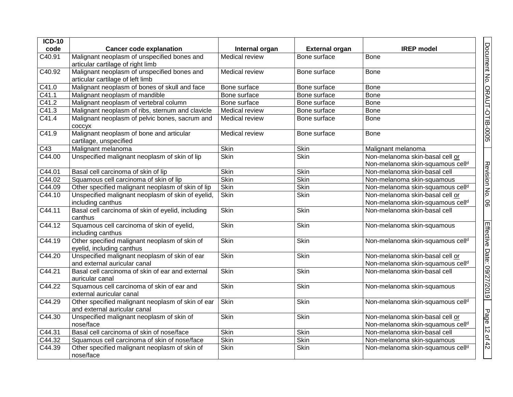| <b>ICD-10</b>    |                                                                                   |                |                       |                                                                                 |                              |
|------------------|-----------------------------------------------------------------------------------|----------------|-----------------------|---------------------------------------------------------------------------------|------------------------------|
| code             | <b>Cancer code explanation</b>                                                    | Internal organ | <b>External organ</b> | <b>IREP</b> model                                                               |                              |
| C40.91           | Malignant neoplasm of unspecified bones and<br>articular cartilage of right limb  | Medical review | Bone surface          | <b>Bone</b>                                                                     | Document No. ORAUT-OTIB-0005 |
| C40.92           | Malignant neoplasm of unspecified bones and<br>articular cartilage of left limb   | Medical review | Bone surface          | <b>Bone</b>                                                                     |                              |
| C41.0            | Malignant neoplasm of bones of skull and face                                     | Bone surface   | Bone surface          | Bone                                                                            |                              |
| C41.1            | Malignant neoplasm of mandible                                                    | Bone surface   | Bone surface          | Bone                                                                            |                              |
| C41.2            | Malignant neoplasm of vertebral column                                            | Bone surface   | Bone surface          | Bone                                                                            |                              |
| C41.3            | Malignant neoplasm of ribs, sternum and clavicle                                  | Medical review | Bone surface          | Bone                                                                            |                              |
| C41.4            | Malignant neoplasm of pelvic bones, sacrum and<br>coccyx                          | Medical review | Bone surface          | <b>Bone</b>                                                                     |                              |
| C41.9            | Malignant neoplasm of bone and articular<br>cartilage, unspecified                | Medical review | Bone surface          | Bone                                                                            |                              |
| $\overline{C43}$ | Malignant melanoma                                                                | <b>Skin</b>    | Skin                  | Malignant melanoma                                                              |                              |
| C44.00           | Unspecified malignant neoplasm of skin of lip                                     | Skin           | <b>Skin</b>           | Non-melanoma skin-basal cell or<br>Non-melanoma skin-squamous celld             |                              |
| C44.01           | Basal cell carcinoma of skin of lip                                               | <b>Skin</b>    | <b>Skin</b>           | Non-melanoma skin-basal cell                                                    |                              |
| C44.02           | Squamous cell carcinoma of skin of lip                                            | <b>Skin</b>    | Skin                  | Non-melanoma skin-squamous                                                      |                              |
| C44.09           | Other specified malignant neoplasm of skin of lip                                 | <b>Skin</b>    | <b>Skin</b>           | Non-melanoma skin-squamous cell <sup>d</sup>                                    |                              |
| C44.10           | Unspecified malignant neoplasm of skin of eyelid,                                 | <b>Skin</b>    | <b>Skin</b>           | Non-melanoma skin-basal cell or                                                 | Revision No.                 |
|                  | including canthus                                                                 |                |                       | Non-melanoma skin-squamous cell <sup>d</sup>                                    | 8                            |
| C44.11           | Basal cell carcinoma of skin of eyelid, including<br>canthus                      | <b>Skin</b>    | Skin                  | Non-melanoma skin-basal cell                                                    |                              |
| C44.12           | Squamous cell carcinoma of skin of eyelid,<br>including canthus                   | <b>Skin</b>    | <b>Skin</b>           | Non-melanoma skin-squamous                                                      |                              |
| C44.19           | Other specified malignant neoplasm of skin of<br>eyelid, including canthus        | <b>Skin</b>    | <b>Skin</b>           | Non-melanoma skin-squamous cell <sup>d</sup>                                    |                              |
| C44.20           | Unspecified malignant neoplasm of skin of ear<br>and external auricular canal     | <b>Skin</b>    | Skin                  | Non-melanoma skin-basal cell or<br>Non-melanoma skin-squamous cell <sup>d</sup> |                              |
| C44.21           | Basal cell carcinoma of skin of ear and external<br>auricular canal               | <b>Skin</b>    | <b>Skin</b>           | Non-melanoma skin-basal cell                                                    | Effective Date: 09/27/2019   |
| C44.22           | Squamous cell carcinoma of skin of ear and<br>external auricular canal            | <b>Skin</b>    | Skin                  | Non-melanoma skin-squamous                                                      |                              |
| C44.29           | Other specified malignant neoplasm of skin of ear<br>and external auricular canal | Skin           | Skin                  | Non-melanoma skin-squamous cell <sup>d</sup>                                    |                              |
| C44.30           | Unspecified malignant neoplasm of skin of<br>nose/face                            | Skin           | Skin                  | Non-melanoma skin-basal cell or<br>Non-melanoma skin-squamous cell <sup>d</sup> | Page 12 of 42                |
| C44.31           | Basal cell carcinoma of skin of nose/face                                         | Skin           | Skin                  | Non-melanoma skin-basal cell                                                    |                              |
| C44.32           | Squamous cell carcinoma of skin of nose/face                                      | <b>Skin</b>    | Skin                  | Non-melanoma skin-squamous                                                      |                              |
| C44.39           | Other specified malignant neoplasm of skin of<br>nose/face                        | <b>Skin</b>    | Skin                  | Non-melanoma skin-squamous celld                                                |                              |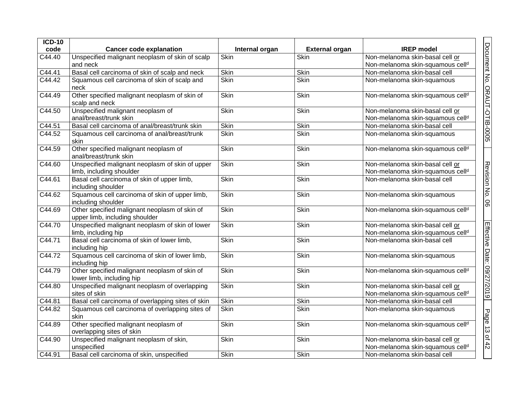| $ICD-10$            |                                                                                 |                |                       |                                                                                 |                              |
|---------------------|---------------------------------------------------------------------------------|----------------|-----------------------|---------------------------------------------------------------------------------|------------------------------|
| code                | <b>Cancer code explanation</b>                                                  | Internal organ | <b>External organ</b> | <b>IREP</b> model                                                               |                              |
| C44.40              | Unspecified malignant neoplasm of skin of scalp                                 | <b>Skin</b>    | <b>Skin</b>           | Non-melanoma skin-basal cell or                                                 |                              |
|                     | and neck                                                                        |                |                       | Non-melanoma skin-squamous cell <sup>d</sup>                                    |                              |
| C44.41              | Basal cell carcinoma of skin of scalp and neck                                  | Skin           | Skin                  | Non-melanoma skin-basal cell                                                    |                              |
| C44.42              | Squamous cell carcinoma of skin of scalp and<br>neck                            | <b>Skin</b>    | <b>Skin</b>           | Non-melanoma skin-squamous                                                      |                              |
| C44.49              | Other specified malignant neoplasm of skin of<br>scalp and neck                 | <b>Skin</b>    | Skin                  | Non-melanoma skin-squamous cell <sup>d</sup>                                    |                              |
| C44.50              | Unspecified malignant neoplasm of<br>anal/breast/trunk skin                     | <b>Skin</b>    | Skin                  | Non-melanoma skin-basal cell or<br>Non-melanoma skin-squamous cell <sup>d</sup> | Document No. ORAUT-OTIB-0005 |
| C44.51              | Basal cell carcinoma of anal/breast/trunk skin                                  | <b>Skin</b>    | Skin                  | Non-melanoma skin-basal cell                                                    |                              |
| $\overline{C44.52}$ | Squamous cell carcinoma of anal/breast/trunk<br>skin                            | <b>Skin</b>    | <b>Skin</b>           | Non-melanoma skin-squamous                                                      |                              |
| C44.59              | Other specified malignant neoplasm of<br>anal/breast/trunk skin                 | <b>Skin</b>    | Skin                  | Non-melanoma skin-squamous cell <sup>d</sup>                                    |                              |
| C44.60              | Unspecified malignant neoplasm of skin of upper<br>limb, including shoulder     | Skin           | Skin                  | Non-melanoma skin-basal cell or<br>Non-melanoma skin-squamous cell <sup>d</sup> |                              |
| C44.61              | Basal cell carcinoma of skin of upper limb,<br>including shoulder               | <b>Skin</b>    | Skin                  | Non-melanoma skin-basal cell                                                    |                              |
| C44.62              | Squamous cell carcinoma of skin of upper limb,<br>including shoulder            | <b>Skin</b>    | Skin                  | Non-melanoma skin-squamous                                                      | Revision No. 06              |
| C44.69              | Other specified malignant neoplasm of skin of<br>upper limb, including shoulder | <b>Skin</b>    | Skin                  | Non-melanoma skin-squamous cell <sup>d</sup>                                    |                              |
| C44.70              | Unspecified malignant neoplasm of skin of lower<br>limb, including hip          | <b>Skin</b>    | <b>Skin</b>           | Non-melanoma skin-basal cell or<br>Non-melanoma skin-squamous cell <sup>d</sup> |                              |
| C44.71              | Basal cell carcinoma of skin of lower limb,<br>including hip                    | Skin           | Skin                  | Non-melanoma skin-basal cell                                                    | Effective Date: 09/27/2019   |
| C44.72              | Squamous cell carcinoma of skin of lower limb,<br>including hip                 | <b>Skin</b>    | Skin                  | Non-melanoma skin-squamous                                                      |                              |
| C44.79              | Other specified malignant neoplasm of skin of<br>lower limb, including hip      | <b>Skin</b>    | Skin                  | Non-melanoma skin-squamous cell <sup>d</sup>                                    |                              |
| C44.80              | Unspecified malignant neoplasm of overlapping<br>sites of skin                  | <b>Skin</b>    | Skin                  | Non-melanoma skin-basal cell or<br>Non-melanoma skin-squamous cell <sup>d</sup> |                              |
| C44.81              | Basal cell carcinoma of overlapping sites of skin                               | Skin           | Skin                  | Non-melanoma skin-basal cell                                                    |                              |
| C44.82              | Squamous cell carcinoma of overlapping sites of<br>skin                         | <b>Skin</b>    | <b>Skin</b>           | Non-melanoma skin-squamous                                                      |                              |
| C44.89              | Other specified malignant neoplasm of<br>overlapping sites of skin              | <b>Skin</b>    | Skin                  | Non-melanoma skin-squamous cell <sup>d</sup>                                    | Page 13 of 42                |
| C44.90              | Unspecified malignant neoplasm of skin,<br>unspecified                          | Skin           | Skin                  | Non-melanoma skin-basal cell or<br>Non-melanoma skin-squamous cell <sup>d</sup> |                              |
| C44.91              | Basal cell carcinoma of skin, unspecified                                       | Skin           | Skin                  | Non-melanoma skin-basal cell                                                    |                              |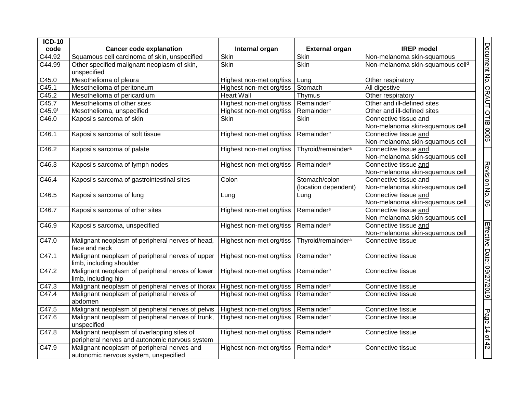| $ICD-10$           |                                                                                              |                          |                                       |                                                          |                              |
|--------------------|----------------------------------------------------------------------------------------------|--------------------------|---------------------------------------|----------------------------------------------------------|------------------------------|
| code               | <b>Cancer code explanation</b>                                                               | Internal organ           | <b>External organ</b>                 | <b>IREP</b> model                                        |                              |
| C44.92             | Squamous cell carcinoma of skin, unspecified                                                 | <b>Skin</b>              | <b>Skin</b>                           | Non-melanoma skin-squamous                               |                              |
| C44.99             | Other specified malignant neoplasm of skin,<br>unspecified                                   | <b>Skin</b>              | Skin                                  | Non-melanoma skin-squamous cell <sup>d</sup>             | Document No. ORAUT-OTIB-0005 |
| C45.0              | Mesothelioma of pleura                                                                       | Highest non-met org/tiss | Lung                                  | Other respiratory                                        |                              |
| C45.1              | Mesothelioma of peritoneum                                                                   | Highest non-met org/tiss | Stomach                               | All digestive                                            |                              |
| C45.2              | Mesothelioma of pericardium                                                                  | <b>Heart Wall</b>        | Thymus                                | Other respiratory                                        |                              |
| $\overline{C45.7}$ | Mesothelioma of other sites                                                                  | Highest non-met org/tiss | Remainder <sup>e</sup>                | Other and ill-defined sites                              |                              |
| C45.9 <sup>f</sup> | Mesothelioma, unspecified                                                                    | Highest non-met org/tiss | Remainder <sup>e</sup>                | Other and ill-defined sites                              |                              |
| C46.0              | Kaposi's sarcoma of skin                                                                     | <b>Skin</b>              | Skin                                  | Connective tissue and<br>Non-melanoma skin-squamous cell |                              |
| C46.1              | Kaposi's sarcoma of soft tissue                                                              | Highest non-met org/tiss | Remainder <sup>e</sup>                | Connective tissue and<br>Non-melanoma skin-squamous cell |                              |
| $\overline{C46.2}$ | Kaposi's sarcoma of palate                                                                   | Highest non-met org/tiss | Thyroid/remainder <sup>a</sup>        | Connective tissue and<br>Non-melanoma skin-squamous cell |                              |
| C46.3              | Kaposi's sarcoma of lymph nodes                                                              | Highest non-met org/tiss | Remainder <sup>e</sup>                | Connective tissue and<br>Non-melanoma skin-squamous cell | Revision No. 06              |
| C46.4              | Kaposi's sarcoma of gastrointestinal sites                                                   | Colon                    | Stomach/colon<br>(location dependent) | Connective tissue and<br>Non-melanoma skin-squamous cell |                              |
| C46.5              | Kaposi's sarcoma of lung                                                                     | Lung                     | Lung                                  | Connective tissue and<br>Non-melanoma skin-squamous cell |                              |
| $\overline{C46.7}$ | Kaposi's sarcoma of other sites                                                              | Highest non-met org/tiss | Remainder <sup>e</sup>                | Connective tissue and<br>Non-melanoma skin-squamous cell |                              |
| C46.9              | Kaposi's sarcoma, unspecified                                                                | Highest non-met org/tiss | Remainder <sup>e</sup>                | Connective tissue and<br>Non-melanoma skin-squamous cell |                              |
| C47.0              | Malignant neoplasm of peripheral nerves of head,<br>face and neck                            | Highest non-met org/tiss | Thyroid/remainder <sup>a</sup>        | Connective tissue                                        |                              |
| C47.1              | Malignant neoplasm of peripheral nerves of upper<br>limb, including shoulder                 | Highest non-met org/tiss | Remainder <sup>e</sup>                | Connective tissue                                        |                              |
| C47.2              | Malignant neoplasm of peripheral nerves of lower<br>limb, including hip                      | Highest non-met org/tiss | Remainder <sup>e</sup>                | Connective tissue                                        | Effective Date: 09/27/2019   |
| C47.3              | Malignant neoplasm of peripheral nerves of thorax                                            | Highest non-met org/tiss | Remainder <sup>e</sup>                | Connective tissue                                        |                              |
| C47.4              | Malignant neoplasm of peripheral nerves of<br>abdomen                                        | Highest non-met org/tiss | Remainder <sup>e</sup>                | Connective tissue                                        |                              |
| C47.5              | Malignant neoplasm of peripheral nerves of pelvis                                            | Highest non-met org/tiss | Remainder <sup>e</sup>                | Connective tissue                                        |                              |
| C47.6              | Malignant neoplasm of peripheral nerves of trunk,<br>unspecified                             | Highest non-met org/tiss | Remainder <sup>e</sup>                | Connective tissue                                        |                              |
| C47.8              | Malignant neoplasm of overlapping sites of<br>peripheral nerves and autonomic nervous system | Highest non-met org/tiss | Remainder <sup>e</sup>                | Connective tissue                                        | Page 14 of 42                |
| C47.9              | Malignant neoplasm of peripheral nerves and<br>autonomic nervous system, unspecified         | Highest non-met org/tiss | Remainder <sup>e</sup>                | Connective tissue                                        |                              |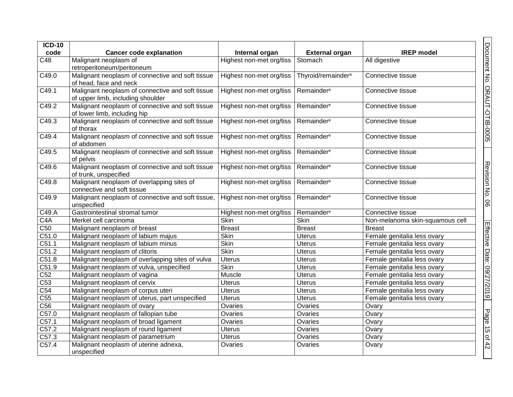| $ICD-10$           |                                                                                       |                          |                                |                                 |
|--------------------|---------------------------------------------------------------------------------------|--------------------------|--------------------------------|---------------------------------|
| code               | <b>Cancer code explanation</b>                                                        | Internal organ           | <b>External organ</b>          | <b>IREP</b> model               |
| C48                | Malignant neoplasm of<br>retroperitoneum/peritoneum                                   | Highest non-met org/tiss | Stomach                        | All digestive                   |
| $\overline{C49.0}$ | Malignant neoplasm of connective and soft tissue<br>of head, face and neck            | Highest non-met org/tiss | Thyroid/remainder <sup>a</sup> | Connective tissue               |
| C49.1              | Malignant neoplasm of connective and soft tissue<br>of upper limb, including shoulder | Highest non-met org/tiss | Remainder <sup>e</sup>         | Connective tissue               |
| $\overline{C49.2}$ | Malignant neoplasm of connective and soft tissue<br>of lower limb, including hip      | Highest non-met org/tiss | Remainder <sup>e</sup>         | Connective tissue               |
| C49.3              | Malignant neoplasm of connective and soft tissue<br>of thorax                         | Highest non-met org/tiss | Remainder <sup>e</sup>         | Connective tissue               |
| C49.4              | Malignant neoplasm of connective and soft tissue<br>of abdomen                        | Highest non-met org/tiss | Remainder <sup>e</sup>         | Connective tissue               |
| C49.5              | Malignant neoplasm of connective and soft tissue<br>of pelvis                         | Highest non-met org/tiss | Remainder <sup>e</sup>         | Connective tissue               |
| C49.6              | Malignant neoplasm of connective and soft tissue<br>of trunk, unspecified             | Highest non-met org/tiss | Remainder <sup>e</sup>         | Connective tissue               |
| C49.8              | Malignant neoplasm of overlapping sites of<br>connective and soft tissue              | Highest non-met org/tiss | Remainder <sup>e</sup>         | Connective tissue               |
| C49.9              | Malignant neoplasm of connective and soft tissue,<br>unspecified                      | Highest non-met org/tiss | Remainder <sup>e</sup>         | Connective tissue               |
| C49.A              | Gastrointestinal stromal tumor                                                        | Highest non-met org/tiss | Remainder <sup>e</sup>         | Connective tissue               |
| C4A                | Merkel cell carcinoma                                                                 | <b>Skin</b>              | Skin                           | Non-melanoma skin-squamous cell |
| C50                | Malignant neoplasm of breast                                                          | <b>Breast</b>            | <b>Breast</b>                  | <b>Breast</b>                   |
| C51.0              | Malignant neoplasm of labium majus                                                    | <b>Skin</b>              | <b>Uterus</b>                  | Female genitalia less ovary     |
| C51.1              | Malignant neoplasm of labium minus                                                    | <b>Skin</b>              | Uterus                         | Female genitalia less ovary     |
| C51.2              | Malignant neoplasm of clitoris                                                        | Skin                     | <b>Uterus</b>                  | Female genitalia less ovary     |
| C51.8              | Malignant neoplasm of overlapping sites of vulva                                      | <b>Uterus</b>            | <b>Uterus</b>                  | Female genitalia less ovary     |
| C51.9              | Malignant neoplasm of vulva, unspecified                                              | <b>Skin</b>              | <b>Uterus</b>                  | Female genitalia less ovary     |
| C52                | Malignant neoplasm of vagina                                                          | Muscle                   | <b>Uterus</b>                  | Female genitalia less ovary     |
| $\overline{C53}$   | Malignant neoplasm of cervix                                                          | <b>Uterus</b>            | <b>Uterus</b>                  | Female genitalia less ovary     |
| C54                | Malignant neoplasm of corpus uteri                                                    | <b>Uterus</b>            | <b>Uterus</b>                  | Female genitalia less ovary     |
| C55                | Malignant neoplasm of uterus, part unspecified                                        | <b>Uterus</b>            | Uterus                         | Female genitalia less ovary     |
| C56                | Malignant neoplasm of ovary                                                           | Ovaries                  | Ovaries                        | Ovary                           |
| C57.0              | Malignant neoplasm of fallopian tube                                                  | Ovaries                  | Ovaries                        | Ovary                           |
| C57.1              | Malignant neoplasm of broad ligament                                                  | Ovaries                  | Ovaries                        | Ovary                           |
| C57.2              | Malignant neoplasm of round ligament                                                  | <b>Uterus</b>            | Ovaries                        | Ovary                           |
| C57.3              | Malignant neoplasm of parametrium                                                     | <b>Uterus</b>            | Ovaries                        | Ovary                           |
| C57.4              | Malignant neoplasm of uterine adnexa,<br>unspecified                                  | Ovaries                  | Ovaries                        | Ovary                           |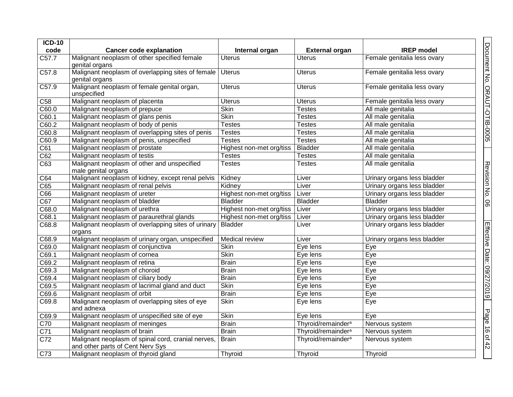| <b>ICD-10</b>      |                                                                                        |                          |                                |                             |  |
|--------------------|----------------------------------------------------------------------------------------|--------------------------|--------------------------------|-----------------------------|--|
| code               | <b>Cancer code explanation</b>                                                         | Internal organ           | <b>External organ</b>          | <b>IREP</b> model           |  |
| $\overline{C57.7}$ | Malignant neoplasm of other specified female<br>genital organs                         | <b>Uterus</b>            | <b>Uterus</b>                  | Female genitalia less ovary |  |
| C57.8              | Malignant neoplasm of overlapping sites of female<br>genital organs                    | Uterus                   | Uterus                         | Female genitalia less ovary |  |
| C57.9              | Malignant neoplasm of female genital organ,<br>unspecified                             | <b>Uterus</b>            | <b>Uterus</b>                  | Female genitalia less ovary |  |
| $\overline{C58}$   | Malignant neoplasm of placenta                                                         | <b>Uterus</b>            | <b>Uterus</b>                  | Female genitalia less ovary |  |
| C60.0              | Malignant neoplasm of prepuce                                                          | <b>Skin</b>              | Testes                         | All male genitalia          |  |
| C60.1              | Malignant neoplasm of glans penis                                                      | <b>Skin</b>              | Testes                         | All male genitalia          |  |
| C60.2              | Malignant neoplasm of body of penis                                                    | <b>Testes</b>            | Testes                         | All male genitalia          |  |
| C60.8              | Malignant neoplasm of overlapping sites of penis                                       | <b>Testes</b>            | <b>Testes</b>                  | All male genitalia          |  |
| C60.9              | Malignant neoplasm of penis, unspecified                                               | <b>Testes</b>            | <b>Testes</b>                  | All male genitalia          |  |
| $\overline{C61}$   | Malignant neoplasm of prostate                                                         | Highest non-met org/tiss | <b>Bladder</b>                 | All male genitalia          |  |
| C62                | Malignant neoplasm of testis                                                           | <b>Testes</b>            | <b>Testes</b>                  | All male genitalia          |  |
| C63                | Malignant neoplasm of other and unspecified<br>male genital organs                     | <b>Testes</b>            | <b>Testes</b>                  | All male genitalia          |  |
| C64                | Malignant neoplasm of kidney, except renal pelvis                                      | Kidney                   | Liver                          | Urinary organs less bladder |  |
| C65                | Malignant neoplasm of renal pelvis                                                     | Kidney                   | Liver                          | Urinary organs less bladder |  |
| C66                | Malignant neoplasm of ureter                                                           | Highest non-met org/tiss | Liver                          | Urinary organs less bladder |  |
| C67                | Malignant neoplasm of bladder                                                          | <b>Bladder</b>           | <b>Bladder</b>                 | <b>Bladder</b>              |  |
| C68.0              | Malignant neoplasm of urethra                                                          | Highest non-met org/tiss | Liver                          | Urinary organs less bladder |  |
| C68.1              | Malignant neoplasm of paraurethral glands                                              | Highest non-met org/tiss | Liver                          | Urinary organs less bladder |  |
| C68.8              | Malignant neoplasm of overlapping sites of urinary<br>organs                           | Bladder                  | Liver                          | Urinary organs less bladder |  |
| C68.9              | Malignant neoplasm of urinary organ, unspecified                                       | <b>Medical review</b>    | Liver                          | Urinary organs less bladder |  |
| C69.0              | Malignant neoplasm of conjunctiva                                                      | <b>Skin</b>              | Eye lens                       | Eye                         |  |
| C69.1              | Malignant neoplasm of cornea                                                           | <b>Skin</b>              | Eye lens                       | Eye                         |  |
| C69.2              | Malignant neoplasm of retina                                                           | <b>Brain</b>             | Eye lens                       | Eye                         |  |
| C69.3              | Malignant neoplasm of choroid                                                          | <b>Brain</b>             | Eye lens                       | Eye                         |  |
| $\overline{C69.4}$ | Malignant neoplasm of ciliary body                                                     | <b>Brain</b>             | Eye lens                       | Eye                         |  |
| $\overline{C69.5}$ | Malignant neoplasm of lacrimal gland and duct                                          | <b>Skin</b>              | Eye lens                       | Eye                         |  |
| C69.6              | Malignant neoplasm of orbit                                                            | <b>Brain</b>             | Eye lens                       | Eye                         |  |
| C69.8              | Malignant neoplasm of overlapping sites of eye<br>and adnexa                           | <b>Skin</b>              | Eye lens                       | Eye                         |  |
| C69.9              | Malignant neoplasm of unspecified site of eye                                          | <b>Skin</b>              | Eye lens                       | Eye                         |  |
| C70                | Malignant neoplasm of meninges                                                         | <b>Brain</b>             | Thyroid/remainder <sup>a</sup> | Nervous system              |  |
| C <sub>71</sub>    | Malignant neoplasm of brain                                                            | <b>Brain</b>             | Thyroid/remainder <sup>a</sup> | Nervous system              |  |
| C <sub>72</sub>    | Malignant neoplasm of spinal cord, cranial nerves,<br>and other parts of Cent Nerv Sys | Brain                    | Thyroid/remainder <sup>a</sup> | Nervous system              |  |
| C <sub>73</sub>    | Malignant neoplasm of thyroid gland                                                    | Thyroid                  | Thyroid                        | Thyroid                     |  |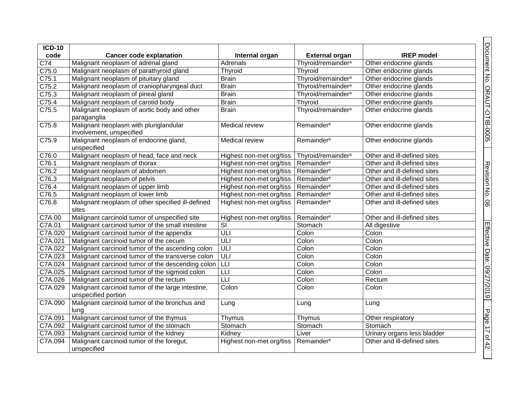| <b>ICD-10</b>    |                                                                          |                          |                                |                             |
|------------------|--------------------------------------------------------------------------|--------------------------|--------------------------------|-----------------------------|
| code             | <b>Cancer code explanation</b>                                           | Internal organ           | <b>External organ</b>          | <b>IREP</b> model           |
| $\overline{C74}$ | Malignant neoplasm of adrenal gland                                      | Adrenals                 | Thyroid/remainder <sup>a</sup> | Other endocrine glands      |
| C75.0            | Malignant neoplasm of parathyroid gland                                  | Thyroid                  | Thyroid                        | Other endocrine glands      |
| C75.1            | Malignant neoplasm of pituitary gland                                    | <b>Brain</b>             | Thyroid/remainder <sup>a</sup> | Other endocrine glands      |
| C75.2            | Malignant neoplasm of craniopharyngeal duct                              | <b>Brain</b>             | Thyroid/remainder <sup>a</sup> | Other endocrine glands      |
| C75.3            | Malignant neoplasm of pineal gland                                       | <b>Brain</b>             | Thyroid/remainder <sup>a</sup> | Other endocrine glands      |
| C75.4            | Malignant neoplasm of carotid body                                       | <b>Brain</b>             | Thyroid                        | Other endocrine glands      |
| C75.5            | Malignant neoplasm of aortic body and other<br>paraganglia               | <b>Brain</b>             | Thyroid/remainder <sup>a</sup> | Other endocrine glands      |
| C75.8            | Malignant neoplasm with pluriglandular<br>involvement, unspecified       | Medical review           | Remainder <sup>e</sup>         | Other endocrine glands      |
| C75.9            | Malignant neoplasm of endocrine gland,<br>unspecified                    | <b>Medical review</b>    | Remainder <sup>e</sup>         | Other endocrine glands      |
| C76.0            | Malignant neoplasm of head, face and neck                                | Highest non-met org/tiss | Thyroid/remainder <sup>a</sup> | Other and ill-defined sites |
| C76.1            | Malignant neoplasm of thorax                                             | Highest non-met org/tiss | Remainder <sup>e</sup>         | Other and ill-defined sites |
| C76.2            | Malignant neoplasm of abdomen                                            | Highest non-met org/tiss | Remainder <sup>e</sup>         | Other and ill-defined sites |
| C76.3            | Malignant neoplasm of pelvis                                             | Highest non-met org/tiss | Remainder <sup>e</sup>         | Other and ill-defined sites |
| C76.4            | Malignant neoplasm of upper limb                                         | Highest non-met org/tiss | Remainder <sup>e</sup>         | Other and ill-defined sites |
| C76.5            | Malignant neoplasm of lower limb                                         | Highest non-met org/tiss | Remainder <sup>e</sup>         | Other and ill-defined sites |
| C76.8            | Malignant neoplasm of other specified ill-defined<br>sites               | Highest non-met org/tiss | Remainder <sup>e</sup>         | Other and ill-defined sites |
| C7A.00           | Malignant carcinoid tumor of unspecified site                            | Highest non-met org/tiss | Remainder <sup>e</sup>         | Other and ill-defined sites |
| C7A.01           | Malignant carcinoid tumor of the small intestine                         | $\overline{\mathsf{SI}}$ | Stomach                        | All digestive               |
| C7A.020          | Malignant carcinoid tumor of the appendix                                | ULI                      | Colon                          | Colon                       |
| C7A.021          | Malignant carcinoid tumor of the cecum                                   | ULI                      | Colon                          | Colon                       |
| C7A.022          | Malignant carcinoid tumor of the ascending colon                         | ULI                      | Colon                          | Colon                       |
| C7A.023          | Malignant carcinoid tumor of the transverse colon                        | ULI                      | Colon                          | Colon                       |
| C7A.024          | Malignant carcinoid tumor of the descending colon   LLI                  |                          | Colon                          | Colon                       |
| C7A.025          | Malignant carcinoid tumor of the sigmoid colon                           | LLI                      | Colon                          | Colon                       |
| C7A.026          | Malignant carcinoid tumor of the rectum                                  | LLI                      | Colon                          | Rectum                      |
| C7A.029          | Malignant carcinoid tumor of the large intestine,<br>unspecified portion | Colon                    | Colon                          | Colon                       |
| C7A.090          | Malignant carcinoid tumor of the bronchus and<br>lung                    | Lung                     | Lung                           | Lung                        |
| C7A.091          | Malignant carcinoid tumor of the thymus                                  | Thymus                   | Thymus                         | Other respiratory           |
| C7A.092          | Malignant carcinoid tumor of the stomach                                 | Stomach                  | Stomach                        | Stomach                     |
| C7A.093          | Malignant carcinoid tumor of the kidney                                  | Kidney                   | Liver                          | Urinary organs less bladder |
| C7A.094          | Malignant carcinoid tumor of the foregut,<br>unspecified                 | Highest non-met org/tiss | Remainder <sup>e</sup>         | Other and ill-defined sites |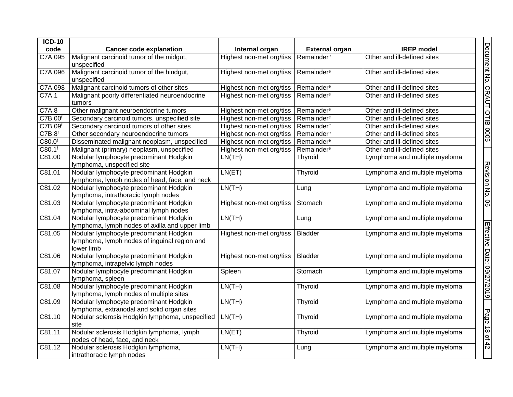| $ICD-10$            |                                                                                                      |                          |                        |                               |
|---------------------|------------------------------------------------------------------------------------------------------|--------------------------|------------------------|-------------------------------|
| code                | <b>Cancer code explanation</b>                                                                       | Internal organ           | <b>External organ</b>  | <b>IREP</b> model             |
| C7A.095             | Malignant carcinoid tumor of the midgut,<br>unspecified                                              | Highest non-met org/tiss | Remainder <sup>e</sup> | Other and ill-defined sites   |
| C7A.096             | Malignant carcinoid tumor of the hindgut,<br>unspecified                                             | Highest non-met org/tiss | Remainder <sup>e</sup> | Other and ill-defined sites   |
| C7A.098             | Malignant carcinoid tumors of other sites                                                            | Highest non-met org/tiss | Remainder <sup>e</sup> | Other and ill-defined sites   |
| C7A.1               | Malignant poorly differentiated neuroendocrine<br>tumors                                             | Highest non-met org/tiss | Remainder <sup>e</sup> | Other and ill-defined sites   |
| C7A.8               | Other malignant neuroendocrine tumors                                                                | Highest non-met org/tiss | Remainder <sup>e</sup> | Other and ill-defined sites   |
| C7B.00 <sup>f</sup> | Secondary carcinoid tumors, unspecified site                                                         | Highest non-met org/tiss | Remainder <sup>e</sup> | Other and ill-defined sites   |
| C7B.09 <sup>f</sup> | Secondary carcinoid tumors of other sites                                                            | Highest non-met org/tiss | Remainder <sup>e</sup> | Other and ill-defined sites   |
| C7B.8 <sup>f</sup>  | Other secondary neuroendocrine tumors                                                                | Highest non-met org/tiss | Remainder <sup>e</sup> | Other and ill-defined sites   |
| C80.0 <sup>f</sup>  | Disseminated malignant neoplasm, unspecified                                                         | Highest non-met org/tiss | Remainder <sup>e</sup> | Other and ill-defined sites   |
| C80.1 <sup>f</sup>  | Malignant (primary) neoplasm, unspecified                                                            | Highest non-met org/tiss | Remainder <sup>e</sup> | Other and ill-defined sites   |
| C81.00              | Nodular lymphocyte predominant Hodgkin<br>lymphoma, unspecified site                                 | LN(TH)                   | <b>Thyroid</b>         | Lymphoma and multiple myeloma |
| C81.01              | Nodular lymphocyte predominant Hodgkin<br>lymphoma, lymph nodes of head, face, and neck              | LN(ET)                   | Thyroid                | Lymphoma and multiple myeloma |
| C81.02              | Nodular lymphocyte predominant Hodgkin<br>lymphoma, intrathoracic lymph nodes                        | LN(TH)                   | Lung                   | Lymphoma and multiple myeloma |
| C81.03              | Nodular lymphocyte predominant Hodgkin<br>lymphoma, intra-abdominal lymph nodes                      | Highest non-met org/tiss | Stomach                | Lymphoma and multiple myeloma |
| C81.04              | Nodular lymphocyte predominant Hodgkin<br>lymphoma, lymph nodes of axilla and upper limb             | LN(TH)                   | Lung                   | Lymphoma and multiple myeloma |
| C81.05              | Nodular lymphocyte predominant Hodgkin<br>lymphoma, lymph nodes of inguinal region and<br>lower limb | Highest non-met org/tiss | <b>Bladder</b>         | Lymphoma and multiple myeloma |
| C81.06              | Nodular lymphocyte predominant Hodgkin<br>lymphoma, intrapelvic lymph nodes                          | Highest non-met org/tiss | <b>Bladder</b>         | Lymphoma and multiple myeloma |
| C81.07              | Nodular lymphocyte predominant Hodgkin<br>lymphoma, spleen                                           | Spleen                   | Stomach                | Lymphoma and multiple myeloma |
| C81.08              | Nodular lymphocyte predominant Hodgkin<br>lymphoma, lymph nodes of multiple sites                    | LN(TH)                   | Thyroid                | Lymphoma and multiple myeloma |
| C81.09              | Nodular lymphocyte predominant Hodgkin<br>lymphoma, extranodal and solid organ sites                 | LN(TH)                   | Thyroid                | Lymphoma and multiple myeloma |
| C81.10              | Nodular sclerosis Hodgkin lymphoma, unspecified<br>site                                              | LN(TH)                   | Thyroid                | Lymphoma and multiple myeloma |
| C81.11              | Nodular sclerosis Hodgkin lymphoma, lymph<br>nodes of head, face, and neck                           | LN(ET)                   | Thyroid                | Lymphoma and multiple myeloma |
| C81.12              | Nodular sclerosis Hodgkin lymphoma,<br>intrathoracic lymph nodes                                     | LN(TH)                   | Lung                   | Lymphoma and multiple myeloma |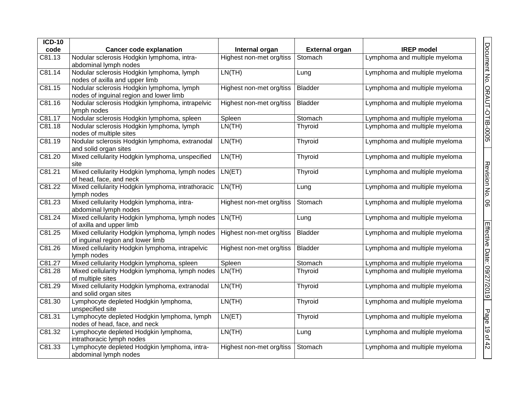| $ICD-10$            |                                                                                      |                          |                       |                               |                              |
|---------------------|--------------------------------------------------------------------------------------|--------------------------|-----------------------|-------------------------------|------------------------------|
| code                | <b>Cancer code explanation</b>                                                       | Internal organ           | <b>External organ</b> | <b>IREP</b> model             |                              |
| C81.13              | Nodular sclerosis Hodgkin lymphoma, intra-<br>abdominal lymph nodes                  | Highest non-met org/tiss | Stomach               | Lymphoma and multiple myeloma |                              |
| C81.14              | Nodular sclerosis Hodgkin lymphoma, lymph<br>nodes of axilla and upper limb          | LN(TH)                   | Lung                  | Lymphoma and multiple myeloma | Document No. ORAUT-OTIB-0005 |
| C81.15              | Nodular sclerosis Hodgkin lymphoma, lymph<br>nodes of inguinal region and lower limb | Highest non-met org/tiss | <b>Bladder</b>        | Lymphoma and multiple myeloma |                              |
| C81.16              | Nodular sclerosis Hodgkin lymphoma, intrapelvic<br>lymph nodes                       | Highest non-met org/tiss | <b>Bladder</b>        | Lymphoma and multiple myeloma |                              |
| C81.17              | Nodular sclerosis Hodgkin lymphoma, spleen                                           | Spleen                   | Stomach               | Lymphoma and multiple myeloma |                              |
| C81.18              | Nodular sclerosis Hodgkin lymphoma, lymph<br>nodes of multiple sites                 | LN(TH)                   | Thyroid               | Lymphoma and multiple myeloma |                              |
| C81.19              | Nodular sclerosis Hodgkin lymphoma, extranodal<br>and solid organ sites              | LN(TH)                   | Thyroid               | Lymphoma and multiple myeloma |                              |
| C81.20              | Mixed cellularity Hodgkin lymphoma, unspecified<br>site                              | LN(TH)                   | Thyroid               | Lymphoma and multiple myeloma |                              |
| C81.21              | Mixed cellularity Hodgkin lymphoma, lymph nodes<br>of head, face, and neck           | LN(ET)                   | <b>Thyroid</b>        | Lymphoma and multiple myeloma | Revision No.                 |
| C81.22              | Mixed cellularity Hodgkin lymphoma, intrathoracic<br>lymph nodes                     | LN(TH)                   | Lung                  | Lymphoma and multiple myeloma |                              |
| C81.23              | Mixed cellularity Hodgkin lymphoma, intra-<br>abdominal lymph nodes                  | Highest non-met org/tiss | Stomach               | Lymphoma and multiple myeloma | 8                            |
| C81.24              | Mixed cellularity Hodgkin lymphoma, lymph nodes<br>of axilla and upper limb          | LN(TH)                   | Lung                  | Lymphoma and multiple myeloma |                              |
| C81.25              | Mixed cellularity Hodgkin lymphoma, lymph nodes<br>of inguinal region and lower limb | Highest non-met org/tiss | <b>Bladder</b>        | Lymphoma and multiple myeloma |                              |
| C81.26              | Mixed cellularity Hodgkin lymphoma, intrapelvic<br>lymph nodes                       | Highest non-met org/tiss | Bladder               | Lymphoma and multiple myeloma |                              |
| $\overline{C81.27}$ | Mixed cellularity Hodgkin lymphoma, spleen                                           | Spleen                   | Stomach               | Lymphoma and multiple myeloma |                              |
| C81.28              | Mixed cellularity Hodgkin lymphoma, lymph nodes<br>of multiple sites                 | LN(TH)                   | <b>Thyroid</b>        | Lymphoma and multiple myeloma |                              |
| C81.29              | Mixed cellularity Hodgkin lymphoma, extranodal<br>and solid organ sites              | LN(TH)                   | Thyroid               | Lymphoma and multiple myeloma | Effective Date: 09/27/2019   |
| C81.30              | Lymphocyte depleted Hodgkin lymphoma,<br>unspecified site                            | LN(TH)                   | Thyroid               | Lymphoma and multiple myeloma |                              |
| C81.31              | Lymphocyte depleted Hodgkin lymphoma, lymph<br>nodes of head, face, and neck         | LN(ET)                   | <b>Thyroid</b>        | Lymphoma and multiple myeloma | Page                         |
| C81.32              | Lymphocyte depleted Hodgkin lymphoma,<br>intrathoracic lymph nodes                   | LN(TH)                   | Lung                  | Lymphoma and multiple myeloma | 19 of 42                     |
| C81.33              | Lymphocyte depleted Hodgkin lymphoma, intra-<br>abdominal lymph nodes                | Highest non-met org/tiss | Stomach               | Lymphoma and multiple myeloma |                              |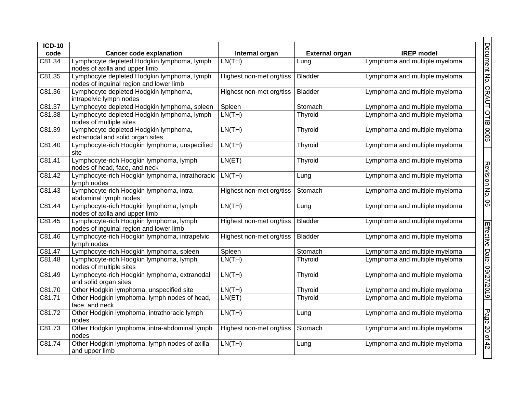| $ICD-10$ |                                                                                        |                          |                       |                               |
|----------|----------------------------------------------------------------------------------------|--------------------------|-----------------------|-------------------------------|
| code     | <b>Cancer code explanation</b>                                                         | Internal organ           | <b>External organ</b> | <b>IREP</b> model             |
| C81.34   | Lymphocyte depleted Hodgkin lymphoma, lymph<br>nodes of axilla and upper limb          | LN(TH)                   | Lung                  | Lymphoma and multiple myeloma |
| C81.35   | Lymphocyte depleted Hodgkin lymphoma, lymph<br>nodes of inguinal region and lower limb | Highest non-met org/tiss | <b>Bladder</b>        | Lymphoma and multiple myeloma |
| C81.36   | Lymphocyte depleted Hodgkin lymphoma,<br>intrapelvic lymph nodes                       | Highest non-met org/tiss | Bladder               | Lymphoma and multiple myeloma |
| C81.37   | Lymphocyte depleted Hodgkin lymphoma, spleen                                           | Spleen                   | Stomach               | Lymphoma and multiple myeloma |
| C81.38   | Lymphocyte depleted Hodgkin lymphoma, lymph<br>nodes of multiple sites                 | LN(TH)                   | Thyroid               | Lymphoma and multiple myeloma |
| C81.39   | Lymphocyte depleted Hodgkin lymphoma,<br>extranodal and solid organ sites              | LN(TH)                   | Thyroid               | Lymphoma and multiple myeloma |
| C81.40   | Lymphocyte-rich Hodgkin lymphoma, unspecified<br>site                                  | LN(TH)                   | Thyroid               | Lymphoma and multiple myeloma |
| C81.41   | Lymphocyte-rich Hodgkin lymphoma, lymph<br>nodes of head, face, and neck               | LN(ET)                   | Thyroid               | Lymphoma and multiple myeloma |
| C81.42   | Lymphocyte-rich Hodgkin lymphoma, intrathoracic<br>lymph nodes                         | LN(TH)                   | Lung                  | Lymphoma and multiple myeloma |
| C81.43   | Lymphocyte-rich Hodgkin lymphoma, intra-<br>abdominal lymph nodes                      | Highest non-met org/tiss | Stomach               | Lymphoma and multiple myeloma |
| C81.44   | Lymphocyte-rich Hodgkin lymphoma, lymph<br>nodes of axilla and upper limb              | LN(TH)                   | Lung                  | Lymphoma and multiple myeloma |
| C81.45   | Lymphocyte-rich Hodgkin lymphoma, lymph<br>nodes of inguinal region and lower limb     | Highest non-met org/tiss | <b>Bladder</b>        | Lymphoma and multiple myeloma |
| C81.46   | Lymphocyte-rich Hodgkin lymphoma, intrapelvic<br>lymph nodes                           | Highest non-met org/tiss | <b>Bladder</b>        | Lymphoma and multiple myeloma |
| C81.47   | Lymphocyte-rich Hodgkin lymphoma, spleen                                               | Spleen                   | Stomach               | Lymphoma and multiple myeloma |
| C81.48   | Lymphocyte-rich Hodgkin lymphoma, lymph<br>nodes of multiple sites                     | LN(TH)                   | Thyroid               | Lymphoma and multiple myeloma |
| C81.49   | Lymphocyte-rich Hodgkin lymphoma, extranodal<br>and solid organ sites                  | LN(TH)                   | Thyroid               | Lymphoma and multiple myeloma |
| C81.70   | Other Hodgkin lymphoma, unspecified site                                               | LN(TH)                   | Thyroid               | Lymphoma and multiple myeloma |
| C81.71   | Other Hodgkin lymphoma, lymph nodes of head,<br>face, and neck                         | LN(ET)                   | Thyroid               | Lymphoma and multiple myeloma |
| C81.72   | Other Hodgkin lymphoma, intrathoracic lymph<br>nodes                                   | LN(TH)                   | Lung                  | Lymphoma and multiple myeloma |
| C81.73   | Other Hodgkin lymphoma, intra-abdominal lymph<br>nodes                                 | Highest non-met org/tiss | Stomach               | Lymphoma and multiple myeloma |
| C81.74   | Other Hodgkin lymphoma, lymph nodes of axilla<br>and upper limb                        | LN(TH)                   | Lung                  | Lymphoma and multiple myeloma |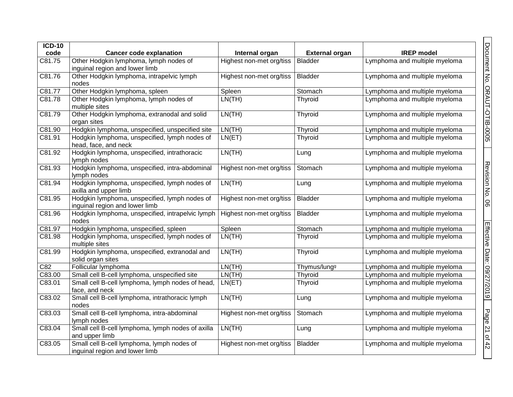| <b>ICD-10</b> |                                                                                 |                          |                          |                               |
|---------------|---------------------------------------------------------------------------------|--------------------------|--------------------------|-------------------------------|
| code          | <b>Cancer code explanation</b>                                                  | Internal organ           | <b>External organ</b>    | <b>IREP</b> model             |
| C81.75        | Other Hodgkin lymphoma, lymph nodes of<br>inguinal region and lower limb        | Highest non-met org/tiss | <b>Bladder</b>           | Lymphoma and multiple myeloma |
| C81.76        | Other Hodgkin lymphoma, intrapelvic lymph<br>nodes                              | Highest non-met org/tiss | <b>Bladder</b>           | Lymphoma and multiple myeloma |
| C81.77        | Other Hodgkin lymphoma, spleen                                                  | Spleen                   | Stomach                  | Lymphoma and multiple myeloma |
| C81.78        | Other Hodgkin lymphoma, lymph nodes of<br>multiple sites                        | LN(TH)                   | Thyroid                  | Lymphoma and multiple myeloma |
| C81.79        | Other Hodgkin lymphoma, extranodal and solid<br>organ sites                     | LN(TH)                   | Thyroid                  | Lymphoma and multiple myeloma |
| C81.90        | Hodgkin lymphoma, unspecified, unspecified site                                 | LN(TH)                   | Thyroid                  | Lymphoma and multiple myeloma |
| C81.91        | Hodgkin lymphoma, unspecified, lymph nodes of<br>head, face, and neck           | LN(ET)                   | Thyroid                  | Lymphoma and multiple myeloma |
| C81.92        | Hodgkin lymphoma, unspecified, intrathoracic<br>lymph nodes                     | LN(TH)                   | Lung                     | Lymphoma and multiple myeloma |
| C81.93        | Hodgkin lymphoma, unspecified, intra-abdominal<br>lymph nodes                   | Highest non-met org/tiss | Stomach                  | Lymphoma and multiple myeloma |
| C81.94        | Hodgkin lymphoma, unspecified, lymph nodes of<br>axilla and upper limb          | LN(TH)                   | Lung                     | Lymphoma and multiple myeloma |
| C81.95        | Hodgkin lymphoma, unspecified, lymph nodes of<br>inguinal region and lower limb | Highest non-met org/tiss | <b>Bladder</b>           | Lymphoma and multiple myeloma |
| C81.96        | Hodgkin lymphoma, unspecified, intrapelvic lymph<br>nodes                       | Highest non-met org/tiss | <b>Bladder</b>           | Lymphoma and multiple myeloma |
| C81.97        | Hodgkin lymphoma, unspecified, spleen                                           | Spleen                   | Stomach                  | Lymphoma and multiple myeloma |
| C81.98        | Hodgkin lymphoma, unspecified, lymph nodes of<br>multiple sites                 | LN(TH)                   | Thyroid                  | Lymphoma and multiple myeloma |
| C81.99        | Hodgkin lymphoma, unspecified, extranodal and<br>solid organ sites              | LN(TH)                   | Thyroid                  | Lymphoma and multiple myeloma |
| C82           | Follicular lymphoma                                                             | LN(TH)                   | Thymus/lung <sup>g</sup> | Lymphoma and multiple myeloma |
| C83.00        | Small cell B-cell lymphoma, unspecified site                                    | LN(TH)                   | Thyroid                  | Lymphoma and multiple myeloma |
| C83.01        | Small cell B-cell lymphoma, lymph nodes of head,<br>face, and neck              | LN(ET)                   | Thyroid                  | Lymphoma and multiple myeloma |
| C83.02        | Small cell B-cell lymphoma, intrathoracic lymph<br>nodes                        | LN(TH)                   | Lung                     | Lymphoma and multiple myeloma |
| C83.03        | Small cell B-cell lymphoma, intra-abdominal<br>lymph nodes                      | Highest non-met org/tiss | Stomach                  | Lymphoma and multiple myeloma |
| C83.04        | Small cell B-cell lymphoma, lymph nodes of axilla<br>and upper limb             | LN(TH)                   | Lung                     | Lymphoma and multiple myeloma |
| C83.05        | Small cell B-cell lymphoma, lymph nodes of<br>inguinal region and lower limb    | Highest non-met org/tiss | <b>Bladder</b>           | Lymphoma and multiple myeloma |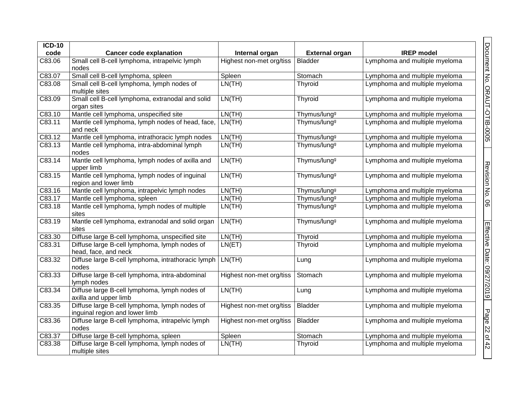| $ICD-10$ |                                                                                 |                          |                          |                               |
|----------|---------------------------------------------------------------------------------|--------------------------|--------------------------|-------------------------------|
| code     | <b>Cancer code explanation</b>                                                  | Internal organ           | <b>External organ</b>    | <b>IREP</b> model             |
| C83.06   | Small cell B-cell lymphoma, intrapelvic lymph<br>nodes                          | Highest non-met org/tiss | <b>Bladder</b>           | Lymphoma and multiple myeloma |
| C83.07   | Small cell B-cell lymphoma, spleen                                              | Spleen                   | Stomach                  | Lymphoma and multiple myeloma |
| C83.08   | Small cell B-cell lymphoma, lymph nodes of<br>multiple sites                    | LN(TH)                   | Thyroid                  | Lymphoma and multiple myeloma |
| C83.09   | Small cell B-cell lymphoma, extranodal and solid<br>organ sites                 | LN(TH)                   | Thyroid                  | Lymphoma and multiple myeloma |
| C83.10   | Mantle cell lymphoma, unspecified site                                          | LN(TH)                   | Thymus/lung <sup>g</sup> | Lymphoma and multiple myeloma |
| C83.11   | Mantle cell lymphoma, lymph nodes of head, face,<br>and neck                    | LN(TH)                   | Thymus/lung <sup>g</sup> | Lymphoma and multiple myeloma |
| C83.12   | Mantle cell lymphoma, intrathoracic lymph nodes                                 | LN(TH)                   | Thymus/lung <sup>g</sup> | Lymphoma and multiple myeloma |
| C83.13   | Mantle cell lymphoma, intra-abdominal lymph<br>nodes                            | LN(TH)                   | Thymus/lung <sup>g</sup> | Lymphoma and multiple myeloma |
| C83.14   | Mantle cell lymphoma, lymph nodes of axilla and<br>upper limb                   | LN(TH)                   | Thymus/lung <sup>g</sup> | Lymphoma and multiple myeloma |
| C83.15   | Mantle cell lymphoma, lymph nodes of inguinal<br>region and lower limb          | LN(TH)                   | Thymus/lung <sup>g</sup> | Lymphoma and multiple myeloma |
| C83.16   | Mantle cell lymphoma, intrapelvic lymph nodes                                   | LN(TH)                   | Thymus/lung <sup>g</sup> | Lymphoma and multiple myeloma |
| C83.17   | Mantle cell lymphoma, spleen                                                    | LN(TH)                   | Thymus/lung <sup>g</sup> | Lymphoma and multiple myeloma |
| C83.18   | Mantle cell lymphoma, lymph nodes of multiple<br>sites                          | LN(TH)                   | Thymus/lung <sup>g</sup> | Lymphoma and multiple myeloma |
| C83.19   | Mantle cell lymphoma, extranodal and solid organ<br>sites                       | LN(TH)                   | Thymus/lung <sup>g</sup> | Lymphoma and multiple myeloma |
| C83.30   | Diffuse large B-cell lymphoma, unspecified site                                 | LN(TH)                   | Thyroid                  | Lymphoma and multiple myeloma |
| C83.31   | Diffuse large B-cell lymphoma, lymph nodes of<br>head, face, and neck           | LN(ET)                   | Thyroid                  | Lymphoma and multiple myeloma |
| C83.32   | Diffuse large B-cell lymphoma, intrathoracic lymph   LN(TH)<br>nodes            |                          | Lung                     | Lymphoma and multiple myeloma |
| C83.33   | Diffuse large B-cell lymphoma, intra-abdominal<br>lymph nodes                   | Highest non-met org/tiss | Stomach                  | Lymphoma and multiple myeloma |
| C83.34   | Diffuse large B-cell lymphoma, lymph nodes of<br>axilla and upper limb          | LN(TH)                   | Lung                     | Lymphoma and multiple myeloma |
| C83.35   | Diffuse large B-cell lymphoma, lymph nodes of<br>inguinal region and lower limb | Highest non-met org/tiss | <b>Bladder</b>           | Lymphoma and multiple myeloma |
| C83.36   | Diffuse large B-cell lymphoma, intrapelvic lymph<br>nodes                       | Highest non-met org/tiss | <b>Bladder</b>           | Lymphoma and multiple myeloma |
| C83.37   | Diffuse large B-cell lymphoma, spleen                                           | Spleen                   | Stomach                  | Lymphoma and multiple myeloma |
| C83.38   | Diffuse large B-cell lymphoma, lymph nodes of<br>multiple sites                 | LN(TH)                   | Thyroid                  | Lymphoma and multiple myeloma |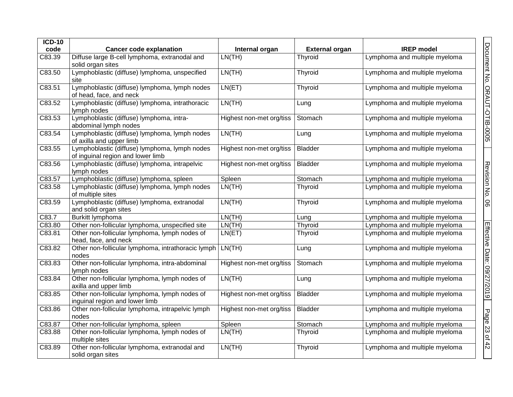| $ICD-10$ |                                                                                    |                          |                       |                               |                              |
|----------|------------------------------------------------------------------------------------|--------------------------|-----------------------|-------------------------------|------------------------------|
| code     | <b>Cancer code explanation</b>                                                     | Internal organ           | <b>External organ</b> | <b>IREP</b> model             |                              |
| C83.39   | Diffuse large B-cell lymphoma, extranodal and<br>solid organ sites                 | LN(TH)                   | Thyroid               | Lymphoma and multiple myeloma |                              |
| C83.50   | Lymphoblastic (diffuse) lymphoma, unspecified<br>site                              | LN(TH)                   | Thyroid               | Lymphoma and multiple myeloma |                              |
| C83.51   | Lymphoblastic (diffuse) lymphoma, lymph nodes<br>of head, face, and neck           | LN(ET)                   | Thyroid               | Lymphoma and multiple myeloma |                              |
| C83.52   | Lymphoblastic (diffuse) lymphoma, intrathoracic<br>lymph nodes                     | LN(TH)                   | Lung                  | Lymphoma and multiple myeloma | Document No. ORAUT-OTIB-0005 |
| C83.53   | Lymphoblastic (diffuse) lymphoma, intra-<br>abdominal lymph nodes                  | Highest non-met org/tiss | Stomach               | Lymphoma and multiple myeloma |                              |
| C83.54   | Lymphoblastic (diffuse) lymphoma, lymph nodes<br>of axilla and upper limb          | LN(TH)                   | Lung                  | Lymphoma and multiple myeloma |                              |
| C83.55   | Lymphoblastic (diffuse) lymphoma, lymph nodes<br>of inguinal region and lower limb | Highest non-met org/tiss | <b>Bladder</b>        | Lymphoma and multiple myeloma |                              |
| C83.56   | Lymphoblastic (diffuse) lymphoma, intrapelvic<br>lymph nodes                       | Highest non-met org/tiss | <b>Bladder</b>        | Lymphoma and multiple myeloma |                              |
| C83.57   | Lymphoblastic (diffuse) lymphoma, spleen                                           | Spleen                   | Stomach               | Lymphoma and multiple myeloma |                              |
| C83.58   | Lymphoblastic (diffuse) lymphoma, lymph nodes<br>of multiple sites                 | LN(TH)                   | Thyroid               | Lymphoma and multiple myeloma | Revision No. 06              |
| C83.59   | Lymphoblastic (diffuse) lymphoma, extranodal<br>and solid organ sites              | LN(TH)                   | Thyroid               | Lymphoma and multiple myeloma |                              |
| C83.7    | Burkitt lymphoma                                                                   | LN(TH)                   | Lung                  | Lymphoma and multiple myeloma |                              |
| C83.80   | Other non-follicular lymphoma, unspecified site                                    | LN(TH)                   | Thyroid               | Lymphoma and multiple myeloma |                              |
| C83.81   | Other non-follicular lymphoma, lymph nodes of<br>head, face, and neck              | LN(ET)                   | Thyroid               | Lymphoma and multiple myeloma |                              |
| C83.82   | Other non-follicular lymphoma, intrathoracic lymph<br>nodes                        | LN(TH)                   | Lung                  | Lymphoma and multiple myeloma |                              |
| C83.83   | Other non-follicular lymphoma, intra-abdominal<br>lymph nodes                      | Highest non-met org/tiss | Stomach               | Lymphoma and multiple myeloma |                              |
| C83.84   | Other non-follicular lymphoma, lymph nodes of<br>axilla and upper limb             | LN(TH)                   | Lung                  | Lymphoma and multiple myeloma | Effective Date: 09/27/2019   |
| C83.85   | Other non-follicular lymphoma, lymph nodes of<br>inguinal region and lower limb    | Highest non-met org/tiss | <b>Bladder</b>        | Lymphoma and multiple myeloma |                              |
| C83.86   | Other non-follicular lymphoma, intrapelvic lymph<br>nodes                          | Highest non-met org/tiss | <b>Bladder</b>        | Lymphoma and multiple myeloma |                              |
| C83.87   | Other non-follicular lymphoma, spleen                                              | Spleen                   | Stomach               | Lymphoma and multiple myeloma |                              |
| C83.88   | Other non-follicular lymphoma, lymph nodes of<br>multiple sites                    | LN(TH)                   | Thyroid               | Lymphoma and multiple myeloma | Page 23 of 42                |
| C83.89   | Other non-follicular lymphoma, extranodal and<br>solid organ sites                 | LN(TH)                   | Thyroid               | Lymphoma and multiple myeloma |                              |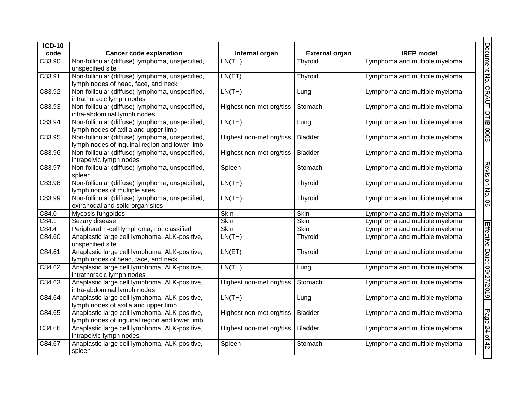| <b>ICD-10</b> |                                                                                                  |                          |                       |                               |
|---------------|--------------------------------------------------------------------------------------------------|--------------------------|-----------------------|-------------------------------|
| code          | <b>Cancer code explanation</b>                                                                   | Internal organ           | <b>External organ</b> | <b>IREP</b> model             |
| C83.90        | Non-follicular (diffuse) lymphoma, unspecified,<br>unspecified site                              | LN(TH)                   | Thyroid               | Lymphoma and multiple myeloma |
| C83.91        | Non-follicular (diffuse) lymphoma, unspecified,<br>lymph nodes of head, face, and neck           | LN(ET)                   | Thyroid               | Lymphoma and multiple myeloma |
| C83.92        | Non-follicular (diffuse) lymphoma, unspecified,<br>intrathoracic lymph nodes                     | LN(TH)                   | Lung                  | Lymphoma and multiple myeloma |
| C83.93        | Non-follicular (diffuse) lymphoma, unspecified,<br>intra-abdominal lymph nodes                   | Highest non-met org/tiss | Stomach               | Lymphoma and multiple myeloma |
| C83.94        | Non-follicular (diffuse) lymphoma, unspecified,<br>lymph nodes of axilla and upper limb          | LN(TH)                   | Lung                  | Lymphoma and multiple myeloma |
| C83.95        | Non-follicular (diffuse) lymphoma, unspecified,<br>lymph nodes of inguinal region and lower limb | Highest non-met org/tiss | Bladder               | Lymphoma and multiple myeloma |
| C83.96        | Non-follicular (diffuse) lymphoma, unspecified,<br>intrapelvic lymph nodes                       | Highest non-met org/tiss | <b>Bladder</b>        | Lymphoma and multiple myeloma |
| C83.97        | Non-follicular (diffuse) lymphoma, unspecified,<br>spleen                                        | Spleen                   | Stomach               | Lymphoma and multiple myeloma |
| C83.98        | Non-follicular (diffuse) lymphoma, unspecified,<br>lymph nodes of multiple sites                 | LN(TH)                   | Thyroid               | Lymphoma and multiple myeloma |
| C83.99        | Non-follicular (diffuse) lymphoma, unspecified,<br>extranodal and solid organ sites              | LN(TH)                   | Thyroid               | Lymphoma and multiple myeloma |
| C84.0         | Mycosis fungoides                                                                                | Skin                     | Skin                  | Lymphoma and multiple myeloma |
| C84.1         | Sezary disease                                                                                   | <b>Skin</b>              | <b>Skin</b>           | Lymphoma and multiple myeloma |
| C84.4         | Peripheral T-cell lymphoma, not classified                                                       | <b>Skin</b>              | Skin                  | Lymphoma and multiple myeloma |
| C84.60        | Anaplastic large cell lymphoma, ALK-positive,<br>unspecified site                                | LN(TH)                   | Thyroid               | Lymphoma and multiple myeloma |
| C84.61        | Anaplastic large cell lymphoma, ALK-positive,<br>lymph nodes of head, face, and neck             | LN(ET)                   | Thyroid               | Lymphoma and multiple myeloma |
| C84.62        | Anaplastic large cell lymphoma, ALK-positive,<br>intrathoracic lymph nodes                       | LN(TH)                   | Lung                  | Lymphoma and multiple myeloma |
| C84.63        | Anaplastic large cell lymphoma, ALK-positive,<br>intra-abdominal lymph nodes                     | Highest non-met org/tiss | Stomach               | Lymphoma and multiple myeloma |
| C84.64        | Anaplastic large cell lymphoma, ALK-positive,<br>lymph nodes of axilla and upper limb            | LN(TH)                   | Lung                  | Lymphoma and multiple myeloma |
| C84.65        | Anaplastic large cell lymphoma, ALK-positive,<br>lymph nodes of inguinal region and lower limb   | Highest non-met org/tiss | <b>Bladder</b>        | Lymphoma and multiple myeloma |
| C84.66        | Anaplastic large cell lymphoma, ALK-positive,<br>intrapelvic lymph nodes                         | Highest non-met org/tiss | <b>Bladder</b>        | Lymphoma and multiple myeloma |
| C84.67        | Anaplastic large cell lymphoma, ALK-positive,<br>spleen                                          | Spleen                   | Stomach               | Lymphoma and multiple myeloma |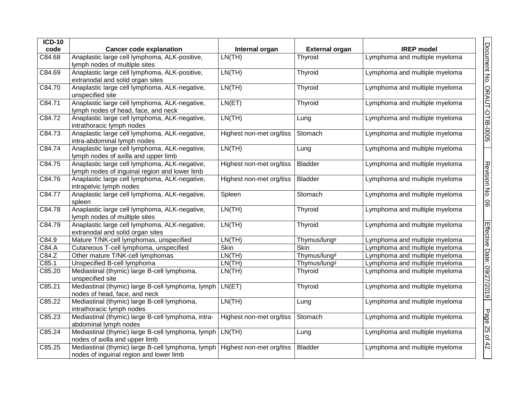| <b>ICD-10</b><br>code | <b>Cancer code explanation</b>                                                                                          | Internal organ           | <b>External organ</b>    | <b>IREP</b> model             |                              |
|-----------------------|-------------------------------------------------------------------------------------------------------------------------|--------------------------|--------------------------|-------------------------------|------------------------------|
| C84.68                | Anaplastic large cell lymphoma, ALK-positive,                                                                           | LN(TH)                   | Thyroid                  | Lymphoma and multiple myeloma |                              |
|                       | lymph nodes of multiple sites                                                                                           |                          |                          |                               |                              |
| C84.69                | Anaplastic large cell lymphoma, ALK-positive,                                                                           | LN(TH)                   | <b>Thyroid</b>           | Lymphoma and multiple myeloma |                              |
|                       | extranodal and solid organ sites                                                                                        |                          |                          |                               |                              |
| C84.70                | Anaplastic large cell lymphoma, ALK-negative,<br>unspecified site                                                       | LN(TH)                   | Thyroid                  | Lymphoma and multiple myeloma |                              |
| C84.71                | Anaplastic large cell lymphoma, ALK-negative,<br>lymph nodes of head, face, and neck                                    | LN(ET)                   | Thyroid                  | Lymphoma and multiple myeloma |                              |
| C84.72                | Anaplastic large cell lymphoma, ALK-negative,<br>intrathoracic lymph nodes                                              | LN(TH)                   | Lung                     | Lymphoma and multiple myeloma | Document No. ORAUT-OTIB-0005 |
| C84.73                | Anaplastic large cell lymphoma, ALK-negative,<br>intra-abdominal lymph nodes                                            | Highest non-met org/tiss | Stomach                  | Lymphoma and multiple myeloma |                              |
| C84.74                | Anaplastic large cell lymphoma, ALK-negative,<br>lymph nodes of axilla and upper limb                                   | LN(TH)                   | Lung                     | Lymphoma and multiple myeloma |                              |
| C84.75                | Anaplastic large cell lymphoma, ALK-negative,<br>lymph nodes of inguinal region and lower limb                          | Highest non-met org/tiss | <b>Bladder</b>           | Lymphoma and multiple myeloma |                              |
| C84.76                | Anaplastic large cell lymphoma, ALK-negative,<br>intrapelvic lymph nodes                                                | Highest non-met org/tiss | <b>Bladder</b>           | Lymphoma and multiple myeloma | Revision No.                 |
| C84.77                | Anaplastic large cell lymphoma, ALK-negative,<br>spleen                                                                 | Spleen                   | Stomach                  | Lymphoma and multiple myeloma | 90                           |
| C84.78                | Anaplastic large cell lymphoma, ALK-negative,<br>lymph nodes of multiple sites                                          | LN(TH)                   | Thyroid                  | Lymphoma and multiple myeloma |                              |
| C84.79                | Anaplastic large cell lymphoma, ALK-negative,<br>extranodal and solid organ sites                                       | LN(TH)                   | <b>Thyroid</b>           | Lymphoma and multiple myeloma |                              |
| C84.9                 | Mature T/NK-cell lymphomas, unspecified                                                                                 | LN(TH)                   | Thymus/lung <sup>9</sup> | Lymphoma and multiple myeloma |                              |
| C84.A                 | Cutaneous T-cell lymphoma, unspecified                                                                                  | Skin                     | <b>Skin</b>              | Lymphoma and multiple myeloma |                              |
| C84.Z                 | Other mature T/NK-cell lymphomas                                                                                        | LN(TH)                   | Thymus/lung <sup>g</sup> | Lymphoma and multiple myeloma |                              |
| C85.1                 | Unspecified B-cell lymphoma                                                                                             | LN(TH)                   | Thymus/lung <sup>g</sup> | Lymphoma and multiple myeloma |                              |
| C85.20                | Mediastinal (thymic) large B-cell lymphoma,<br>unspecified site                                                         | LN(TH)                   | Thyroid                  | Lymphoma and multiple myeloma |                              |
| C85.21                | Mediastinal (thymic) large B-cell lymphoma, lymph   LN(ET)<br>nodes of head, face, and neck                             |                          | Thyroid                  | Lymphoma and multiple myeloma | Effective Date: 09/27/2019   |
| C85.22                | Mediastinal (thymic) large B-cell lymphoma,<br>intrathoracic lymph nodes                                                | LN(TH)                   | Lung                     | Lymphoma and multiple myeloma |                              |
| C85.23                | Mediastinal (thymic) large B-cell lymphoma, intra-<br>abdominal lymph nodes                                             | Highest non-met org/tiss | Stomach                  | Lymphoma and multiple myeloma | Page                         |
| C85.24                | Mediastinal (thymic) large B-cell lymphoma, lymph<br>nodes of axilla and upper limb                                     | LN(TH)                   | Lung                     | Lymphoma and multiple myeloma | 25 of 42                     |
| C85.25                | Mediastinal (thymic) large B-cell lymphoma, lymph   Highest non-met org/tiss<br>nodes of inguinal region and lower limb |                          | <b>Bladder</b>           | Lymphoma and multiple myeloma |                              |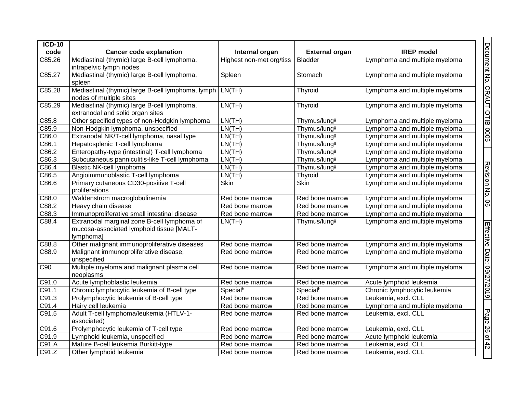| <b>ICD-10</b>      |                                                                                                      |                          |                          |                               |
|--------------------|------------------------------------------------------------------------------------------------------|--------------------------|--------------------------|-------------------------------|
| code               | <b>Cancer code explanation</b>                                                                       | Internal organ           | <b>External organ</b>    | <b>IREP</b> model             |
| C85.26             | Mediastinal (thymic) large B-cell lymphoma,<br>intrapelvic lymph nodes                               | Highest non-met org/tiss | Bladder                  | Lymphoma and multiple myeloma |
| C85.27             | Mediastinal (thymic) large B-cell lymphoma,<br>spleen                                                | Spleen                   | Stomach                  | Lymphoma and multiple myeloma |
| C85.28             | Mediastinal (thymic) large B-cell lymphoma, lymph<br>nodes of multiple sites                         | LN(TH)                   | Thyroid                  | Lymphoma and multiple myeloma |
| C85.29             | Mediastinal (thymic) large B-cell lymphoma,<br>extranodal and solid organ sites                      | LN(TH)                   | Thyroid                  | Lymphoma and multiple myeloma |
| C85.8              | Other specified types of non-Hodgkin lymphoma                                                        | LN(TH)                   | Thymus/lung <sup>g</sup> | Lymphoma and multiple myeloma |
| C85.9              | Non-Hodgkin lymphoma, unspecified                                                                    | LN(TH)                   | Thymus/lung <sup>g</sup> | Lymphoma and multiple myeloma |
| C86.0              | Extranodal NK/T-cell lymphoma, nasal type                                                            | LN(TH)                   | Thymus/lung <sup>g</sup> | Lymphoma and multiple myeloma |
| C86.1              | Hepatosplenic T-cell lymphoma                                                                        | LN(TH)                   | Thymus/lung <sup>g</sup> | Lymphoma and multiple myeloma |
| C86.2              | Enteropathy-type (intestinal) T-cell lymphoma                                                        | LN(TH)                   | Thymus/lung <sup>g</sup> | Lymphoma and multiple myeloma |
| $\overline{C86.3}$ | Subcutaneous panniculitis-like T-cell lymphoma                                                       | LN(TH)                   | Thymus/lung <sup>g</sup> | Lymphoma and multiple myeloma |
| C86.4              | <b>Blastic NK-cell lymphoma</b>                                                                      | LN(TH)                   | Thymus/lung <sup>g</sup> | Lymphoma and multiple myeloma |
| C86.5              | Angioimmunoblastic T-cell lymphoma                                                                   | LN(TH)                   | <b>Thyroid</b>           | Lymphoma and multiple myeloma |
| C86.6              | Primary cutaneous CD30-positive T-cell<br>proliferations                                             | Skin                     | Skin                     | Lymphoma and multiple myeloma |
| C88.0              | Waldenstrom macroglobulinemia                                                                        | Red bone marrow          | Red bone marrow          | Lymphoma and multiple myeloma |
| C88.2              | Heavy chain disease                                                                                  | Red bone marrow          | Red bone marrow          | Lymphoma and multiple myeloma |
| C88.3              | Immunoproliferative small intestinal disease                                                         | Red bone marrow          | Red bone marrow          | Lymphoma and multiple myeloma |
| C88.4              | Extranodal marginal zone B-cell lymphoma of<br>mucosa-associated lymphoid tissue [MALT-<br>lymphoma] | LN(TH)                   | Thymus/lung <sup>g</sup> | Lymphoma and multiple myeloma |
| C88.8              | Other malignant immunoproliferative diseases                                                         | Red bone marrow          | Red bone marrow          | Lymphoma and multiple myeloma |
| C88.9              | Malignant immunoproliferative disease,<br>unspecified                                                | Red bone marrow          | Red bone marrow          | Lymphoma and multiple myeloma |
| C90                | Multiple myeloma and malignant plasma cell<br>neoplasms                                              | Red bone marrow          | Red bone marrow          | Lymphoma and multiple myeloma |
| $\overline{C91.0}$ | Acute lymphoblastic leukemia                                                                         | Red bone marrow          | Red bone marrow          | Acute lymphoid leukemia       |
| C91.1              | Chronic lymphocytic leukemia of B-cell type                                                          | Specialh                 | Specialh                 | Chronic lymphocytic leukemia  |
| C91.3              | Prolymphocytic leukemia of B-cell type                                                               | Red bone marrow          | Red bone marrow          | Leukemia, excl. CLL           |
| C91.4              | Hairy cell leukemia                                                                                  | Red bone marrow          | Red bone marrow          | Lymphoma and multiple myeloma |
| C91.5              | Adult T-cell lymphoma/leukemia (HTLV-1-<br>associated)                                               | Red bone marrow          | Red bone marrow          | Leukemia, excl. CLL           |
| C91.6              | Prolymphocytic leukemia of T-cell type                                                               | Red bone marrow          | Red bone marrow          | Leukemia, excl. CLL           |
| C91.9              | Lymphoid leukemia, unspecified                                                                       | Red bone marrow          | Red bone marrow          | Acute lymphoid leukemia       |
| C91.A              | Mature B-cell leukemia Burkitt-type                                                                  | Red bone marrow          | Red bone marrow          | Leukemia, excl. CLL           |
| C91.Z              | Other lymphoid leukemia                                                                              | Red bone marrow          | Red bone marrow          | Leukemia, excl. CLL           |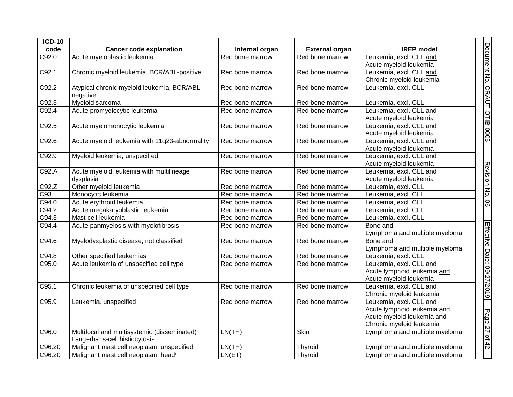| <b>ICD-10</b> |                                                         |                 |                       |                                                   |
|---------------|---------------------------------------------------------|-----------------|-----------------------|---------------------------------------------------|
| code          | <b>Cancer code explanation</b>                          | Internal organ  | <b>External organ</b> | <b>IREP</b> model                                 |
| C92.0         | Acute myeloblastic leukemia                             | Red bone marrow | Red bone marrow       | Leukemia, excl. CLL and                           |
|               |                                                         |                 |                       | Acute myeloid leukemia                            |
| C92.1         | Chronic myeloid leukemia, BCR/ABL-positive              | Red bone marrow | Red bone marrow       | Leukemia, excl. CLL and                           |
|               |                                                         |                 |                       | Chronic myeloid leukemia                          |
| C92.2         | Atypical chronic myeloid leukemia, BCR/ABL-<br>negative | Red bone marrow | Red bone marrow       | Leukemia, excl. CLL                               |
| C92.3         | Myeloid sarcoma                                         | Red bone marrow | Red bone marrow       | Leukemia, excl. CLL                               |
| C92.4         | Acute promyelocytic leukemia                            | Red bone marrow | Red bone marrow       | Leukemia, excl. CLL and<br>Acute myeloid leukemia |
| C92.5         | Acute myelomonocytic leukemia                           | Red bone marrow | Red bone marrow       | Leukemia, excl. CLL and                           |
|               |                                                         |                 |                       | Acute myeloid leukemia                            |
| C92.6         | Acute myeloid leukemia with 11q23-abnormality           | Red bone marrow | Red bone marrow       | Leukemia, excl. CLL and                           |
|               |                                                         |                 |                       | Acute myeloid leukemia                            |
| C92.9         | Myeloid leukemia, unspecified                           | Red bone marrow | Red bone marrow       | Leukemia, excl. CLL and                           |
|               |                                                         |                 |                       | Acute myeloid leukemia                            |
| C92.A         | Acute myeloid leukemia with multilineage                | Red bone marrow | Red bone marrow       | Leukemia, excl. CLL and                           |
|               | dysplasia                                               |                 |                       | Acute myeloid leukemia                            |
| C92.Z         | Other myeloid leukemia                                  | Red bone marrow | Red bone marrow       | Leukemia, excl. CLL                               |
| C93           | Monocytic leukemia                                      | Red bone marrow | Red bone marrow       | Leukemia, excl. CLL                               |
| C94.0         | Acute erythroid leukemia                                | Red bone marrow | Red bone marrow       | Leukemia, excl. CLL                               |
| C94.2         | Acute megakaryoblastic leukemia                         | Red bone marrow | Red bone marrow       | Leukemia, excl. CLL                               |
| C94.3         | Mast cell leukemia                                      | Red bone marrow | Red bone marrow       | Leukemia, excl. CLL                               |
| C94.4         | Acute panmyelosis with myelofibrosis                    | Red bone marrow | Red bone marrow       | Bone and                                          |
|               |                                                         |                 |                       | Lymphoma and multiple myeloma                     |
| C94.6         | Myelodysplastic disease, not classified                 | Red bone marrow | Red bone marrow       | Bone and                                          |
|               |                                                         |                 |                       | Lymphoma and multiple myeloma                     |
| C94.8         | Other specified leukemias                               | Red bone marrow | Red bone marrow       | Leukemia, excl. CLL                               |
| C95.0         | Acute leukemia of unspecified cell type                 | Red bone marrow | Red bone marrow       | Leukemia, excl. CLL and                           |
|               |                                                         |                 |                       | Acute lymphoid leukemia and                       |
|               |                                                         |                 |                       | Acute myeloid leukemia                            |
| C95.1         | Chronic leukemia of unspecified cell type               | Red bone marrow | Red bone marrow       | Leukemia, excl. CLL and                           |
|               |                                                         |                 |                       | Chronic myeloid leukemia                          |
| C95.9         | Leukemia, unspecified                                   | Red bone marrow | Red bone marrow       | Leukemia, excl. CLL and                           |
|               |                                                         |                 |                       | Acute lymphoid leukemia and                       |
|               |                                                         |                 |                       | Acute myeloid leukemia and                        |
|               |                                                         |                 |                       | Chronic myeloid leukemia                          |
| C96.0         | Multifocal and multisystemic (disseminated)             | LN(TH)          | Skin                  | Lymphoma and multiple myeloma                     |
|               | Langerhans-cell histiocytosis                           |                 |                       |                                                   |
| C96.20        | Malignant mast cell neoplasm, unspecifiedi              | LN(TH)          | Thyroid               | Lymphoma and multiple myeloma                     |
| C96.20        | Malignant mast cell neoplasm, headi                     | LN(ET)          | Thyroid               | Lymphoma and multiple myeloma                     |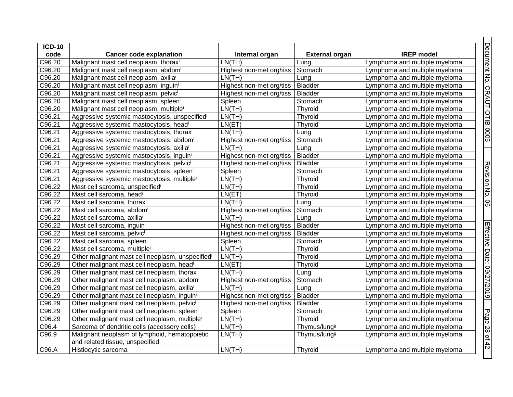| <b>ICD-10</b>       |                                                              |                          |                          |                               |
|---------------------|--------------------------------------------------------------|--------------------------|--------------------------|-------------------------------|
| code                | <b>Cancer code explanation</b>                               | Internal organ           | <b>External organ</b>    | <b>IREP</b> model             |
| C96.20              | Malignant mast cell neoplasm, thoraxi                        | LN(TH)                   | Lung                     | Lymphoma and multiple myeloma |
| C96.20              | Malignant mast cell neoplasm, abdomi                         | Highest non-met org/tiss | Stomach                  | Lymphoma and multiple myeloma |
| C96.20              | Malignant mast cell neoplasm, axillai                        | LN(TH)                   | Lung                     | Lymphoma and multiple myeloma |
| C96.20              | Malignant mast cell neoplasm, inguini                        | Highest non-met org/tiss | Bladder                  | Lymphoma and multiple myeloma |
| C96.20              | Malignant mast cell neoplasm, pelvici                        | Highest non-met org/tiss | <b>Bladder</b>           | Lymphoma and multiple myeloma |
| C96.20              | Malignant mast cell neoplasm, spleeni                        | Spleen                   | Stomach                  | Lymphoma and multiple myeloma |
| C96.20              | Malignant mast cell neoplasm, multiplei                      | LN(TH)                   | Thyroid                  | Lymphoma and multiple myeloma |
| C96.21              | Aggressive systemic mastocytosis, unspecified                | LN(TH)                   | Thyroid                  | Lymphoma and multiple myeloma |
| C96.21              | Aggressive systemic mastocytosis, headi                      | LN(ET)                   | Thyroid                  | Lymphoma and multiple myeloma |
| C96.21              | Aggressive systemic mastocytosis, thoraxi                    | LN(TH)                   | Lung                     | Lymphoma and multiple myeloma |
| C96.21              | Aggressive systemic mastocytosis, abdomi                     | Highest non-met org/tiss | Stomach                  | Lymphoma and multiple myeloma |
| C96.21              | Aggressive systemic mastocytosis, axillai                    | LN(TH)                   | Lung                     | Lymphoma and multiple myeloma |
| C96.21              | Aggressive systemic mastocytosis, inguini                    | Highest non-met org/tiss | <b>Bladder</b>           | Lymphoma and multiple myeloma |
| C96.21              | Aggressive systemic mastocytosis, pelvici                    | Highest non-met org/tiss | <b>Bladder</b>           | Lymphoma and multiple myeloma |
| C96.21              | Aggressive systemic mastocytosis, spleeni                    | Spleen                   | Stomach                  | Lymphoma and multiple myeloma |
| C96.21              | Aggressive systemic mastocytosis, multiplei                  | LN(TH)                   | Thyroid                  | Lymphoma and multiple myeloma |
| C96.22              | Mast cell sarcoma, unspecifiedi                              | LN(TH)                   | Thyroid                  | Lymphoma and multiple myeloma |
| C96.22              | Mast cell sarcoma, headi                                     | LN(ET)                   | Thyroid                  | Lymphoma and multiple myeloma |
| C96.22              | Mast cell sarcoma, thoraxi                                   | LN(TH)                   | Lung                     | Lymphoma and multiple myeloma |
| C96.22              | Mast cell sarcoma, abdomi                                    | Highest non-met org/tiss | Stomach                  | Lymphoma and multiple myeloma |
| C96.22              | Mast cell sarcoma, axillai                                   | LN(TH)                   | Lung                     | Lymphoma and multiple myeloma |
| C96.22              | Mast cell sarcoma, inguini                                   | Highest non-met org/tiss | <b>Bladder</b>           | Lymphoma and multiple myeloma |
| C96.22              | Mast cell sarcoma, pelvici                                   | Highest non-met org/tiss | Bladder                  | Lymphoma and multiple myeloma |
| C96.22              | Mast cell sarcoma, spleeni                                   | Spleen                   | Stomach                  | Lymphoma and multiple myeloma |
| $\overline{C96.22}$ | Mast cell sarcoma, multiplei                                 | LN(TH)                   | Thyroid                  | Lymphoma and multiple myeloma |
| C96.29              | Other malignant mast cell neoplasm, unspecified <sup>i</sup> | LN(TH)                   | Thyroid                  | Lymphoma and multiple myeloma |
| C96.29              | Other malignant mast cell neoplasm, headi                    | LN(ET)                   | Thyroid                  | Lymphoma and multiple myeloma |
| C96.29              | Other malignant mast cell neoplasm, thoraxi                  | LN(TH)                   | Lung                     | Lymphoma and multiple myeloma |
| C96.29              | Other malignant mast cell neoplasm, abdom <sup>i</sup>       | Highest non-met org/tiss | Stomach                  | Lymphoma and multiple myeloma |
| C96.29              | Other malignant mast cell neoplasm, axillai                  | LN(TH)                   | Lung                     | Lymphoma and multiple myeloma |
| C96.29              | Other malignant mast cell neoplasm, inguini                  | Highest non-met org/tiss | Bladder                  | Lymphoma and multiple myeloma |
| C96.29              | Other malignant mast cell neoplasm, pelvici                  | Highest non-met org/tiss | <b>Bladder</b>           | Lymphoma and multiple myeloma |
| C96.29              | Other malignant mast cell neoplasm, spleeni                  | Spleen                   | Stomach                  | Lymphoma and multiple myeloma |
| C96.29              | Other malignant mast cell neoplasm, multiplei                | LN(TH)                   | Thyroid                  | Lymphoma and multiple myeloma |
| C96.4               | Sarcoma of dendritic cells (accessory cells)                 | LN(TH)                   | Thymus/lung <sup>g</sup> | Lymphoma and multiple myeloma |
| C96.9               | Malignant neoplasm of lymphoid, hematopoietic                | LN(TH)                   | Thymus/lung <sup>g</sup> | Lymphoma and multiple myeloma |
|                     | and related tissue, unspecified                              |                          |                          |                               |
| C96.A               | Histiocytic sarcoma                                          | LN(TH)                   | Thyroid                  | Lymphoma and multiple myeloma |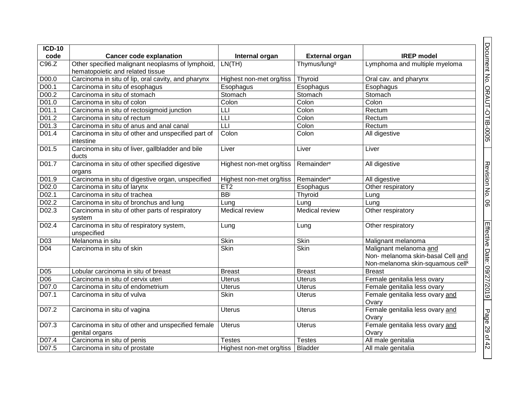| <b>ICD-10</b><br>code |                                                                                                                        |                          |                                                   | <b>IREP</b> model                                                                                           |
|-----------------------|------------------------------------------------------------------------------------------------------------------------|--------------------------|---------------------------------------------------|-------------------------------------------------------------------------------------------------------------|
| C96.Z                 | <b>Cancer code explanation</b><br>Other specified malignant neoplasms of lymphoid,<br>hematopoietic and related tissue | Internal organ<br>LN(TH) | <b>External organ</b><br>Thymus/lung <sup>g</sup> | Lymphoma and multiple myeloma                                                                               |
| D00.0                 | Carcinoma in situ of lip, oral cavity, and pharynx                                                                     | Highest non-met org/tiss | Thyroid                                           | Oral cav. and pharynx                                                                                       |
| D00.1                 | Carcinoma in situ of esophagus                                                                                         | Esophagus                | Esophagus                                         | Esophagus                                                                                                   |
| D00.2                 | Carcinoma in situ of stomach                                                                                           | Stomach                  | Stomach                                           | Stomach                                                                                                     |
| D01.0                 | Carcinoma in situ of colon                                                                                             | Colon                    | Colon                                             | Colon                                                                                                       |
| D01.1                 | Carcinoma in situ of rectosigmoid junction                                                                             | LLI                      | Colon                                             | Rectum                                                                                                      |
| D01.2                 | Carcinoma in situ of rectum                                                                                            | LLI                      | Colon                                             | Rectum                                                                                                      |
| D01.3                 | Carcinoma in situ of anus and anal canal                                                                               | LLI                      | Colon                                             | Rectum                                                                                                      |
| D01.4                 | Carcinoma in situ of other and unspecified part of<br>intestine                                                        | Colon                    | Colon                                             | All digestive                                                                                               |
| D01.5                 | Carcinoma in situ of liver, gallbladder and bile<br>ducts                                                              | Liver                    | Liver                                             | Liver                                                                                                       |
| D01.7                 | Carcinoma in situ of other specified digestive<br>organs                                                               | Highest non-met org/tiss | Remainder <sup>e</sup>                            | All digestive                                                                                               |
| D01.9                 | Carcinoma in situ of digestive organ, unspecified                                                                      | Highest non-met org/tiss | Remainder <sup>e</sup>                            | All digestive                                                                                               |
| D02.0                 | Carcinoma in situ of larynx                                                                                            | ET2                      | Esophagus                                         | Other respiratory                                                                                           |
| D <sub>02.1</sub>     | Carcinoma in situ of trachea                                                                                           | <b>BB</b>                | Thyroid                                           | Lung                                                                                                        |
| D02.2                 | Carcinoma in situ of bronchus and lung                                                                                 | Lung                     | Lung                                              | Lung                                                                                                        |
| D02.3                 | Carcinoma in situ of other parts of respiratory<br>system                                                              | Medical review           | Medical review                                    | Other respiratory                                                                                           |
| D <sub>02.4</sub>     | Carcinoma in situ of respiratory system,<br>unspecified                                                                | Lung                     | Lung                                              | Other respiratory                                                                                           |
| D <sub>03</sub>       | Melanoma in situ                                                                                                       | <b>Skin</b>              | <b>Skin</b>                                       | Malignant melanoma                                                                                          |
| D <sub>04</sub>       | Carcinoma in situ of skin                                                                                              | <b>Skin</b>              | <b>Skin</b>                                       | Malignant melanoma and<br>Non- melanoma skin-basal Cell and<br>Non-melanoma skin-squamous cell <sup>k</sup> |
| D05                   | Lobular carcinoma in situ of breast                                                                                    | <b>Breast</b>            | <b>Breast</b>                                     | <b>Breast</b>                                                                                               |
| <b>D06</b>            | Carcinoma in situ of cervix uteri                                                                                      | <b>Uterus</b>            | <b>Uterus</b>                                     | Female genitalia less ovary                                                                                 |
| D07.0                 | Carcinoma in situ of endometrium                                                                                       | <b>Uterus</b>            | <b>Uterus</b>                                     | Female genitalia less ovary                                                                                 |
| D07.1                 | Carcinoma in situ of vulva                                                                                             | Skin                     | <b>Uterus</b>                                     | Female genitalia less ovary and<br>Ovary                                                                    |
| D07.2                 | Carcinoma in situ of vagina                                                                                            | <b>Uterus</b>            | <b>Uterus</b>                                     | Female genitalia less ovary and<br>Ovary                                                                    |
| D07.3                 | Carcinoma in situ of other and unspecified female<br>genital organs                                                    | <b>Uterus</b>            | <b>Uterus</b>                                     | Female genitalia less ovary and<br>Ovary                                                                    |
| D07.4                 | Carcinoma in situ of penis                                                                                             | Testes                   | <b>Testes</b>                                     | All male genitalia                                                                                          |
| D07.5                 | Carcinoma in situ of prostate                                                                                          | Highest non-met org/tiss | <b>Bladder</b>                                    | All male genitalia                                                                                          |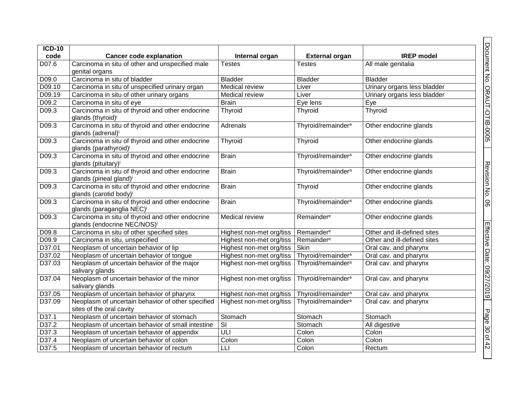| <b>ICD-10</b><br>code | <b>Cancer code explanation</b>                                                            | Internal organ           | <b>External organ</b>          | <b>IREP</b> model           |
|-----------------------|-------------------------------------------------------------------------------------------|--------------------------|--------------------------------|-----------------------------|
| D07.6                 | Carcinoma in situ of other and unspecified male<br>genital organs                         | <b>Testes</b>            | <b>Testes</b>                  | All male genitalia          |
| D09.0                 | Carcinoma in situ of bladder                                                              | <b>Bladder</b>           | <b>Bladder</b>                 | <b>Bladder</b>              |
| D09.10                | Carcinoma in situ of unspecified urinary organ                                            | <b>Medical review</b>    | Liver                          | Urinary organs less bladder |
| D09.19                | Carcinoma in situ of other urinary organs                                                 | Medical review           | Liver                          | Urinary organs less bladder |
| D09.2                 | Carcinoma in situ of eye                                                                  | <b>Brain</b>             | Eye lens                       | Eye                         |
| D09.3                 | Carcinoma in situ of thyroid and other endocrine<br>glands (thyroid) <sup>i</sup>         | Thyroid                  | Thyroid                        | Thyroid                     |
| D09.3                 | Carcinoma in situ of thyroid and other endocrine<br>glands (adrenal)i                     | Adrenals                 | Thyroid/remainder <sup>a</sup> | Other endocrine glands      |
| D09.3                 | Carcinoma in situ of thyroid and other endocrine<br>glands (parathyroid) <sup>i</sup>     | Thyroid                  | Thyroid                        | Other endocrine glands      |
| D09.3                 | Carcinoma in situ of thyroid and other endocrine<br>glands (pituitary) <sup>i</sup>       | <b>Brain</b>             | Thyroid/remainder <sup>a</sup> | Other endocrine glands      |
| D09.3                 | Carcinoma in situ of thyroid and other endocrine<br>glands (pineal gland) <sup>i</sup>    | <b>Brain</b>             | Thyroid/remainder <sup>a</sup> | Other endocrine glands      |
| D09.3                 | Carcinoma in situ of thyroid and other endocrine<br>glands (carotid body) <sup>i</sup>    | <b>Brain</b>             | Thyroid                        | Other endocrine glands      |
| D09.3                 | Carcinoma in situ of thyroid and other endocrine<br>glands (paraganglia NEC) <sup>i</sup> | <b>Brain</b>             | Thyroid/remainder <sup>a</sup> | Other endocrine glands      |
| D09.3                 | Carcinoma in situ of thyroid and other endocrine<br>glands (endocrine NEC/NOS)i           | Medical review           | Remainder <sup>e</sup>         | Other endocrine glands      |
| D09.8                 | Carcinoma in situ of other specified sites                                                | Highest non-met org/tiss | Remainder <sup>e</sup>         | Other and ill-defined sites |
| D09.9                 | Carcinoma in situ, unspecified                                                            | Highest non-met org/tiss | Remainder <sup>e</sup>         | Other and ill-defined sites |
| D37.01                | Neoplasm of uncertain behavior of lip                                                     | Highest non-met org/tiss | Skin                           | Oral cav. and pharynx       |
| D37.02                | Neoplasm of uncertain behavior of tongue                                                  | Highest non-met org/tiss | Thyroid/remainder <sup>a</sup> | Oral cav. and pharynx       |
| D37.03                | Neoplasm of uncertain behavior of the major<br>salivary glands                            | Highest non-met org/tiss | Thyroid/remainder <sup>a</sup> | Oral cav. and pharynx       |
| D37.04                | Neoplasm of uncertain behavior of the minor<br>salivary glands                            | Highest non-met org/tiss | Thyroid/remainder <sup>a</sup> | Oral cav. and pharynx       |
| D37.05                | Neoplasm of uncertain behavior of pharynx                                                 | Highest non-met org/tiss | Thyroid/remainder <sup>a</sup> | Oral cav. and pharynx       |
| D37.09                | Neoplasm of uncertain behavior of other specified<br>sites of the oral cavity             | Highest non-met org/tiss | Thyroid/remainder <sup>a</sup> | Oral cav. and pharynx       |
| D37.1                 | Neoplasm of uncertain behavior of stomach                                                 | Stomach                  | Stomach                        | Stomach                     |
| D37.2                 | Neoplasm of uncertain behavior of small intestine                                         | $\overline{\mathbf{s}}$  | Stomach                        | All digestive               |
| D37.3                 | Neoplasm of uncertain behavior of appendix                                                | ULI                      | Colon                          | Colon                       |
| D37.4                 | Neoplasm of uncertain behavior of colon                                                   | Colon                    | Colon                          | Colon                       |
| D37.5                 | Neoplasm of uncertain behavior of rectum                                                  | LLI                      | Colon                          | Rectum                      |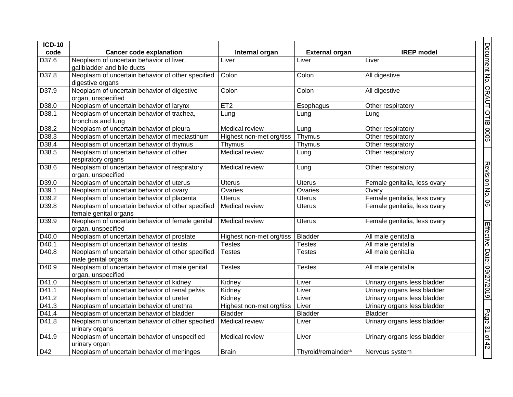| <b>ICD-10</b>     |                                                                            |                          |                                |                              |
|-------------------|----------------------------------------------------------------------------|--------------------------|--------------------------------|------------------------------|
| code              | <b>Cancer code explanation</b>                                             | Internal organ           | <b>External organ</b>          | <b>IREP</b> model            |
| D37.6             | Neoplasm of uncertain behavior of liver,<br>gallbladder and bile ducts     | Liver                    | Liver                          | Liver                        |
| D37.8             | Neoplasm of uncertain behavior of other specified<br>digestive organs      | Colon                    | Colon                          | All digestive                |
| D37.9             | Neoplasm of uncertain behavior of digestive<br>organ, unspecified          | Colon                    | Colon                          | All digestive                |
| D38.0             | Neoplasm of uncertain behavior of larynx                                   | ET <sub>2</sub>          | Esophagus                      | Other respiratory            |
| D <sub>38.1</sub> | Neoplasm of uncertain behavior of trachea,<br>bronchus and lung            | Lung                     | Lung                           | Lung                         |
| D38.2             | Neoplasm of uncertain behavior of pleura                                   | Medical review           | Lung                           | Other respiratory            |
| D38.3             | Neoplasm of uncertain behavior of mediastinum                              | Highest non-met org/tiss | Thymus                         | Other respiratory            |
| D38.4             | Neoplasm of uncertain behavior of thymus                                   | Thymus                   | Thymus                         | Other respiratory            |
| D38.5             | Neoplasm of uncertain behavior of other<br>respiratory organs              | Medical review           | Lung                           | Other respiratory            |
| D38.6             | Neoplasm of uncertain behavior of respiratory<br>organ, unspecified        | Medical review           | Lung                           | Other respiratory            |
| D39.0             | Neoplasm of uncertain behavior of uterus                                   | <b>Uterus</b>            | <b>Uterus</b>                  | Female genitalia, less ovary |
| D39.1             | Neoplasm of uncertain behavior of ovary                                    | Ovaries                  | Ovaries                        | Ovary                        |
| D39.2             | Neoplasm of uncertain behavior of placenta                                 | <b>Uterus</b>            | <b>Uterus</b>                  | Female genitalia, less ovary |
| D39.8             | Neoplasm of uncertain behavior of other specified<br>female genital organs | Medical review           | <b>Uterus</b>                  | Female genitalia, less ovary |
| D39.9             | Neoplasm of uncertain behavior of female genital<br>organ, unspecified     | <b>Medical review</b>    | <b>Uterus</b>                  | Female genitalia, less ovary |
| D40.0             | Neoplasm of uncertain behavior of prostate                                 | Highest non-met org/tiss | <b>Bladder</b>                 | All male genitalia           |
| D40.1             | Neoplasm of uncertain behavior of testis                                   | <b>Testes</b>            | <b>Testes</b>                  | All male genitalia           |
| D40.8             | Neoplasm of uncertain behavior of other specified<br>male genital organs   | Testes                   | <b>Testes</b>                  | All male genitalia           |
| D40.9             | Neoplasm of uncertain behavior of male genital<br>organ, unspecified       | <b>Testes</b>            | <b>Testes</b>                  | All male genitalia           |
| D41.0             | Neoplasm of uncertain behavior of kidney                                   | Kidney                   | Liver                          | Urinary organs less bladder  |
| D41.1             | Neoplasm of uncertain behavior of renal pelvis                             | Kidney                   | Liver                          | Urinary organs less bladder  |
| D41.2             | Neoplasm of uncertain behavior of ureter                                   | Kidney                   | Liver                          | Urinary organs less bladder  |
| D41.3             | Neoplasm of uncertain behavior of urethra                                  | Highest non-met org/tiss | Liver                          | Urinary organs less bladder  |
| D41.4             | Neoplasm of uncertain behavior of bladder                                  | <b>Bladder</b>           | <b>Bladder</b>                 | <b>Bladder</b>               |
| D41.8             | Neoplasm of uncertain behavior of other specified<br>urinary organs        | Medical review           | Liver                          | Urinary organs less bladder  |
| D41.9             | Neoplasm of uncertain behavior of unspecified<br>urinary organ             | Medical review           | Liver                          | Urinary organs less bladder  |
| D42               | Neoplasm of uncertain behavior of meninges                                 | <b>Brain</b>             | Thyroid/remainder <sup>a</sup> | Nervous system               |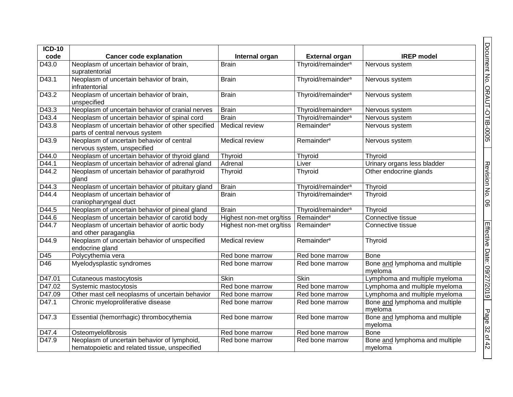| <b>ICD-10</b>      |                                                                                              |                          |                                |                                           |
|--------------------|----------------------------------------------------------------------------------------------|--------------------------|--------------------------------|-------------------------------------------|
| code               | <b>Cancer code explanation</b>                                                               | Internal organ           | <b>External organ</b>          | <b>IREP</b> model                         |
| D43.0              | Neoplasm of uncertain behavior of brain,<br>supratentorial                                   | <b>Brain</b>             | Thyroid/remainder <sup>a</sup> | Nervous system                            |
| D43.1              | Neoplasm of uncertain behavior of brain,<br>infratentorial                                   | <b>Brain</b>             | Thyroid/remainder <sup>a</sup> | Nervous system                            |
| D43.2              | Neoplasm of uncertain behavior of brain,<br>unspecified                                      | <b>Brain</b>             | Thyroid/remainder <sup>a</sup> | Nervous system                            |
| D43.3              | Neoplasm of uncertain behavior of cranial nerves                                             | <b>Brain</b>             | Thyroid/remainder <sup>a</sup> | Nervous system                            |
| D43.4              | Neoplasm of uncertain behavior of spinal cord                                                | <b>Brain</b>             | Thyroid/remainder <sup>a</sup> | Nervous system                            |
| D43.8              | Neoplasm of uncertain behavior of other specified<br>parts of central nervous system         | Medical review           | Remainder <sup>e</sup>         | Nervous system                            |
| D43.9              | Neoplasm of uncertain behavior of central<br>nervous system, unspecified                     | Medical review           | Remainder <sup>e</sup>         | Nervous system                            |
| D44.0              | Neoplasm of uncertain behavior of thyroid gland                                              | Thyroid                  | Thyroid                        | Thyroid                                   |
| D44.1              | Neoplasm of uncertain behavior of adrenal gland                                              | Adrenal                  | Liver                          | Urinary organs less bladder               |
| D <sub>44.2</sub>  | Neoplasm of uncertain behavior of parathyroid<br>gland                                       | Thyroid                  | Thyroid                        | Other endocrine glands                    |
| D44.3              | Neoplasm of uncertain behavior of pituitary gland                                            | <b>Brain</b>             | Thyroid/remainder <sup>a</sup> | Thyroid                                   |
| D44.4              | Neoplasm of uncertain behavior of<br>craniopharyngeal duct                                   | <b>Brain</b>             | Thyroid/remainder <sup>a</sup> | Thyroid                                   |
| $D4\overline{4.5}$ | Neoplasm of uncertain behavior of pineal gland                                               | <b>Brain</b>             | Thyroid/remainder <sup>a</sup> | Thyroid                                   |
| D44.6              | Neoplasm of uncertain behavior of carotid body                                               | Highest non-met org/tiss | Remainder <sup>e</sup>         | Connective tissue                         |
| D44.7              | Neoplasm of uncertain behavior of aortic body<br>and other paraganglia                       | Highest non-met org/tiss | Remainder <sup>e</sup>         | Connective tissue                         |
| D44.9              | Neoplasm of uncertain behavior of unspecified<br>endocrine gland                             | Medical review           | Remainder <sup>e</sup>         | Thyroid                                   |
| D45                | Polycythemia vera                                                                            | Red bone marrow          | Red bone marrow                | <b>Bone</b>                               |
| D46                | Myelodysplastic syndromes                                                                    | Red bone marrow          | Red bone marrow                | Bone and lymphoma and multiple<br>myeloma |
| D47.01             | Cutaneous mastocytosis                                                                       | Skin                     | <b>Skin</b>                    | Lymphoma and multiple myeloma             |
| D47.02             | Systemic mastocytosis                                                                        | Red bone marrow          | Red bone marrow                | Lymphoma and multiple myeloma             |
| D47.09             | Other mast cell neoplasms of uncertain behavior                                              | Red bone marrow          | Red bone marrow                | Lymphoma and multiple myeloma             |
| D47.1              | Chronic myeloproliferative disease                                                           | Red bone marrow          | Red bone marrow                | Bone and lymphoma and multiple<br>myeloma |
| D47.3              | Essential (hemorrhagic) thrombocythemia                                                      | Red bone marrow          | Red bone marrow                | Bone and lymphoma and multiple<br>myeloma |
| D47.4              | Osteomyelofibrosis                                                                           | Red bone marrow          | Red bone marrow                | <b>Bone</b>                               |
| D47.9              | Neoplasm of uncertain behavior of lymphoid,<br>hematopoietic and related tissue, unspecified | Red bone marrow          | Red bone marrow                | Bone and lymphoma and multiple<br>myeloma |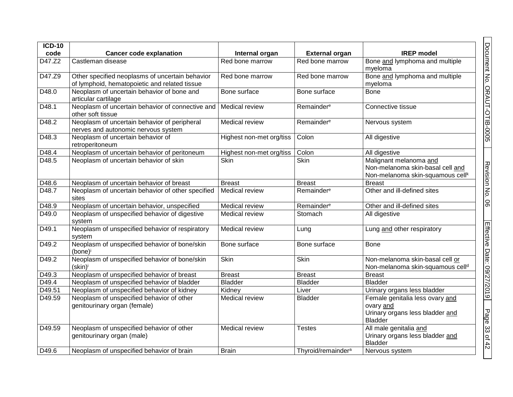| $ICD-10$          |                                                                                                  |                          |                                |                                                                                                            |
|-------------------|--------------------------------------------------------------------------------------------------|--------------------------|--------------------------------|------------------------------------------------------------------------------------------------------------|
| code              | <b>Cancer code explanation</b>                                                                   | Internal organ           | <b>External organ</b>          | <b>IREP</b> model                                                                                          |
| D47.Z2            | Castleman disease                                                                                | Red bone marrow          | Red bone marrow                | Bone and lymphoma and multiple<br>myeloma                                                                  |
| D47.Z9            | Other specified neoplasms of uncertain behavior<br>of lymphoid, hematopoietic and related tissue | Red bone marrow          | Red bone marrow                | Bone and lymphoma and multiple<br>myeloma                                                                  |
| D48.0             | Neoplasm of uncertain behavior of bone and<br>articular cartilage                                | Bone surface             | Bone surface                   | <b>Bone</b>                                                                                                |
| D48.1             | Neoplasm of uncertain behavior of connective and   Medical review<br>other soft tissue           |                          | Remainder <sup>e</sup>         | Connective tissue                                                                                          |
| D48.2             | Neoplasm of uncertain behavior of peripheral<br>nerves and autonomic nervous system              | Medical review           | Remainder <sup>e</sup>         | Nervous system                                                                                             |
| D48.3             | Neoplasm of uncertain behavior of<br>retroperitoneum                                             | Highest non-met org/tiss | Colon                          | All digestive                                                                                              |
| D48.4             | Neoplasm of uncertain behavior of peritoneum                                                     | Highest non-met org/tiss | Colon                          | All digestive                                                                                              |
| D48.5             | Neoplasm of uncertain behavior of skin                                                           | Skin                     | <b>Skin</b>                    | Malignant melanoma and<br>Non-melanoma skin-basal cell and<br>Non-melanoma skin-squamous cell <sup>k</sup> |
| D48.6             | Neoplasm of uncertain behavior of breast                                                         | <b>Breast</b>            | <b>Breast</b>                  | <b>Breast</b>                                                                                              |
| D <sub>48.7</sub> | Neoplasm of uncertain behavior of other specified<br>sites                                       | Medical review           | Remainder <sup>e</sup>         | Other and ill-defined sites                                                                                |
| D48.9             | Neoplasm of uncertain behavior, unspecified                                                      | Medical review           | Remainder <sup>e</sup>         | Other and ill-defined sites                                                                                |
| D49.0             | Neoplasm of unspecified behavior of digestive<br>system                                          | Medical review           | Stomach                        | All digestive                                                                                              |
| D49.1             | Neoplasm of unspecified behavior of respiratory<br>system                                        | <b>Medical review</b>    | Lung                           | Lung and other respiratory                                                                                 |
| D49.2             | Neoplasm of unspecified behavior of bone/skin<br>(bone) <sup>i</sup>                             | Bone surface             | Bone surface                   | <b>Bone</b>                                                                                                |
| D49.2             | Neoplasm of unspecified behavior of bone/skin<br>(skin) <sup>i</sup>                             | <b>Skin</b>              | <b>Skin</b>                    | Non-melanoma skin-basal cell or<br>Non-melanoma skin-squamous cell <sup>d</sup>                            |
| D49.3             | Neoplasm of unspecified behavior of breast                                                       | <b>Breast</b>            | <b>Breast</b>                  | <b>Breast</b>                                                                                              |
| D49.4             | Neoplasm of unspecified behavior of bladder                                                      | <b>Bladder</b>           | <b>Bladder</b>                 | <b>Bladder</b>                                                                                             |
| D49.51            | Neoplasm of unspecified behavior of kidney                                                       | Kidney                   | Liver                          | Urinary organs less bladder                                                                                |
| D49.59            | Neoplasm of unspecified behavior of other<br>genitourinary organ (female)                        | Medical review           | Bladder                        | Female genitalia less ovary and<br>ovary and<br>Urinary organs less bladder and<br><b>Bladder</b>          |
| D49.59            | Neoplasm of unspecified behavior of other<br>genitourinary organ (male)                          | Medical review           | Testes                         | All male genitalia and<br>Urinary organs less bladder and<br><b>Bladder</b>                                |
| D49.6             | Neoplasm of unspecified behavior of brain                                                        | <b>Brain</b>             | Thyroid/remainder <sup>a</sup> | Nervous system                                                                                             |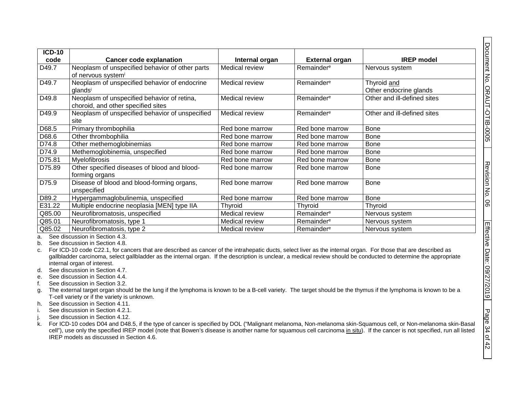| $ICD-10$ |                                                                                   |                       |                        |                                       |
|----------|-----------------------------------------------------------------------------------|-----------------------|------------------------|---------------------------------------|
| code     | <b>Cancer code explanation</b>                                                    | Internal organ        | <b>External organ</b>  | <b>IREP</b> model                     |
| D49.7    | Neoplasm of unspecified behavior of other parts<br>of nervous systemi             | Medical review        | Remainder <sup>e</sup> | Nervous system                        |
| D49.7    | Neoplasm of unspecified behavior of endocrine<br>glandsi                          | Medical review        | Remainder <sup>e</sup> | Thyroid and<br>Other endocrine glands |
| D49.8    | Neoplasm of unspecified behavior of retina,<br>choroid, and other specified sites | Medical review        | Remainder <sup>e</sup> | Other and ill-defined sites           |
| D49.9    | Neoplasm of unspecified behavior of unspecified<br>site                           | Medical review        | Remainder <sup>e</sup> | Other and ill-defined sites           |
| D68.5    | Primary thrombophilia                                                             | Red bone marrow       | Red bone marrow        | Bone                                  |
| D68.6    | Other thrombophilia                                                               | Red bone marrow       | Red bone marrow        | Bone                                  |
| D74.8    | Other methemoglobinemias                                                          | Red bone marrow       | Red bone marrow        | Bone                                  |
| D74.9    | Methemoglobinemia, unspecified                                                    | Red bone marrow       | Red bone marrow        | <b>Bone</b>                           |
| D75.81   | Myelofibrosis                                                                     | Red bone marrow       | Red bone marrow        | Bone                                  |
| D75.89   | Other specified diseases of blood and blood-<br>forming organs                    | Red bone marrow       | Red bone marrow        | Bone                                  |
| D75.9    | Disease of blood and blood-forming organs,<br>unspecified                         | Red bone marrow       | Red bone marrow        | <b>Bone</b>                           |
| D89.2    | Hypergammaglobulinemia, unspecified                                               | Red bone marrow       | Red bone marrow        | <b>Bone</b>                           |
| E31.22   | Multiple endocrine neoplasia [MEN] type IIA                                       | Thyroid               | Thyroid                | Thyroid                               |
| Q85.00   | Neurofibromatosis, unspecified                                                    | <b>Medical review</b> | Remainder <sup>e</sup> | Nervous system                        |
| Q85.01   | Neurofibromatosis, type 1                                                         | Medical review        | Remainder <sup>e</sup> | Nervous system                        |
| Q85.02   | Neurofibromatosis, type 2                                                         | Medical review        | Remainder <sup>e</sup> | Nervous system                        |

a. See discussion in Sectio[n 4.3.](#page-36-4)

b. See discussion in Sectio[n 4.8.](#page-37-3)

c. For ICD-10 code C22.1, for cancers that are described as cancer of the intrahepatic ducts, select liver as the internal organ. For those that are described as gallbladder carcinoma, select gallbladder as the internal organ. If the description is unclear, a medical review should be conducted to determine the appropriate internal organ of interest.

- d. See discussion in Sectio[n 4.7.](#page-37-4)
- e. See discussion in Sectio[n 4.4.](#page-36-5)
- f. See discussion in Sectio[n 3.2.](#page-6-4)
- g. The external target organ should be the lung if the lymphoma is known to be a B-cell variety. The target should be the thymus if the lymphoma is known to be a T-cell variety or if the variety is unknown.
- h. See discussion in Sectio[n 4.11.](#page-39-2)
- i. See discussion in Sectio[n 4.2.1.](#page-35-4)
- j. See discussion in Sectio[n 4.12.](#page-39-3)
- k. For ICD-10 codes D04 and D48.5, if the type of cancer is specified by DOL ("Malignant melanoma, Non-melanoma skin-Squamous cell, or Non-melanoma skin-Basal cell"), use only the specified IREP model (note that Bowen's disease is another name for squamous cell carcinoma in situ). If the cancer is not specified, run all listed IREP models as discussed in Section [4.6.](#page-36-6)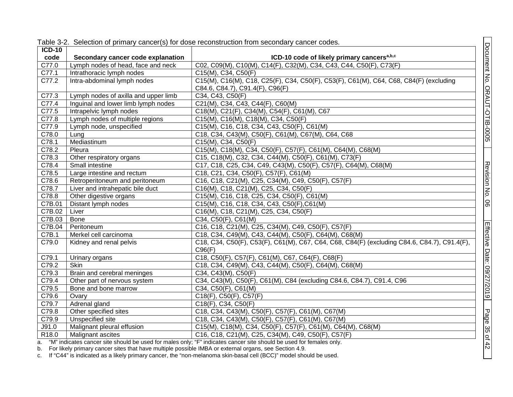<span id="page-34-0"></span>

| <b>ICD-10</b><br>code<br>C77.0<br>C77.1<br>C77.2<br>C77.3<br>C77.4<br>C77.5 | Secondary cancer code explanation<br>Lymph nodes of head, face and neck<br>Intrathoracic lymph nodes | ICD-10 code of likely primary cancers <sup>a,b,c</sup><br>C02, C09(M), C10(M), C14(F), C32(M), C34, C43, C44, C50(F), C73(F) |
|-----------------------------------------------------------------------------|------------------------------------------------------------------------------------------------------|------------------------------------------------------------------------------------------------------------------------------|
|                                                                             |                                                                                                      |                                                                                                                              |
|                                                                             |                                                                                                      |                                                                                                                              |
|                                                                             |                                                                                                      | C15(M), C34, C50(F)                                                                                                          |
|                                                                             | Intra-abdominal lymph nodes                                                                          | C15(M), C16(M), C18, C25(F), C34, C50(F), C53(F), C61(M), C64, C68, C84(F) (excluding                                        |
|                                                                             |                                                                                                      | C84.6, C84.7), C91.4(F), C96(F)                                                                                              |
|                                                                             | Lymph nodes of axilla and upper limb                                                                 | C34, C43, C50(F)                                                                                                             |
|                                                                             | Inguinal and lower limb lymph nodes                                                                  | C21(M), C34, C43, C44(F), C60(M)                                                                                             |
|                                                                             | Intrapelvic lymph nodes                                                                              | C18(M), C21(F), C34(M), C54(F), C61(M), C67                                                                                  |
| C77.8                                                                       | Lymph nodes of multiple regions                                                                      | C15(M), C16(M), C18(M), C34, C50(F)                                                                                          |
| C77.9                                                                       | Lymph node, unspecified                                                                              | C15(M), C16, C18, C34, C43, C50(F), C61(M)                                                                                   |
| C78.0                                                                       | Lung                                                                                                 | C18, C34, C43(M), C50(F), C61(M), C67(M), C64, C68                                                                           |
| C78.1                                                                       | Mediastinum                                                                                          | C15(M), C34, C50(F)                                                                                                          |
| C78.2                                                                       | Pleura                                                                                               | C15(M), C18(M), C34, C50(F), C57(F), C61(M), C64(M), C68(M)                                                                  |
| C78.3                                                                       | Other respiratory organs                                                                             | C15, C18(M), C32, C34, C44(M), C50(F), C61(M), C73(F)                                                                        |
| C78.4                                                                       | Small intestine                                                                                      | C17, C18, C25, C34, C49, C43(M), C50(F), C57(F), C64(M), C68(M)                                                              |
| C78.5                                                                       | Large intestine and rectum                                                                           | C18, C21, C34, C50(F), C57(F), C61(M)                                                                                        |
| C78.6                                                                       | Retroperitoneum and peritoneum                                                                       | C16, C18, C21(M), C25, C34(M), C49, C50(F), C57(F)                                                                           |
| C78.7                                                                       | Liver and intrahepatic bile duct                                                                     | C16(M), C18, C21(M), C25, C34, C50(F)                                                                                        |
| C78.8                                                                       | Other digestive organs                                                                               | C15(M), C16, C18, C25, C34, C50(F), C61(M)                                                                                   |
| C7B.01                                                                      | Distant lymph nodes                                                                                  | C15(M), C16, C18, C34, C43, C50(F), C61(M)                                                                                   |
| C7B.02                                                                      | Liver                                                                                                | C16(M), C18, C21(M), C25, C34, C50(F)                                                                                        |
| C7B.03                                                                      | Bone                                                                                                 | C34, C50(F), C61(M)                                                                                                          |
| C7B.04                                                                      | Peritoneum                                                                                           | C16, C18, C21(M), C25, C34(M), C49, C50(F), C57(F)                                                                           |
| C7B.1                                                                       | Merkel cell carcinoma                                                                                | C18, C34, C49(M), C43, C44(M), C50(F), C64(M), C68(M)                                                                        |
| C79.0                                                                       | Kidney and renal pelvis                                                                              | C18, C34, C50(F), C53(F), C61(M), C67, C64, C68, C84(F) (excluding C84.6, C84.7), C91.4(F),                                  |
|                                                                             |                                                                                                      | C96(F)                                                                                                                       |
| C79.1                                                                       | Urinary organs                                                                                       | C18, C50(F), C57(F), C61(M), C67, C64(F), C68(F)                                                                             |
| C79.2                                                                       | Skin                                                                                                 | C18, C34, C49(M), C43, C44(M), C50(F), C64(M), C68(M)                                                                        |
| C79.3                                                                       | Brain and cerebral meninges                                                                          | C34, C43(M), C50(F)                                                                                                          |
| C79.4                                                                       | Other part of nervous system                                                                         | C34, C43(M), C50(F), C61(M), C84 (excluding C84.6, C84.7), C91.4, C96                                                        |
| C79.5                                                                       | Bone and bone marrow                                                                                 | C34, C50(F), C61(M)                                                                                                          |
| C79.6                                                                       | Ovary                                                                                                | C18(F), C50(F), C57(F)                                                                                                       |
| C79.7                                                                       | Adrenal gland                                                                                        | C18(F), C34, C50(F)                                                                                                          |
| C79.8                                                                       | Other specified sites                                                                                | C18, C34, C43(M), C50(F), C57(F), C61(M), C67(M)                                                                             |
| C79.9                                                                       | Unspecified site                                                                                     | C18, C34, C43(M), C50(F), C57(F), C61(M), C67(M)                                                                             |
| J91.0                                                                       | Malignant pleural effusion                                                                           | C15(M), C18(M), C34, C50(F), C57(F), C61(M), C64(M), C68(M)                                                                  |
| R <sub>18.0</sub>                                                           | Malignant ascites                                                                                    | C16, C18, C21(M), C25, C34(M), C49, C50(F), C57(F)                                                                           |
| h                                                                           | For likely primary cancer sites that have multiple possible IMRA or external ergans, see Section 4.9 | a. "M" indicates cancer site should be used for males only; "F" indicates cancer site should be used for females only.       |

Table 3-2. Selection of primary cancer(s) for dose reconstruction from secondary cancer codes.

b. For likely primary cancer sites that have multiple possible IMBA or external organs, see Section [4.9.](#page-37-5)

c. If "C44" is indicated as a likely primary cancer, the "non-melanoma skin-basal cell (BCC)" model should be used.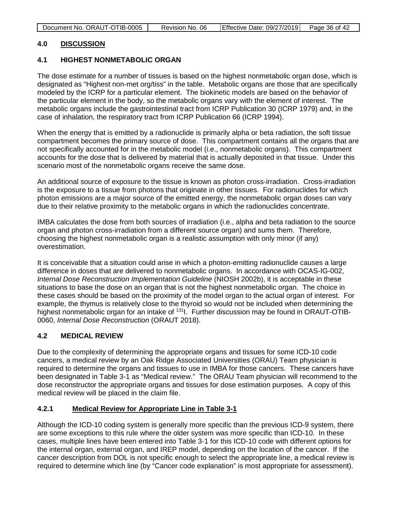#### <span id="page-35-0"></span>**4.0 DISCUSSION**

#### <span id="page-35-1"></span>**4.1 HIGHEST NONMETABOLIC ORGAN**

The dose estimate for a number of tissues is based on the highest nonmetabolic organ dose, which is designated as "Highest non-met org/tiss" in the table. Metabolic organs are those that are specifically modeled by the ICRP for a particular element. The biokinetic models are based on the behavior of the particular element in the body, so the metabolic organs vary with the element of interest. The metabolic organs include the gastrointestinal tract from ICRP Publication 30 (ICRP 1979) and, in the case of inhalation, the respiratory tract from ICRP Publication 66 (ICRP 1994).

When the energy that is emitted by a radionuclide is primarily alpha or beta radiation, the soft tissue compartment becomes the primary source of dose. This compartment contains all the organs that are not specifically accounted for in the metabolic model (i.e., nonmetabolic organs). This compartment accounts for the dose that is delivered by material that is actually deposited in that tissue. Under this scenario most of the nonmetabolic organs receive the same dose.

An additional source of exposure to the tissue is known as photon cross-irradiation. Cross-irradiation is the exposure to a tissue from photons that originate in other tissues. For radionuclides for which photon emissions are a major source of the emitted energy, the nonmetabolic organ doses can vary due to their relative proximity to the metabolic organs in which the radionuclides concentrate.

IMBA calculates the dose from both sources of irradiation (i.e., alpha and beta radiation to the source organ and photon cross-irradiation from a different source organ) and sums them. Therefore, choosing the highest nonmetabolic organ is a realistic assumption with only minor (if any) overestimation.

<span id="page-35-4"></span>It is conceivable that a situation could arise in which a photon-emitting radionuclide causes a large difference in doses that are delivered to nonmetabolic organs. In accordance with OCAS-IG-002, *Internal Dose Reconstruction Implementation Guideline* (NIOSH 2002b), it is acceptable in these situations to base the dose on an organ that is not the highest nonmetabolic organ. The choice in these cases should be based on the proximity of the model organ to the actual organ of interest. For example, the thymus is relatively close to the thyroid so would not be included when determining the highest nonmetabolic organ for an intake of <sup>131</sup>l. Further discussion may be found in ORAUT-OTIB-0060, *Internal Dose Reconstruction* (ORAUT 2018).

### <span id="page-35-2"></span>**4.2 MEDICAL REVIEW**

Due to the complexity of determining the appropriate organs and tissues for some ICD-10 code cancers, a medical review by an Oak Ridge Associated Universities (ORAU) Team physician is required to determine the organs and tissues to use in IMBA for those cancers. These cancers have been designated in Table 3-1 as "Medical review." The ORAU Team physician will recommend to the dose reconstructor the appropriate organs and tissues for dose estimation purposes. A copy of this medical review will be placed in the claim file.

#### <span id="page-35-3"></span>**4.2.1 Medical Review for Appropriate Line in Table 3-1**

Although the ICD-10 coding system is generally more specific than the previous ICD-9 system, there are some exceptions to this rule where the older system was more specific than ICD-10. In these cases, multiple lines have been entered into Table 3-1 for this ICD-10 code with different options for the internal organ, external organ, and IREP model, depending on the location of the cancer. If the cancer description from DOL is not specific enough to select the appropriate line, a medical review is required to determine which line (by "Cancer code explanation" is most appropriate for assessment).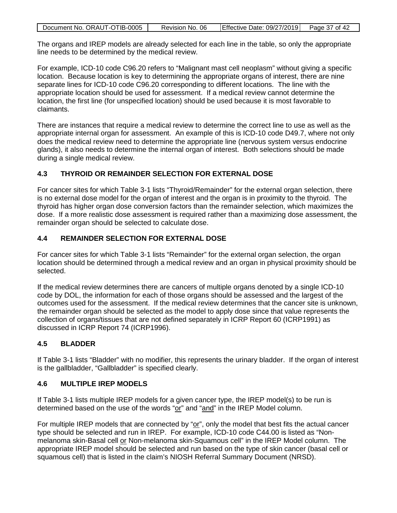| Document No. ORAUT-OTIB-0005 | Revision No. 06 | Effective Date: 09/27/2019 | Page 37 of 42 |
|------------------------------|-----------------|----------------------------|---------------|

The organs and IREP models are already selected for each line in the table, so only the appropriate line needs to be determined by the medical review.

<span id="page-36-4"></span>For example, ICD-10 code C96.20 refers to "Malignant mast cell neoplasm" without giving a specific location. Because location is key to determining the appropriate organs of interest, there are nine separate lines for ICD-10 code C96.20 corresponding to different locations. The line with the appropriate location should be used for assessment. If a medical review cannot determine the location, the first line (for unspecified location) should be used because it is most favorable to claimants.

<span id="page-36-5"></span>There are instances that require a medical review to determine the correct line to use as well as the appropriate internal organ for assessment. An example of this is ICD-10 code D49.7, where not only does the medical review need to determine the appropriate line (nervous system versus endocrine glands), it also needs to determine the internal organ of interest. Both selections should be made during a single medical review.

### <span id="page-36-0"></span>**4.3 THYROID OR REMAINDER SELECTION FOR EXTERNAL DOSE**

For cancer sites for which Table 3-1 lists "Thyroid/Remainder" for the external organ selection, there is no external dose model for the organ of interest and the organ is in proximity to the thyroid. The thyroid has higher organ dose conversion factors than the remainder selection, which maximizes the dose. If a more realistic dose assessment is required rather than a maximizing dose assessment, the remainder organ should be selected to calculate dose.

# <span id="page-36-1"></span>**4.4 REMAINDER SELECTION FOR EXTERNAL DOSE**

<span id="page-36-6"></span>For cancer sites for which Table 3-1 lists "Remainder" for the external organ selection, the organ location should be determined through a medical review and an organ in physical proximity should be selected.

If the medical review determines there are cancers of multiple organs denoted by a single ICD-10 code by DOL, the information for each of those organs should be assessed and the largest of the outcomes used for the assessment. If the medical review determines that the cancer site is unknown, the remainder organ should be selected as the model to apply dose since that value represents the collection of organs/tissues that are not defined separately in ICRP Report 60 (ICRP1991) as discussed in ICRP Report 74 (ICRP1996).

# <span id="page-36-2"></span>**4.5 BLADDER**

If Table 3-1 lists "Bladder" with no modifier, this represents the urinary bladder. If the organ of interest is the gallbladder, "Gallbladder" is specified clearly.

### <span id="page-36-3"></span>**4.6 MULTIPLE IREP MODELS**

If Table 3-1 lists multiple IREP models for a given cancer type, the IREP model(s) to be run is determined based on the use of the words "or" and "and" in the IREP Model column.

For multiple IREP models that are connected by "or", only the model that best fits the actual cancer type should be selected and run in IREP. For example, ICD-10 code C44.00 is listed as "Nonmelanoma skin-Basal cell or Non-melanoma skin-Squamous cell" in the IREP Model column. The appropriate IREP model should be selected and run based on the type of skin cancer (basal cell or squamous cell) that is listed in the claim's NIOSH Referral Summary Document (NRSD).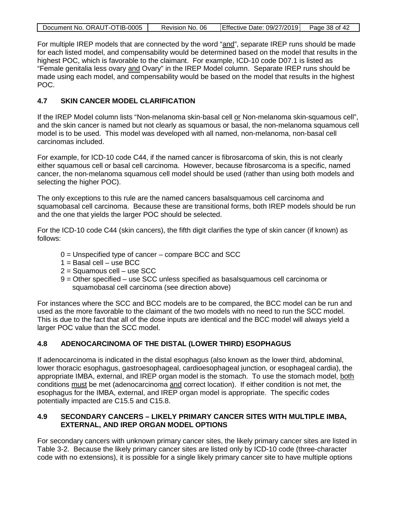<span id="page-37-4"></span>

| Document No. ORAUT-OTIB-0005 | Revision No. 06 | Effective Date: 09/27/2019 Page 38 of 42 |  |
|------------------------------|-----------------|------------------------------------------|--|
|                              |                 |                                          |  |

For multiple IREP models that are connected by the word "and", separate IREP runs should be made for each listed model, and compensability would be determined based on the model that results in the highest POC, which is favorable to the claimant. For example, ICD-10 code D07.1 is listed as "Female genitalia less ovary and Ovary" in the IREP Model column. Separate IREP runs should be made using each model, and compensability would be based on the model that results in the highest POC.

### <span id="page-37-0"></span>**4.7 SKIN CANCER MODEL CLARIFICATION**

If the IREP Model column lists "Non-melanoma skin-basal cell or Non-melanoma skin-squamous cell", and the skin cancer is named but not clearly as squamous or basal, the non-melanoma squamous cell model is to be used. This model was developed with all named, non-melanoma, non-basal cell carcinomas included.

For example, for ICD-10 code C44, if the named cancer is fibrosarcoma of skin, this is not clearly either squamous cell or basal cell carcinoma. However, because fibrosarcoma is a specific, named cancer, the non-melanoma squamous cell model should be used (rather than using both models and selecting the higher POC).

The only exceptions to this rule are the named cancers basalsquamous cell carcinoma and squamobasal cell carcinoma. Because these are transitional forms, both IREP models should be run and the one that yields the larger POC should be selected.

<span id="page-37-3"></span>For the ICD-10 code C44 (skin cancers), the fifth digit clarifies the type of skin cancer (if known) as follows:

- 0 = Unspecified type of cancer compare BCC and SCC
- $1 =$ Basal cell use BCC
- 2 = Squamous cell use SCC
- 9 = Other specified use SCC unless specified as basalsquamous cell carcinoma or squamobasal cell carcinoma (see direction above)

<span id="page-37-5"></span>For instances where the SCC and BCC models are to be compared, the BCC model can be run and used as the more favorable to the claimant of the two models with no need to run the SCC model. This is due to the fact that all of the dose inputs are identical and the BCC model will always yield a larger POC value than the SCC model.

### <span id="page-37-1"></span>**4.8 ADENOCARCINOMA OF THE DISTAL (LOWER THIRD) ESOPHAGUS**

If adenocarcinoma is indicated in the distal esophagus (also known as the lower third, abdominal, lower thoracic esophagus, gastroesophageal, cardioesophageal junction, or esophageal cardia), the appropriate IMBA, external, and IREP organ model is the stomach. To use the stomach model, both conditions must be met (adenocarcinoma and correct location). If either condition is not met, the esophagus for the IMBA, external, and IREP organ model is appropriate. The specific codes potentially impacted are C15.5 and C15.8.

### <span id="page-37-2"></span>**4.9 SECONDARY CANCERS – LIKELY PRIMARY CANCER SITES WITH MULTIPLE IMBA, EXTERNAL, AND IREP ORGAN MODEL OPTIONS**

For secondary cancers with unknown primary cancer sites, the likely primary cancer sites are listed in Table 3-2. Because the likely primary cancer sites are listed only by ICD-10 code (three-character code with no extensions), it is possible for a single likely primary cancer site to have multiple options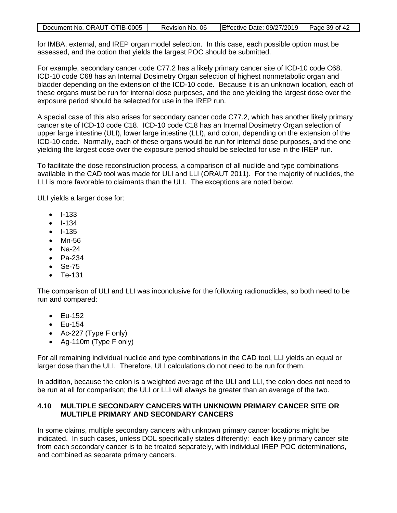| Document No. ORAUT-OTIB-0005 | Revision No. 06 | Effective Date: $09/27/2019$ Page 39 of 42 |  |
|------------------------------|-----------------|--------------------------------------------|--|
|                              |                 |                                            |  |

for IMBA, external, and IREP organ model selection. In this case, each possible option must be assessed, and the option that yields the largest POC should be submitted.

For example, secondary cancer code C77.2 has a likely primary cancer site of ICD-10 code C68. ICD-10 code C68 has an Internal Dosimetry Organ selection of highest nonmetabolic organ and bladder depending on the extension of the ICD-10 code. Because it is an unknown location, each of these organs must be run for internal dose purposes, and the one yielding the largest dose over the exposure period should be selected for use in the IREP run.

A special case of this also arises for secondary cancer code C77.2, which has another likely primary cancer site of ICD-10 code C18. ICD-10 code C18 has an Internal Dosimetry Organ selection of upper large intestine (ULI), lower large intestine (LLI), and colon, depending on the extension of the ICD-10 code. Normally, each of these organs would be run for internal dose purposes, and the one yielding the largest dose over the exposure period should be selected for use in the IREP run.

To facilitate the dose reconstruction process, a comparison of all nuclide and type combinations available in the CAD tool was made for ULI and LLI (ORAUT 2011). For the majority of nuclides, the LLI is more favorable to claimants than the ULI. The exceptions are noted below.

ULI yields a larger dose for:

- I-133
- I-134
- I-135
- Mn-56
- Na-24
- Pa-234
- Se-75
- Te-131

The comparison of ULI and LLI was inconclusive for the following radionuclides, so both need to be run and compared:

- Eu-152
- Eu-154
- Ac-227 (Type F only)
- Ag-110m (Type F only)

For all remaining individual nuclide and type combinations in the CAD tool, LLI yields an equal or larger dose than the ULI. Therefore, ULI calculations do not need to be run for them.

In addition, because the colon is a weighted average of the ULI and LLI, the colon does not need to be run at all for comparison; the ULI or LLI will always be greater than an average of the two.

#### <span id="page-38-0"></span>**4.10 MULTIPLE SECONDARY CANCERS WITH UNKNOWN PRIMARY CANCER SITE OR MULTIPLE PRIMARY AND SECONDARY CANCERS**

In some claims, multiple secondary cancers with unknown primary cancer locations might be indicated. In such cases, unless DOL specifically states differently: each likely primary cancer site from each secondary cancer is to be treated separately, with individual IREP POC determinations, and combined as separate primary cancers.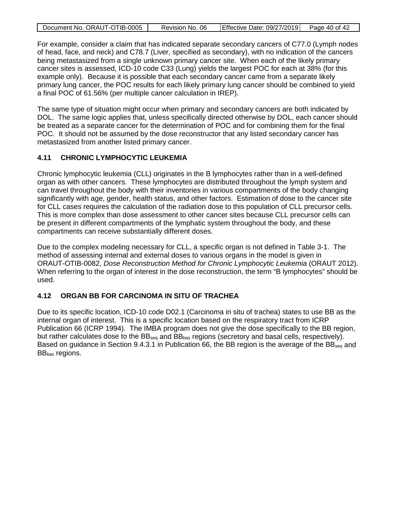| Document No. ORAUT-OTIB-0005 | Revision No. 06 | Effective Date: $09/27/2019$ Page 40 of 42 |  |
|------------------------------|-----------------|--------------------------------------------|--|
|                              |                 |                                            |  |

<span id="page-39-2"></span>For example, consider a claim that has indicated separate secondary cancers of C77.0 (Lymph nodes of head, face, and neck) and C78.7 (Liver, specified as secondary), with no indication of the cancers being metastasized from a single unknown primary cancer site. When each of the likely primary cancer sites is assessed, ICD-10 code C33 (Lung) yields the largest POC for each at 38% (for this example only). Because it is possible that each secondary cancer came from a separate likely primary lung cancer, the POC results for each likely primary lung cancer should be combined to yield a final POC of 61.56% (per multiple cancer calculation in IREP).

The same type of situation might occur when primary and secondary cancers are both indicated by DOL. The same logic applies that, unless specifically directed otherwise by DOL, each cancer should be treated as a separate cancer for the determination of POC and for combining them for the final POC. It should not be assumed by the dose reconstructor that any listed secondary cancer has metastasized from another listed primary cancer.

# <span id="page-39-0"></span>**4.11 CHRONIC LYMPHOCYTIC LEUKEMIA**

<span id="page-39-3"></span>Chronic lymphocytic leukemia (CLL) originates in the B lymphocytes rather than in a well-defined organ as with other cancers. These lymphocytes are distributed throughout the lymph system and can travel throughout the body with their inventories in various compartments of the body changing significantly with age, gender, health status, and other factors. Estimation of dose to the cancer site for CLL cases requires the calculation of the radiation dose to this population of CLL precursor cells. This is more complex than dose assessment to other cancer sites because CLL precursor cells can be present in different compartments of the lymphatic system throughout the body, and these compartments can receive substantially different doses.

Due to the complex modeling necessary for CLL, a specific organ is not defined in Table 3-1. The method of assessing internal and external doses to various organs in the model is given in ORAUT-OTIB-0082, *Dose Reconstruction Method for Chronic Lymphocytic Leukemia* (ORAUT 2012). When referring to the organ of interest in the dose reconstruction, the term "B lymphocytes" should be used.

# <span id="page-39-1"></span>**4.12 ORGAN BB FOR CARCINOMA IN SITU OF TRACHEA**

Due to its specific location, ICD-10 code D02.1 (Carcinoma in situ of trachea) states to use BB as the internal organ of interest. This is a specific location based on the respiratory tract from ICRP Publication 66 (ICRP 1994). The IMBA program does not give the dose specifically to the BB region, but rather calculates dose to the BB<sub>seq</sub> and BB<sub>bas</sub> regions (secretory and basal cells, respectively). Based on guidance in Section 9.4.3.1 in Publication 66, the BB region is the average of the BB<sub>seq</sub> and BBbas regions.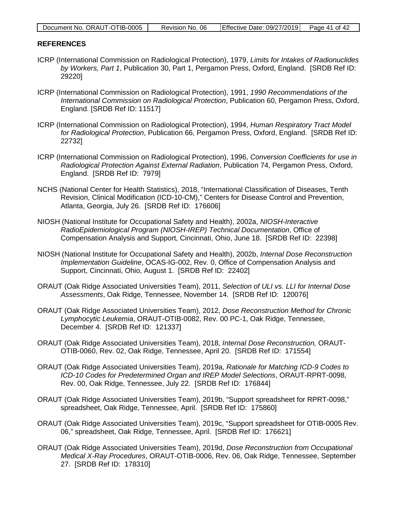| Document No. ORAUT-OTIB-0005 | Revision No. 06 | Effective Date: 09/27/2019 | Page 41 of 42 |
|------------------------------|-----------------|----------------------------|---------------|

#### <span id="page-40-0"></span>**REFERENCES**

- ICRP (International Commission on Radiological Protection), 1979, *Limits for Intakes of Radionuclides by Workers, Part 1*, Publication 30, Part 1, Pergamon Press, Oxford, England. [SRDB Ref ID: 29220]
- ICRP (International Commission on Radiological Protection), 1991, *1990 Recommendations of the International Commission on Radiological Protection*, Publication 60, Pergamon Press, Oxford, England. [SRDB Ref ID: 11517]
- ICRP (International Commission on Radiological Protection), 1994, *Human Respiratory Tract Model for Radiological Protection*, Publication 66, Pergamon Press, Oxford, England. [SRDB Ref ID: 22732]
- ICRP (International Commission on Radiological Protection), 1996, *Conversion Coefficients for use in Radiological Protection Against External Radiation*, Publication 74, Pergamon Press, Oxford, England. [SRDB Ref ID: 7979]
- NCHS (National Center for Health Statistics), 2018, "International Classification of Diseases, Tenth Revision, Clinical Modification (ICD-10-CM)," Centers for Disease Control and Prevention, Atlanta, Georgia, July 26. [SRDB Ref ID: 176606]
- NIOSH (National Institute for Occupational Safety and Health), 2002a, *NIOSH-Interactive RadioEpidemiological Program (NIOSH-IREP) Technical Documentation*, Office of Compensation Analysis and Support, Cincinnati, Ohio, June 18. [SRDB Ref ID: 22398]
- NIOSH (National Institute for Occupational Safety and Health), 2002b, *Internal Dose Reconstruction Implementation Guideline*, OCAS-IG-002, Rev. 0, Office of Compensation Analysis and Support, Cincinnati, Ohio, August 1. [SRDB Ref ID: 22402]
- ORAUT (Oak Ridge Associated Universities Team), 2011, *Selection of ULI vs. LLI for Internal Dose Assessments*, Oak Ridge, Tennessee, November 14. [SRDB Ref ID: 120076]
- ORAUT (Oak Ridge Associated Universities Team), 2012, *Dose Reconstruction Method for Chronic Lymphocytic Leukemia*, ORAUT-OTIB-0082, Rev. 00 PC-1, Oak Ridge, Tennessee, December 4. [SRDB Ref ID: 121337]
- ORAUT (Oak Ridge Associated Universities Team), 2018, *Internal Dose Reconstruction,* ORAUT-OTIB-0060, Rev. 02, Oak Ridge, Tennessee, April 20. [SRDB Ref ID: 171554]
- ORAUT (Oak Ridge Associated Universities Team), 2019a, *Rationale for Matching ICD-9 Codes to ICD-10 Codes for Predetermined Organ and IREP Model Selections*, ORAUT-RPRT-0098, Rev. 00, Oak Ridge, Tennessee, July 22. [SRDB Ref ID: 176844]
- ORAUT (Oak Ridge Associated Universities Team), 2019b, "Support spreadsheet for RPRT-0098," spreadsheet, Oak Ridge, Tennessee, April. [SRDB Ref ID: 175860]
- ORAUT (Oak Ridge Associated Universities Team), 2019c, "Support spreadsheet for OTIB-0005 Rev. 06," spreadsheet, Oak Ridge, Tennessee, April. [SRDB Ref ID: 176621]
- ORAUT (Oak Ridge Associated Universities Team), 2019d, *Dose Reconstruction from Occupational Medical X-Ray Procedures*, ORAUT-OTIB-0006, Rev. 06, Oak Ridge, Tennessee, September 27. [SRDB Ref ID: 178310]